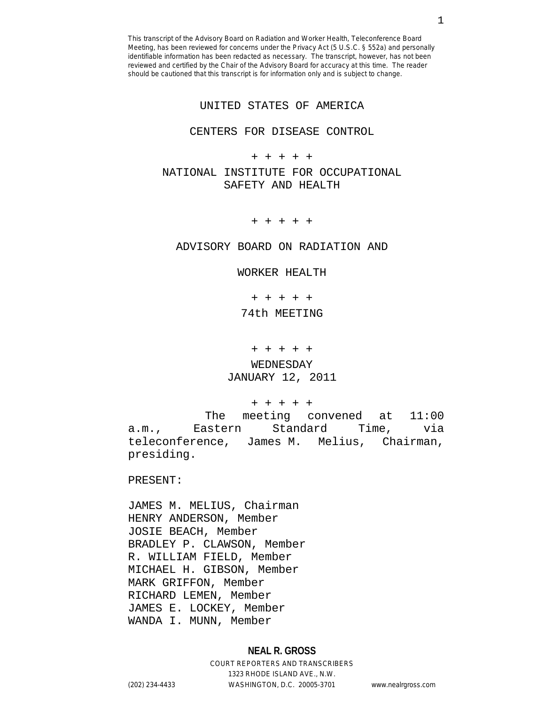UNITED STATES OF AMERICA

### CENTERS FOR DISEASE CONTROL

+ + + + +

NATIONAL INSTITUTE FOR OCCUPATIONAL SAFETY AND HEALTH

+ + + + +

ADVISORY BOARD ON RADIATION AND

WORKER HEALTH

+ + + + +

74th MEETING

+ + + + +

WEDNESDAY JANUARY 12, 2011

+ + + + +

 The meeting convened at 11:00 a.m., Eastern Standard Time, via teleconference, James M. Melius, Chairman, presiding.

PRESENT:

JAMES M. MELIUS, Chairman HENRY ANDERSON, Member JOSIE BEACH, Member BRADLEY P. CLAWSON, Member R. WILLIAM FIELD, Member MICHAEL H. GIBSON, Member MARK GRIFFON, Member RICHARD LEMEN, Member JAMES E. LOCKEY, Member WANDA I. MUNN, Member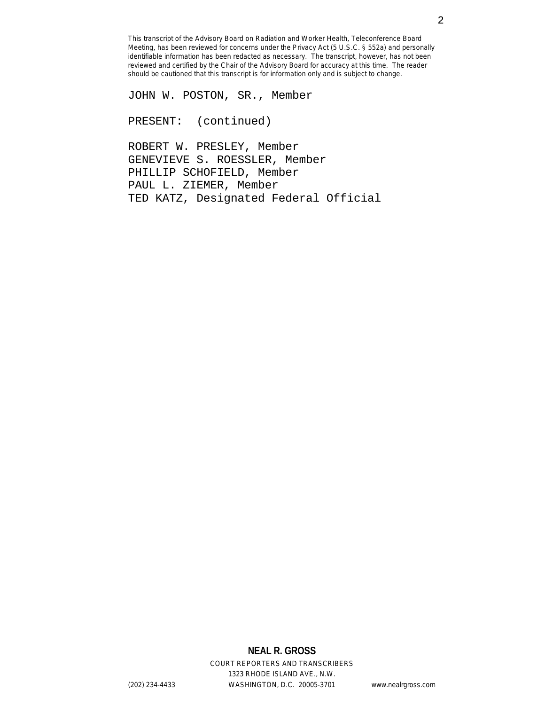JOHN W. POSTON, SR., Member

PRESENT: (continued)

ROBERT W. PRESLEY, Member GENEVIEVE S. ROESSLER, Member PHILLIP SCHOFIELD, Member PAUL L. ZIEMER, Member TED KATZ, Designated Federal Official

## **NEAL R. GROSS**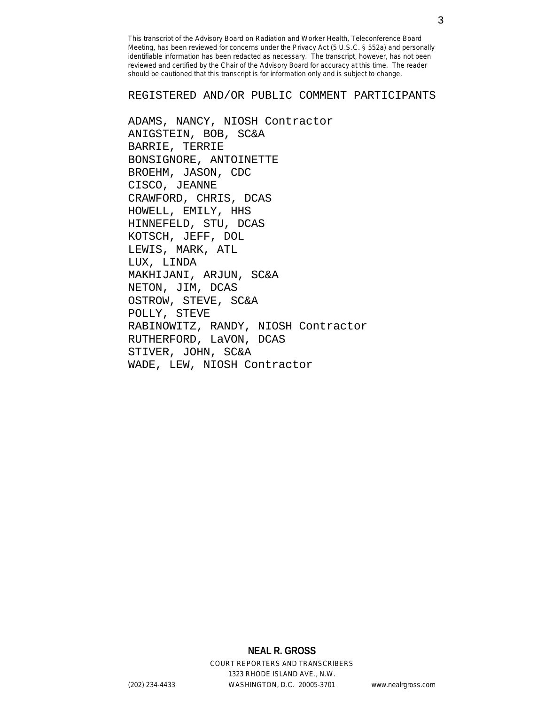REGISTERED AND/OR PUBLIC COMMENT PARTICIPANTS

ADAMS, NANCY, NIOSH Contractor ANIGSTEIN, BOB, SC&A BARRIE, TERRIE BONSIGNORE, ANTOINETTE BROEHM, JASON, CDC CISCO, JEANNE CRAWFORD, CHRIS, DCAS HOWELL, EMILY, HHS HINNEFELD, STU, DCAS KOTSCH, JEFF, DOL LEWIS, MARK, ATL LUX, LINDA MAKHIJANI, ARJUN, SC&A NETON, JIM, DCAS OSTROW, STEVE, SC&A POLLY, STEVE RABINOWITZ, RANDY, NIOSH Contractor RUTHERFORD, LaVON, DCAS STIVER, JOHN, SC&A WADE, LEW, NIOSH Contractor

> **NEAL R. GROSS** COURT REPORTERS AND TRANSCRIBERS 1323 RHODE ISLAND AVE., N.W.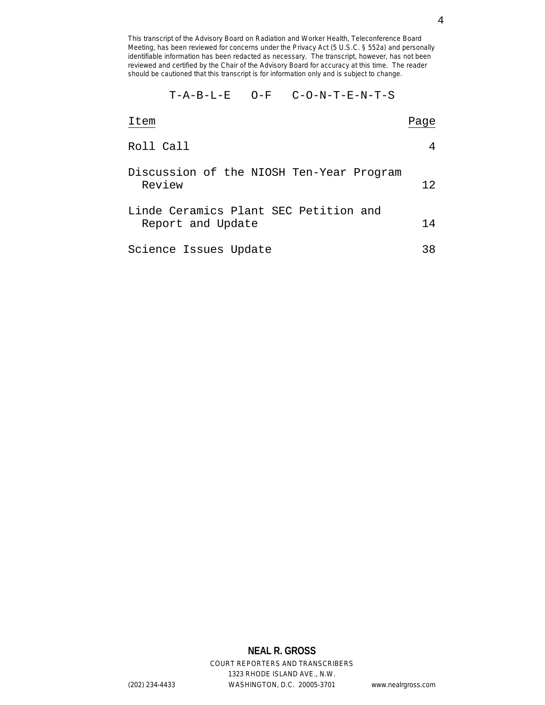T-A-B-L-E O-F C-O-N-T-E-N-T-S

| Item                                                       | Page |
|------------------------------------------------------------|------|
| Roll Call                                                  |      |
| Discussion of the NIOSH Ten-Year Program<br>Review         | 12   |
| Linde Ceramics Plant SEC Petition and<br>Report and Update | 14   |
| Science Issues Update                                      | 38   |

# **NEAL R. GROSS**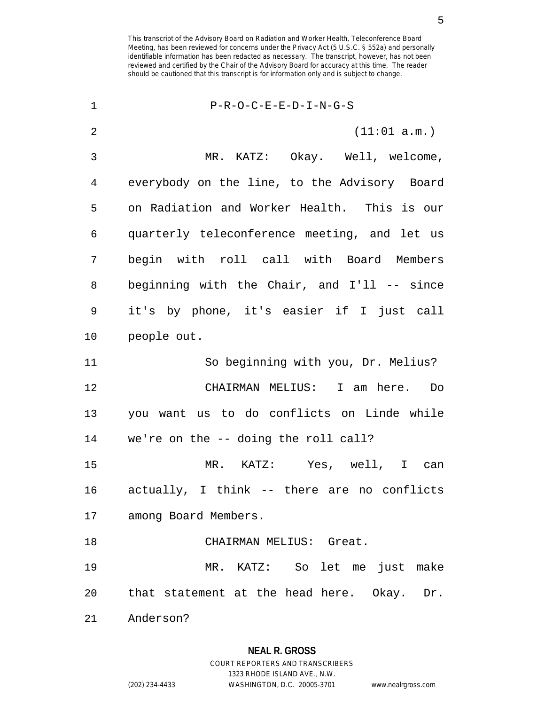| $\mathbf 1$    | $P-R-O-C-E-E-D-I-N-G-S$                      |
|----------------|----------------------------------------------|
| $\overline{2}$ | (11:01 a.m.)                                 |
| 3              | MR. KATZ: Okay. Well, welcome,               |
| 4              | everybody on the line, to the Advisory Board |
| 5              | on Radiation and Worker Health. This is our  |
| 6              | quarterly teleconference meeting, and let us |
| 7              | begin with roll call with Board Members      |
| 8              | beginning with the Chair, and I'll -- since  |
| $\mathsf 9$    | it's by phone, it's easier if I just call    |
| 10             | people out.                                  |
| 11             | So beginning with you, Dr. Melius?           |
| 12             | CHAIRMAN MELIUS: I am here. Do               |
| 13             | you want us to do conflicts on Linde while   |
| 14             | we're on the -- doing the roll call?         |
| 15             | MR. KATZ: Yes, well, I can                   |
| 16             | actually, I think -- there are no conflicts  |
|                | 17 among Board Members.                      |
| 18             | CHAIRMAN MELIUS: Great.                      |
| 19             | MR. KATZ: So let me just make                |
| 20             | that statement at the head here. Okay. Dr.   |
| 21             | Anderson?                                    |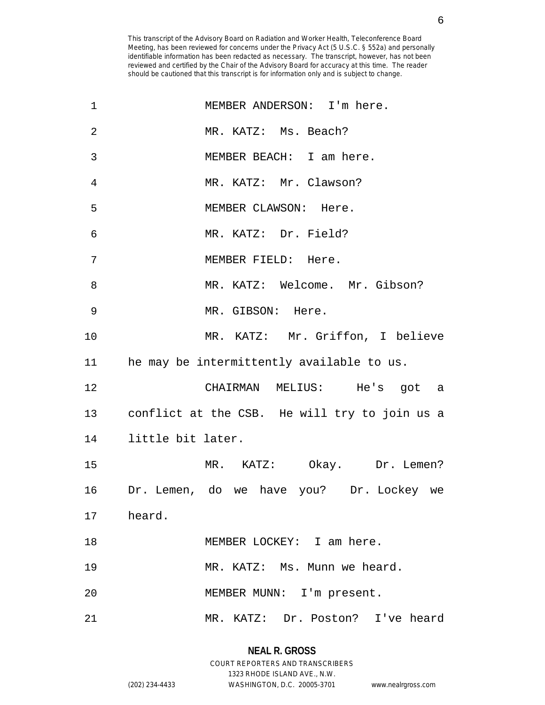| 1              | MEMBER ANDERSON: I'm here.                    |
|----------------|-----------------------------------------------|
| $\overline{2}$ | MR. KATZ: Ms. Beach?                          |
| 3              | MEMBER BEACH: I am here.                      |
| 4              | MR. KATZ: Mr. Clawson?                        |
| 5              | MEMBER CLAWSON: Here.                         |
| 6              | MR. KATZ: Dr. Field?                          |
| 7              | MEMBER FIELD: Here.                           |
| 8              | MR. KATZ: Welcome. Mr. Gibson?                |
| 9              | MR. GIBSON: Here.                             |
| 10             | MR. KATZ: Mr. Griffon, I believe              |
| 11             | he may be intermittently available to us.     |
| 12             | CHAIRMAN MELIUS: He's got a                   |
| 13             | conflict at the CSB. He will try to join us a |
|                | 14 little bit later.                          |
| 15             | MR. KATZ: Okay. Dr. Lemen?                    |
| 16             | Dr. Lemen, do we have you? Dr. Lockey we      |
|                | 17 heard.                                     |
| 18             | MEMBER LOCKEY: I am here.                     |
| 19             | MR. KATZ: Ms. Munn we heard.                  |
| 20             | MEMBER MUNN: I'm present.                     |
| 21             | MR. KATZ: Dr. Poston? I've heard              |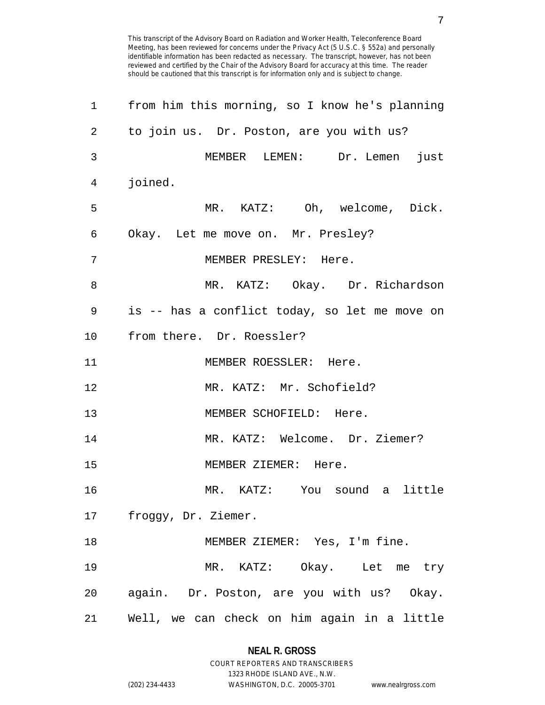| $\mathbf 1$ | from him this morning, so I know he's planning |
|-------------|------------------------------------------------|
| 2           | to join us. Dr. Poston, are you with us?       |
| 3           | MEMBER LEMEN: Dr. Lemen just                   |
| 4           | joined.                                        |
| 5           | MR. KATZ: Oh, welcome, Dick.                   |
| 6           | Okay. Let me move on. Mr. Presley?             |
| 7           | MEMBER PRESLEY: Here.                          |
| 8           | MR. KATZ: Okay. Dr. Richardson                 |
| 9           | is -- has a conflict today, so let me move on  |
| $10 \,$     | from there. Dr. Roessler?                      |
| 11          | MEMBER ROESSLER: Here.                         |
| 12          | MR. KATZ: Mr. Schofield?                       |
| 13          | MEMBER SCHOFIELD: Here.                        |
| 14          | MR. KATZ: Welcome. Dr. Ziemer?                 |
| 15          | MEMBER ZIEMER: Here.                           |
| 16          | MR. KATZ: You sound a little                   |
| 17          | froggy, Dr. Ziemer.                            |
| 18          | MEMBER ZIEMER: Yes, I'm fine.                  |
| 19          | MR. KATZ: Okay. Let me try                     |
| 20          | again. Dr. Poston, are you with us? Okay.      |
| 21          | Well, we can check on him again in a little    |

## **NEAL R. GROSS** COURT REPORTERS AND TRANSCRIBERS

1323 RHODE ISLAND AVE., N.W.

(202) 234-4433 WASHINGTON, D.C. 20005-3701 www.nealrgross.com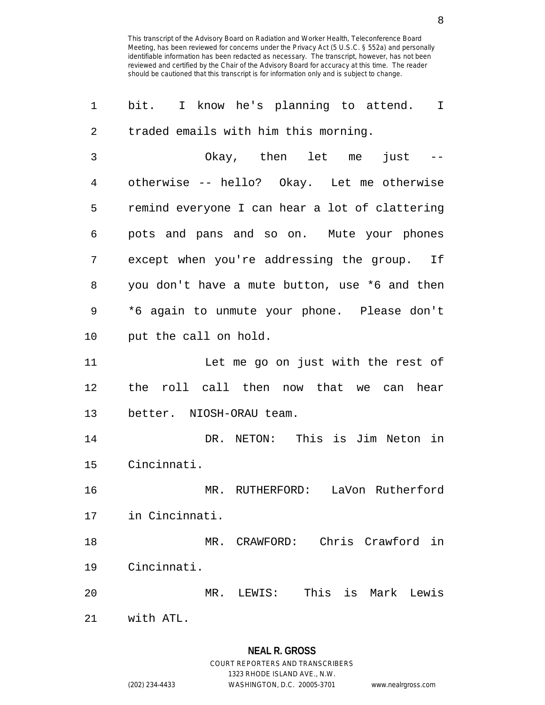1 bit. I know he's planning to attend. I 2 traded emails with him this morning. 3 Okay, then let me just -- 4 otherwise -- hello? Okay. Let me otherwise 5 remind everyone I can hear a lot of clattering 6 pots and pans and so on. Mute your phones 7 except when you're addressing the group. If 8 you don't have a mute button, use \*6 and then 9 \*6 again to unmute your phone. Please don't 10 put the call on hold. 11 Let me go on just with the rest of 12 the roll call then now that we can hear 13 better. NIOSH-ORAU team. 14 DR. NETON: This is Jim Neton in 15 Cincinnati. 16 MR. RUTHERFORD: LaVon Rutherford 17 in Cincinnati. 18 MR. CRAWFORD: Chris Crawford in 19 Cincinnati. 20 MR. LEWIS: This is Mark Lewis 21 with ATL.

1323 RHODE ISLAND AVE., N.W.

(202) 234-4433 WASHINGTON, D.C. 20005-3701 www.nealrgross.com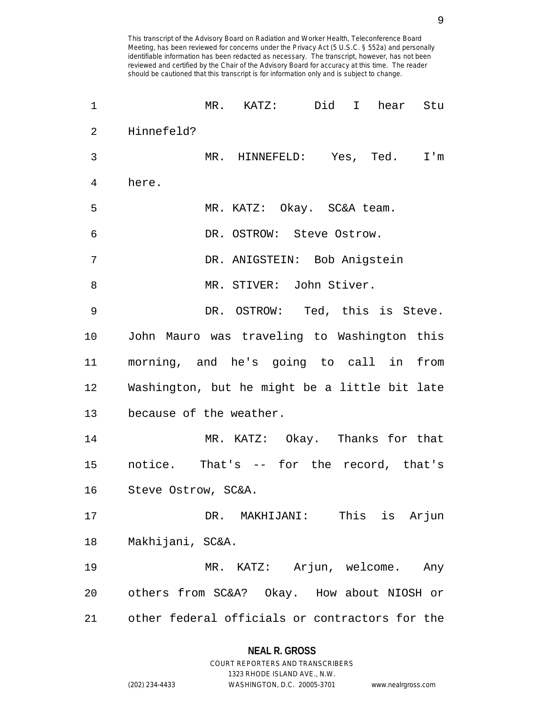| 1  | $MR$ . $KATZ$ :<br>Did I<br>Stu<br>hear        |
|----|------------------------------------------------|
| 2  | Hinnefeld?                                     |
| 3  | MR. HINNEFELD: Yes, Ted.<br>$I'$ m             |
| 4  | here.                                          |
| 5  | MR. KATZ: Okay. SC&A team.                     |
| 6  | DR. OSTROW: Steve Ostrow.                      |
| 7  | DR. ANIGSTEIN: Bob Anigstein                   |
| 8  | MR. STIVER: John Stiver.                       |
| 9  | DR. OSTROW: Ted, this is Steve.                |
| 10 | John Mauro was traveling to Washington this    |
| 11 | morning, and he's going to call in from        |
| 12 | Washington, but he might be a little bit late  |
| 13 | because of the weather.                        |
| 14 | MR. KATZ: Okay. Thanks for that                |
| 15 | notice. That's -- for the record, that's       |
| 16 | Steve Ostrow, SC&A.                            |
| 17 | DR. MAKHIJANI: This is Arjun                   |
| 18 | Makhijani, SC&A.                               |
| 19 | MR. KATZ: Arjun, welcome. Any                  |
| 20 | others from SC&A? Okay. How about NIOSH or     |
| 21 | other federal officials or contractors for the |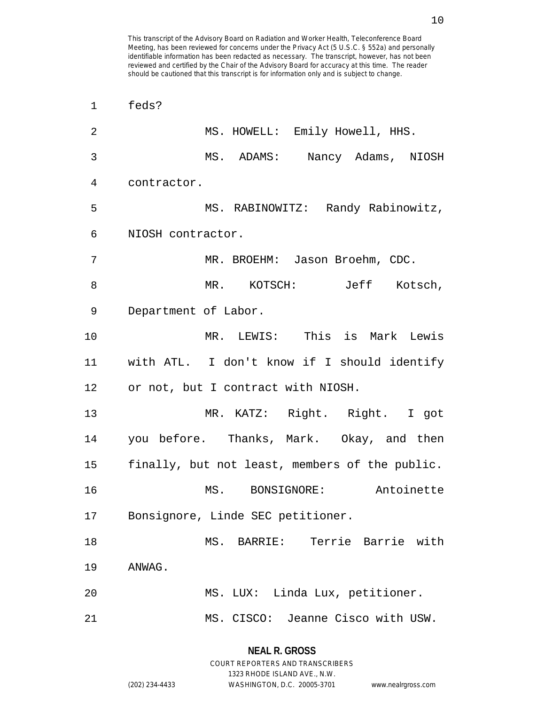| $\overline{2}$ | MS. HOWELL: Emily Howell, HHS.                 |
|----------------|------------------------------------------------|
| 3              | MS. ADAMS: Nancy Adams, NIOSH                  |
| 4              | contractor.                                    |
| 5              | MS. RABINOWITZ: Randy Rabinowitz,              |
| 6              | NIOSH contractor.                              |
| 7              | MR. BROEHM: Jason Broehm, CDC.                 |
| 8              | MR. KOTSCH: Jeff Kotsch,                       |
| 9              | Department of Labor.                           |
| 10             | MR. LEWIS: This is Mark Lewis                  |
| 11             | with ATL. I don't know if I should identify    |
| 12             | or not, but I contract with NIOSH.             |
| 13             | MR. KATZ: Right. Right. I got                  |
| 14             | you before. Thanks, Mark. Okay, and then       |
| 15             | finally, but not least, members of the public. |
| 16             | MS. BONSIGNORE: Antoinette                     |
| 17             | Bonsignore, Linde SEC petitioner.              |
| 18             | Terrie Barrie with<br>MS. BARRIE:              |
| 19             | ANWAG.                                         |
| 20             | MS. LUX: Linda Lux, petitioner.                |
| 21             | MS. CISCO: Jeanne Cisco with USW.              |

1323 RHODE ISLAND AVE., N.W.

1 feds?

(202) 234-4433 WASHINGTON, D.C. 20005-3701 www.nealrgross.com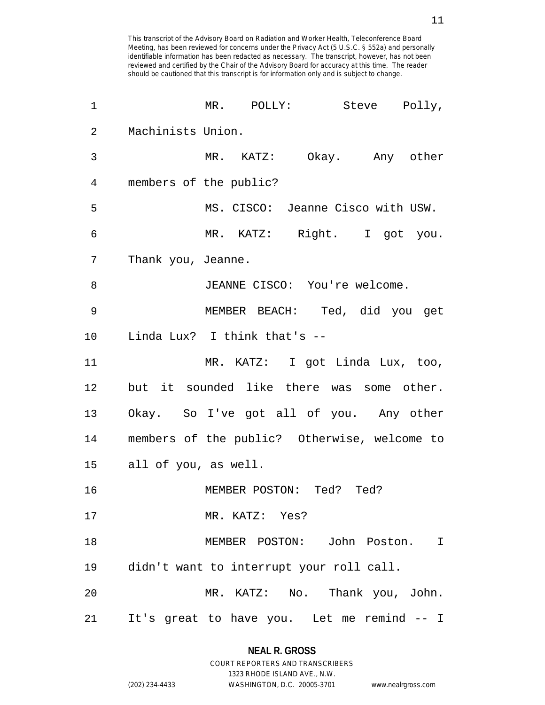| 1  | MR. POLLY: Steve Polly,                      |
|----|----------------------------------------------|
| 2  | Machinists Union.                            |
| 3  | MR. KATZ: Okay. Any other                    |
| 4  | members of the public?                       |
| 5  | MS. CISCO: Jeanne Cisco with USW.            |
| 6  | MR. KATZ: Right. I got you.                  |
| 7  | Thank you, Jeanne.                           |
| 8  | JEANNE CISCO: You're welcome.                |
| 9  | MEMBER BEACH: Ted, did you get               |
| 10 | Linda Lux? I think that's --                 |
| 11 | MR. KATZ: I got Linda Lux, too,              |
| 12 | but it sounded like there was some other.    |
| 13 | Okay. So I've got all of you. Any other      |
| 14 | members of the public? Otherwise, welcome to |
| 15 | all of you, as well.                         |
| 16 | MEMBER POSTON: Ted? Ted?                     |
| 17 | MR. KATZ: Yes?                               |
| 18 | MEMBER POSTON: John Poston.<br>$\mathbf I$   |
| 19 | didn't want to interrupt your roll call.     |
| 20 | MR. KATZ: No. Thank you, John.               |
| 21 | It's great to have you. Let me remind -- I   |

## **NEAL R. GROSS** COURT REPORTERS AND TRANSCRIBERS

1323 RHODE ISLAND AVE., N.W. (202) 234-4433 WASHINGTON, D.C. 20005-3701 www.nealrgross.com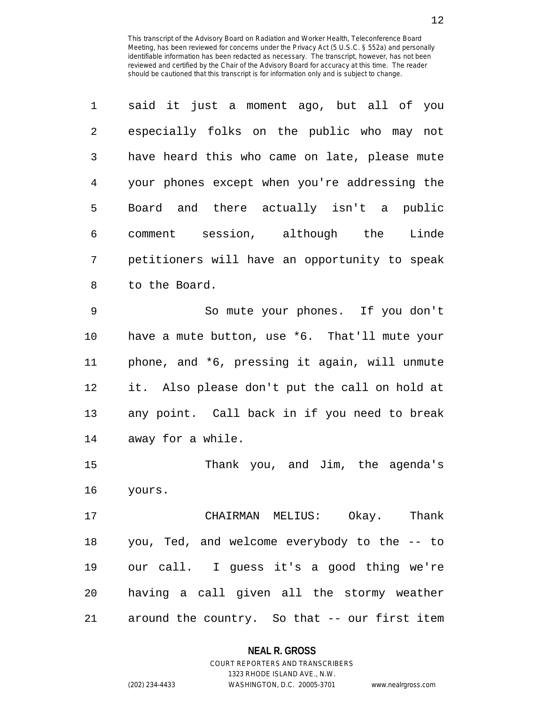| 1              | said it just a moment ago, but all of you     |
|----------------|-----------------------------------------------|
| $\overline{2}$ | especially folks on the public who may not    |
| 3              | have heard this who came on late, please mute |
| $\overline{4}$ | your phones except when you're addressing the |
| 5              | Board and there actually isn't a public       |
| 6              | comment session, although the Linde           |
| 7              | petitioners will have an opportunity to speak |
| 8              | to the Board.                                 |
| 9              | So mute your phones. If you don't             |
| 10             | have a mute button, use *6. That'll mute your |
| 11             | phone, and *6, pressing it again, will unmute |
| 12             | it. Also please don't put the call on hold at |
| 13             | any point. Call back in if you need to break  |
| 14             | away for a while.                             |
| 15             | Thank you, and Jim, the agenda's              |
| 16             | yours.                                        |
| 17             | CHAIRMAN MELIUS: Okay. Thank                  |
| 18             | you, Ted, and welcome everybody to the -- to  |
| 19             | our call. I guess it's a good thing we're     |
| 20             | having a call given all the stormy weather    |
| 21             | around the country. So that -- our first item |

#### **NEAL R. GROSS**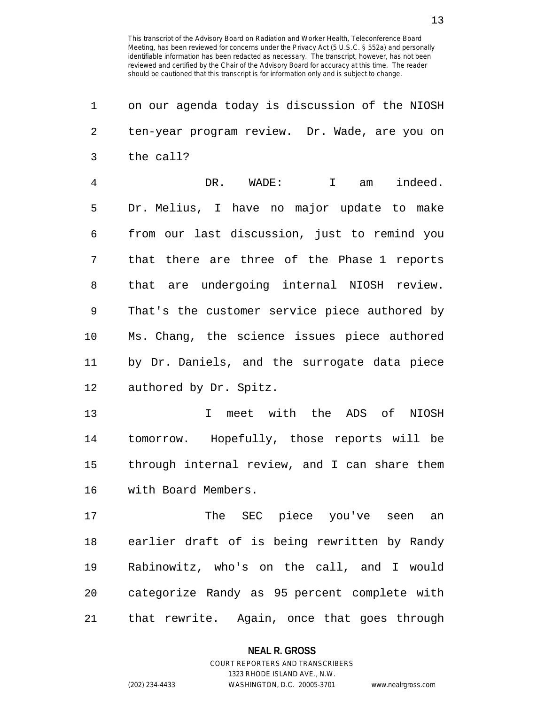13

| 1  | on our agenda today is discussion of the NIOSH |
|----|------------------------------------------------|
| 2  | ten-year program review. Dr. Wade, are you on  |
| 3  | the call?                                      |
| 4  | indeed.<br>DR. WADE:<br>$\mathbf{I}$<br>am     |
| 5  | Dr. Melius, I have no major update to make     |
| 6  | from our last discussion, just to remind you   |
| 7  | that there are three of the Phase 1 reports    |
| 8  | that are undergoing internal NIOSH review.     |
| 9  | That's the customer service piece authored by  |
| 10 | Ms. Chang, the science issues piece authored   |
| 11 | by Dr. Daniels, and the surrogate data piece   |
| 12 | authored by Dr. Spitz.                         |
| 13 | I meet with the ADS of NIOSH                   |
| 14 | tomorrow. Hopefully, those reports will be     |
| 15 | through internal review, and I can share them  |
| 16 | with Board Members.                            |
| 17 | The SEC piece you've seen an                   |
| 18 | earlier draft of is being rewritten by Randy   |
| 19 | Rabinowitz, who's on the call, and I would     |
| 20 | categorize Randy as 95 percent complete with   |
| 21 | that rewrite. Again, once that goes through    |

## **NEAL R. GROSS**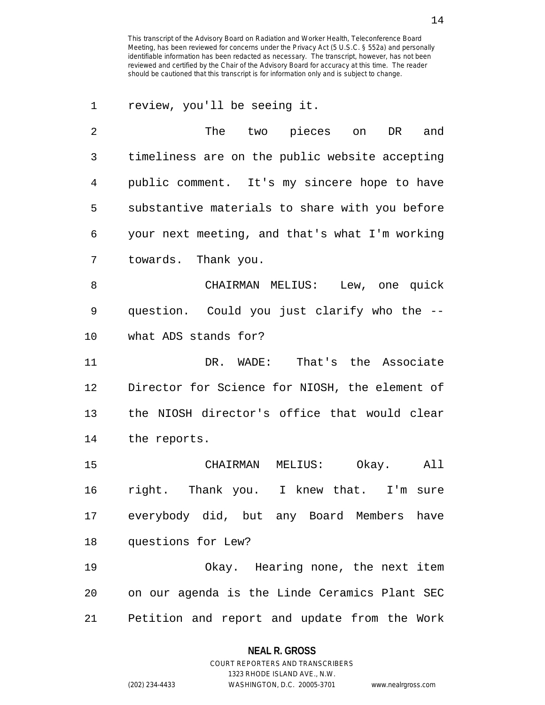1 review, you'll be seeing it.

| 2  | The<br>two pieces on<br>DR<br>and              |
|----|------------------------------------------------|
| 3  | timeliness are on the public website accepting |
| 4  | public comment. It's my sincere hope to have   |
| 5  | substantive materials to share with you before |
| 6  | your next meeting, and that's what I'm working |
| 7  | towards. Thank you.                            |
| 8  | CHAIRMAN MELIUS: Lew, one quick                |
| 9  | question. Could you just clarify who the --    |
| 10 | what ADS stands for?                           |
| 11 | DR. WADE: That's the Associate                 |
| 12 | Director for Science for NIOSH, the element of |
| 13 | the NIOSH director's office that would clear   |
| 14 | the reports.                                   |
| 15 | CHAIRMAN MELIUS: Okay.<br>All                  |
| 16 | right. Thank you. I knew that. I'm sure        |
| 17 | everybody did, but any Board Members<br>have   |
| 18 | questions for Lew?                             |
| 19 | Okay. Hearing none, the next item              |
| 20 | on our agenda is the Linde Ceramics Plant SEC  |
| 21 | Petition and report and update from the Work   |

**NEAL R. GROSS** COURT REPORTERS AND TRANSCRIBERS

1323 RHODE ISLAND AVE., N.W.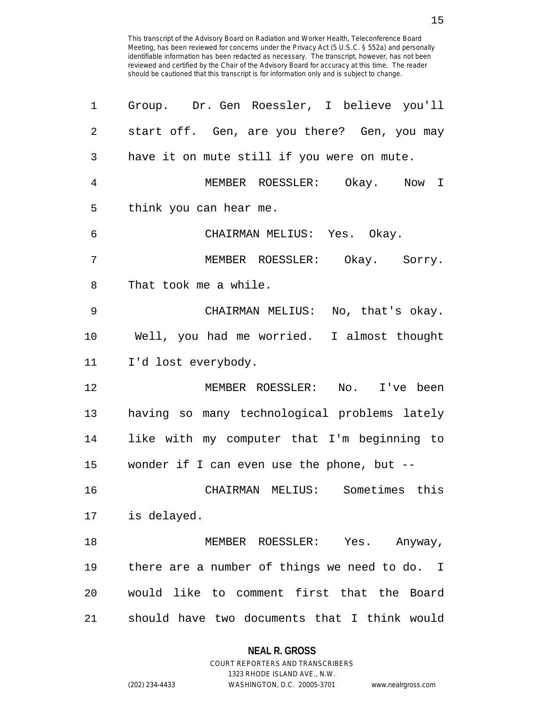15

| 1              | Group. Dr. Gen Roessler, I believe you'll     |
|----------------|-----------------------------------------------|
| $\overline{2}$ | start off. Gen, are you there? Gen, you may   |
| 3              | have it on mute still if you were on mute.    |
| $\overline{4}$ | MEMBER ROESSLER: Okay. Now I                  |
| 5              | think you can hear me.                        |
| 6              | CHAIRMAN MELIUS: Yes. Okay.                   |
| 7              | MEMBER ROESSLER: Okay. Sorry.                 |
| 8              | That took me a while.                         |
| 9              | CHAIRMAN MELIUS: No, that's okay.             |
| 10             | Well, you had me worried. I almost thought    |
| 11             | I'd lost everybody.                           |
| 12             | MEMBER ROESSLER: No. I've been                |
| 13             | having so many technological problems lately  |
| 14             | like with my computer that I'm beginning to   |
| 15             | wonder if I can even use the phone, but --    |
| 16             | CHAIRMAN MELIUS: Sometimes this               |
| 17             | is delayed.                                   |
| 18             | MEMBER ROESSLER: Yes. Anyway,                 |
| 19             | there are a number of things we need to do. I |
| 20             | would like to comment first that the Board    |
| 21             | should have two documents that I think would  |

## **NEAL R. GROSS**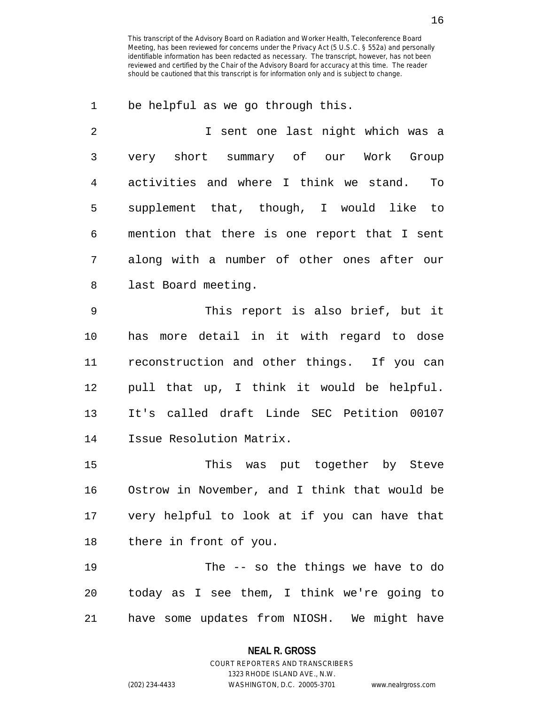1 be helpful as we go through this.

| $\mathfrak{D}$ | I sent one last night which was a            |
|----------------|----------------------------------------------|
| 3              | very short summary of our Work Group         |
| 4              | activities and where I think we stand.<br>To |
| 5              | supplement that, though, I would like to     |
| 6              | mention that there is one report that I sent |
| 7              | along with a number of other ones after our  |
| 8              | last Board meeting.                          |
|                |                                              |

9 This report is also brief, but it 10 has more detail in it with regard to dose 11 reconstruction and other things. If you can 12 pull that up, I think it would be helpful. 13 It's called draft Linde SEC Petition 00107 14 Issue Resolution Matrix.

15 This was put together by Steve 16 Ostrow in November, and I think that would be 17 very helpful to look at if you can have that 18 there in front of you.

19 The -- so the things we have to do 20 today as I see them, I think we're going to 21 have some updates from NIOSH. We might have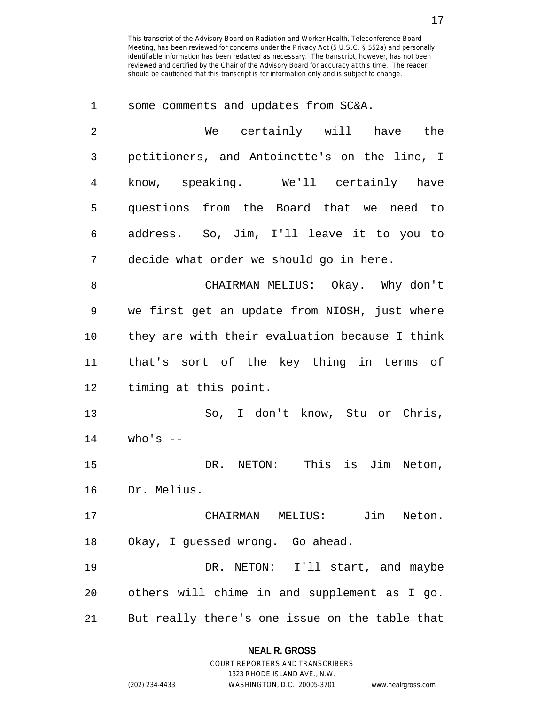1 some comments and updates from SC&A. 2 We certainly will have the 3 petitioners, and Antoinette's on the line, I 4 know, speaking. We'll certainly have 5 questions from the Board that we need to 6 address. So, Jim, I'll leave it to you to 7 decide what order we should go in here. 8 CHAIRMAN MELIUS: Okay. Why don't 9 we first get an update from NIOSH, just where 10 they are with their evaluation because I think 11 that's sort of the key thing in terms of 12 timing at this point. 13 So, I don't know, Stu or Chris,  $14$  who's  $-$ 15 DR. NETON: This is Jim Neton, 16 Dr. Melius. 17 CHAIRMAN MELIUS: Jim Neton. 18 Okay, I guessed wrong. Go ahead. 19 DR. NETON: I'll start, and maybe 20 others will chime in and supplement as I go. 21 But really there's one issue on the table that

### **NEAL R. GROSS** COURT REPORTERS AND TRANSCRIBERS

1323 RHODE ISLAND AVE., N.W. (202) 234-4433 WASHINGTON, D.C. 20005-3701 www.nealrgross.com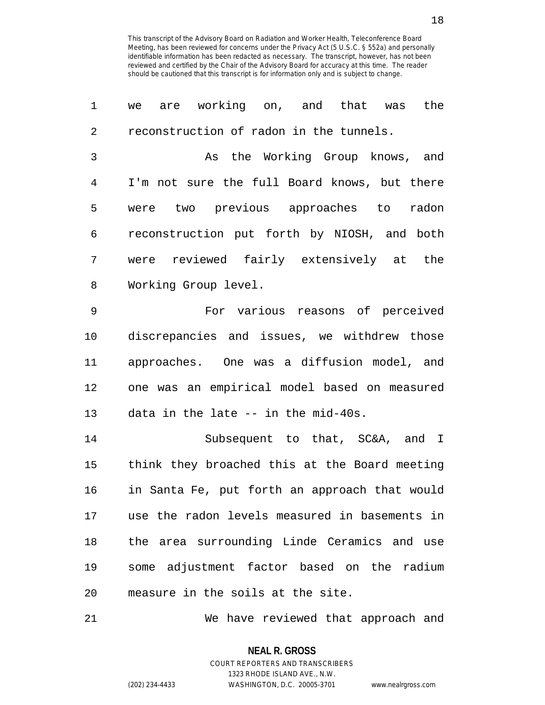1 we are working on, and that was the 2 reconstruction of radon in the tunnels. 3 As the Working Group knows, and 4 I'm not sure the full Board knows, but there 5 were two previous approaches to radon 6 reconstruction put forth by NIOSH, and both 7 were reviewed fairly extensively at the 8 Working Group level. 9 For various reasons of perceived 10 discrepancies and issues, we withdrew those 11 approaches. One was a diffusion model, and 12 one was an empirical model based on measured 13 data in the late -- in the mid-40s. 14 Subsequent to that, SC&A, and I 15 think they broached this at the Board meeting 16 in Santa Fe, put forth an approach that would 17 use the radon levels measured in basements in 18 the area surrounding Linde Ceramics and use 19 some adjustment factor based on the radium 20 measure in the soils at the site.

21 We have reviewed that approach and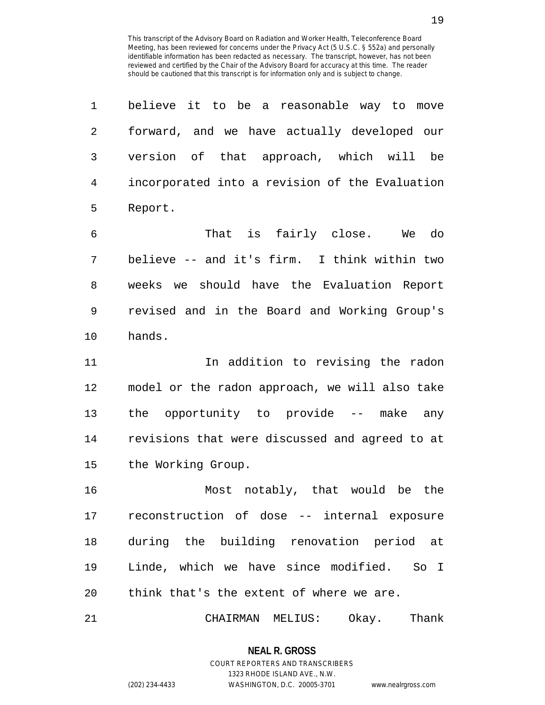1 believe it to be a reasonable way to move 2 forward, and we have actually developed our 3 version of that approach, which will be 4 incorporated into a revision of the Evaluation 5 Report. 6 That is fairly close. We do 7 believe -- and it's firm. I think within two 8 weeks we should have the Evaluation Report 9 revised and in the Board and Working Group's 10 hands. 11 In addition to revising the radon 12 model or the radon approach, we will also take 13 the opportunity to provide -- make any 14 revisions that were discussed and agreed to at 15 the Working Group. 16 Most notably, that would be the 17 reconstruction of dose -- internal exposure 18 during the building renovation period at 19 Linde, which we have since modified. So I 20 think that's the extent of where we are. 21 CHAIRMAN MELIUS: Okay. Thank

> **NEAL R. GROSS** COURT REPORTERS AND TRANSCRIBERS

> > 1323 RHODE ISLAND AVE., N.W.

(202) 234-4433 WASHINGTON, D.C. 20005-3701 www.nealrgross.com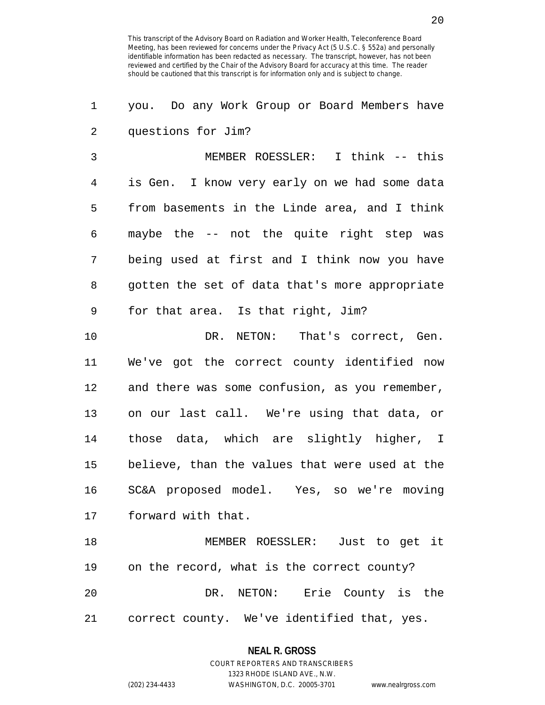1 you. Do any Work Group or Board Members have 2 questions for Jim?

3 MEMBER ROESSLER: I think -- this 4 is Gen. I know very early on we had some data 5 from basements in the Linde area, and I think 6 maybe the -- not the quite right step was 7 being used at first and I think now you have 8 gotten the set of data that's more appropriate 9 for that area. Is that right, Jim?

10 DR. NETON: That's correct, Gen. 11 We've got the correct county identified now 12 and there was some confusion, as you remember, 13 on our last call. We're using that data, or 14 those data, which are slightly higher, I 15 believe, than the values that were used at the 16 SC&A proposed model. Yes, so we're moving 17 forward with that.

18 MEMBER ROESSLER: Just to get it 19 on the record, what is the correct county? 20 DR. NETON: Erie County is the 21 correct county. We've identified that, yes.

#### **NEAL R. GROSS**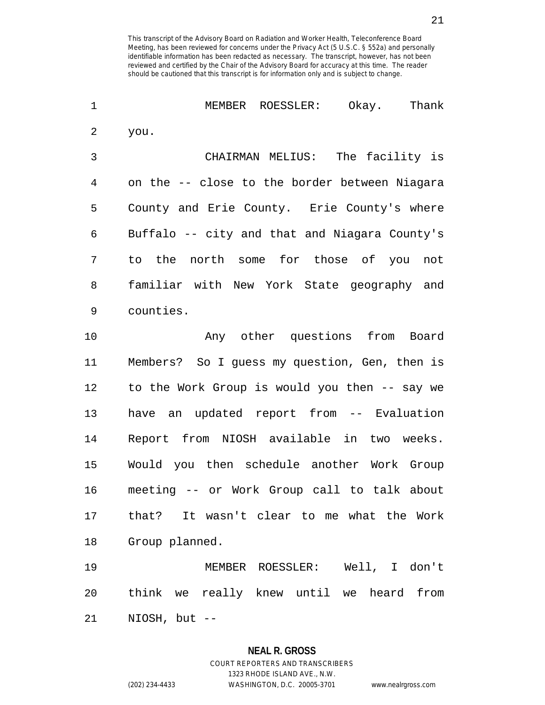| $\mathbf 1$    | MEMBER ROESSLER: Okay. Thank                  |
|----------------|-----------------------------------------------|
| $\overline{2}$ | you.                                          |
| 3              | CHAIRMAN MELIUS: The facility is              |
| 4              | on the -- close to the border between Niagara |
| 5              | County and Erie County. Erie County's where   |
| 6              | Buffalo -- city and that and Niagara County's |
| 7              | to the north some for those of you not        |
| 8              | familiar with New York State geography and    |
| 9              | counties.                                     |
| 10             | Any other questions from Board                |
| 11             | Members? So I guess my question, Gen, then is |
| 12             | to the Work Group is would you then -- say we |
| 13             | have an updated report from -- Evaluation     |
| 14             | Report from NIOSH available in two weeks.     |
| 15             | Would you then schedule another Work Group    |
| 16             | meeting -- or Work Group call to talk about   |
| 17             | that? It wasn't clear to me what the Work     |
| 18             | Group planned.                                |
| 19             | MEMBER ROESSLER: Well, I don't                |
| 20             | think we really knew until we heard from      |
|                |                                               |

21 NIOSH, but --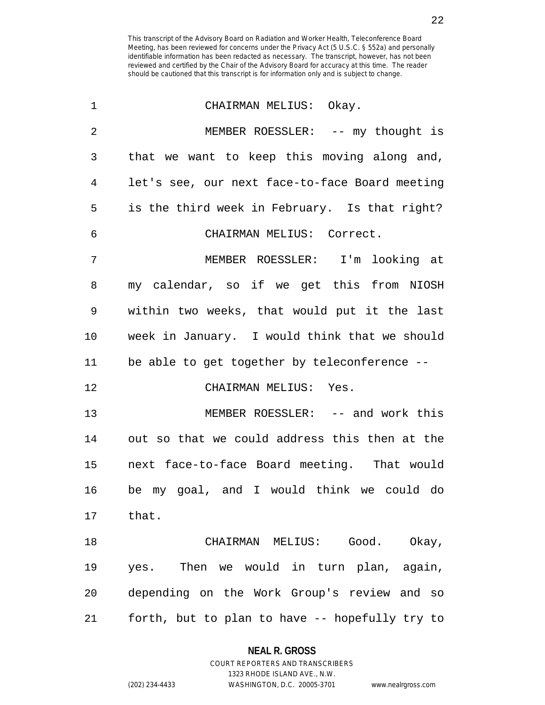| $\mathbf 1$    | CHAIRMAN MELIUS: Okay.                         |
|----------------|------------------------------------------------|
| $\overline{2}$ | MEMBER ROESSLER: -- my thought is              |
| 3              | that we want to keep this moving along and,    |
| 4              | let's see, our next face-to-face Board meeting |
| 5              | is the third week in February. Is that right?  |
| 6              | CHAIRMAN MELIUS: Correct.                      |
| 7              | MEMBER ROESSLER: I'm looking at                |
| 8              | my calendar, so if we get this from NIOSH      |
| 9              | within two weeks, that would put it the last   |
| $10 \,$        | week in January. I would think that we should  |
| 11             | be able to get together by teleconference --   |
| 12             | CHAIRMAN MELIUS: Yes.                          |
| 13             | MEMBER ROESSLER: -- and work this              |
| 14             | out so that we could address this then at the  |
| 15             | next face-to-face Board meeting. That would    |
| 16             | be my goal, and I would think we could do      |
| 17             | that.                                          |
| 18             | CHAIRMAN MELIUS: Good. Okay,                   |
| 19             | yes. Then we would in turn plan, again,        |
| 20             | depending on the Work Group's review and so    |
| 21             | forth, but to plan to have -- hopefully try to |

**NEAL R. GROSS** COURT REPORTERS AND TRANSCRIBERS

1323 RHODE ISLAND AVE., N.W.

(202) 234-4433 WASHINGTON, D.C. 20005-3701 www.nealrgross.com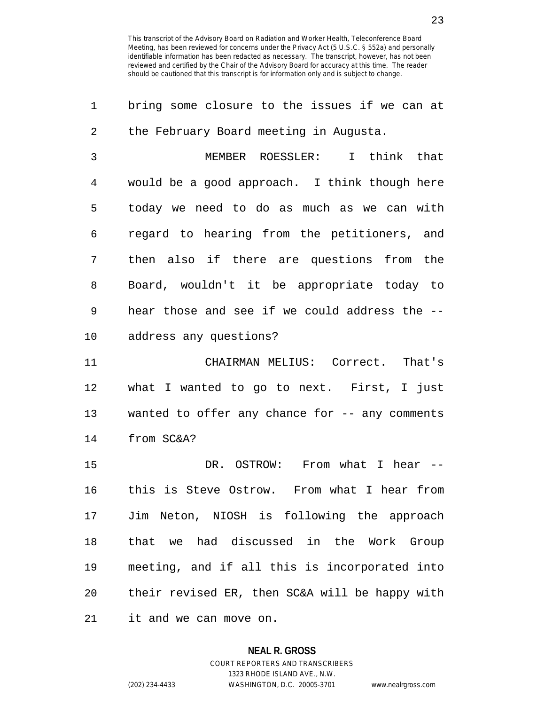| 1  | bring some closure to the issues if we can at  |
|----|------------------------------------------------|
| 2  | the February Board meeting in Augusta.         |
| 3  | MEMBER ROESSLER: I think that                  |
| 4  | would be a good approach. I think though here  |
| 5  | today we need to do as much as we can with     |
| 6  | regard to hearing from the petitioners, and    |
| 7  | then also if there are questions from the      |
| 8  | Board, wouldn't it be appropriate today to     |
| 9  | hear those and see if we could address the --  |
| 10 | address any questions?                         |
| 11 | CHAIRMAN MELIUS: Correct. That's               |
| 12 | what I wanted to go to next. First, I just     |
| 13 | wanted to offer any chance for -- any comments |
| 14 | from SC&A?                                     |
| 15 | DR. OSTROW: From what I hear --                |
| 16 | this is Steve Ostrow. From what I hear from    |
| 17 | Jim Neton, NIOSH is following the approach     |
| 18 | that we had discussed in the Work Group        |
| 19 | meeting, and if all this is incorporated into  |
| 20 | their revised ER, then SC&A will be happy with |
|    |                                                |

21 it and we can move on.

#### **NEAL R. GROSS**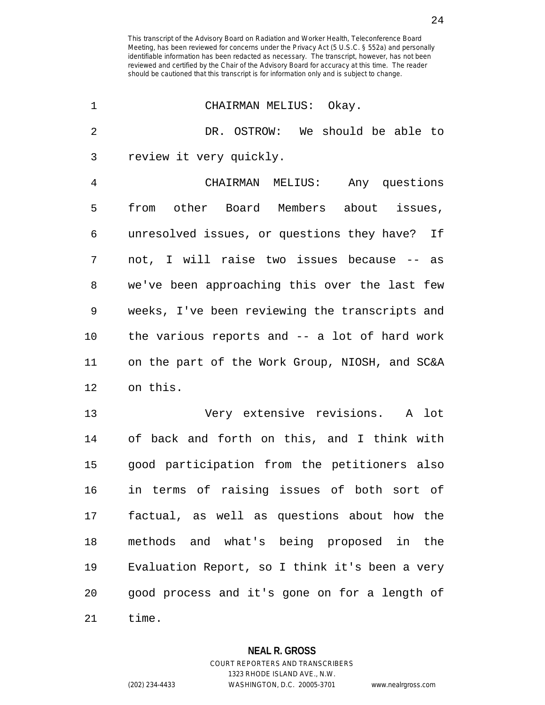| 1  | CHAIRMAN MELIUS: Okay.                         |
|----|------------------------------------------------|
| 2  | DR. OSTROW: We should be able to               |
| 3  | review it very quickly.                        |
| 4  | CHAIRMAN MELIUS: Any questions                 |
| 5  | other Board Members about issues,<br>from      |
| 6  | unresolved issues, or questions they have? If  |
| 7  | not, I will raise two issues because -- as     |
| 8  | we've been approaching this over the last few  |
| 9  | weeks, I've been reviewing the transcripts and |
| 10 | the various reports and -- a lot of hard work  |
| 11 | on the part of the Work Group, NIOSH, and SC&A |
| 12 | on this.                                       |
| 13 | Very extensive revisions. A lot                |
| 14 | of back and forth on this, and I think with    |
| 15 | good participation from the petitioners also   |
| 16 | in terms of raising issues of both sort of     |
| 17 | factual, as well as questions about how the    |
| 18 | methods and what's being proposed in the       |
| 19 | Evaluation Report, so I think it's been a very |
| 20 | good process and it's gone on for a length of  |
| 21 | time.                                          |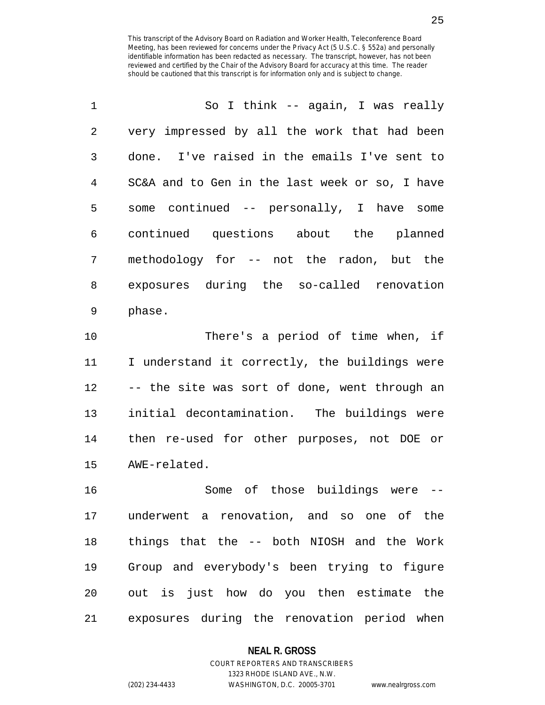| $\mathbf 1$ | So I think -- again, I was really              |
|-------------|------------------------------------------------|
| 2           | very impressed by all the work that had been   |
| 3           | done. I've raised in the emails I've sent to   |
| 4           | SC&A and to Gen in the last week or so, I have |
| 5           | some continued -- personally, I have some      |
| 6           | continued questions about the planned          |
| 7           | methodology for -- not the radon, but the      |
| 8           | exposures during the so-called renovation      |
| 9           | phase.                                         |
|             |                                                |

11 I understand it correctly, the buildings were 12 -- the site was sort of done, went through an 13 initial decontamination. The buildings were 14 then re-used for other purposes, not DOE or 15 AWE-related.

16 Some of those buildings were -- 17 underwent a renovation, and so one of the 18 things that the -- both NIOSH and the Work 19 Group and everybody's been trying to figure 20 out is just how do you then estimate the 21 exposures during the renovation period when

#### **NEAL R. GROSS**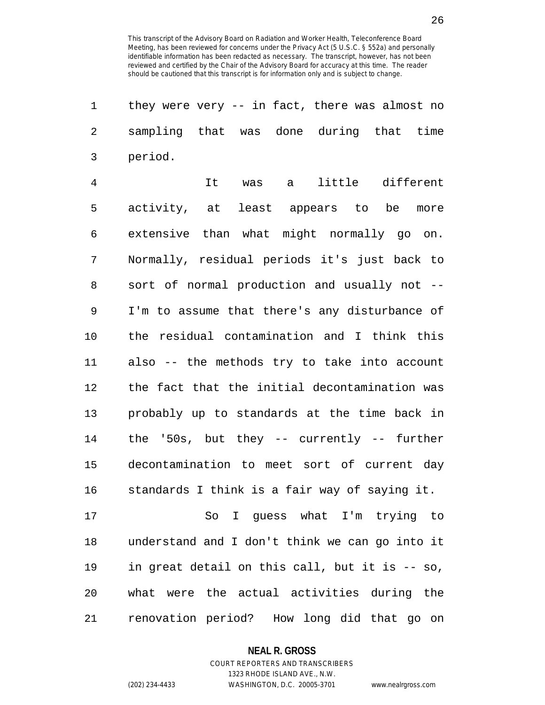| 1              | they were very $-$ in fact, there was almost no |
|----------------|-------------------------------------------------|
| 2              | sampling that was done during that time         |
| 3              | period.                                         |
| $\overline{4}$ | It was a little different                       |
| 5              | activity, at least appears to be<br>more        |
| 6              | extensive than what might normally go on.       |
| 7              | Normally, residual periods it's just back to    |
| 8              | sort of normal production and usually not --    |
| 9              | I'm to assume that there's any disturbance of   |
| 10             | the residual contamination and I think this     |
| 11             | also -- the methods try to take into account    |
| 12             | the fact that the initial decontamination was   |
| 13             | probably up to standards at the time back in    |
| 14             | the '50s, but they $-$ currently $-$ further    |
| 15             | decontamination to meet sort of current day     |
| 16             | standards I think is a fair way of saying it.   |
| 17             | So I guess what I'm trying to                   |
| 18             | understand and I don't think we can go into it  |
| 19             | in great detail on this call, but it is -- so,  |
| 20             | what were the actual activities during the      |
| 21             | renovation period? How long did that go on      |

**NEAL R. GROSS**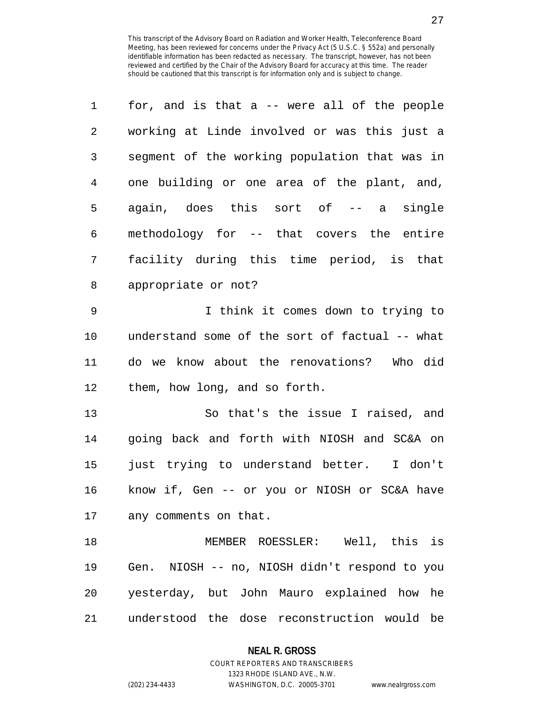| 1              | for, and is that a -- were all of the people   |
|----------------|------------------------------------------------|
| 2              | working at Linde involved or was this just a   |
| 3              | segment of the working population that was in  |
| $\overline{4}$ | one building or one area of the plant, and,    |
| 5              | again, does this sort of -- a single           |
| 6              | methodology for -- that covers the entire      |
| 7              | facility during this time period, is that      |
| 8              | appropriate or not?                            |
| $\mathsf 9$    | I think it comes down to trying to             |
| 10             | understand some of the sort of factual -- what |
| 11             | do we know about the renovations? Who did      |
| 12             | them, how long, and so forth.                  |
| 13             | So that's the issue I raised, and              |
| 14             | going back and forth with NIOSH and SC&A on    |
| 15             | just trying to understand better. I don't      |
| 16             | know if, Gen -- or you or NIOSH or SC&A have   |
| 17             | any comments on that.                          |
| 18             | MEMBER ROESSLER: Well, this is                 |
| 19             | Gen. NIOSH -- no, NIOSH didn't respond to you  |
| 20             | yesterday, but John Mauro explained how he     |
| 21             | understood the dose reconstruction would be    |

**NEAL R. GROSS** COURT REPORTERS AND TRANSCRIBERS

1323 RHODE ISLAND AVE., N.W.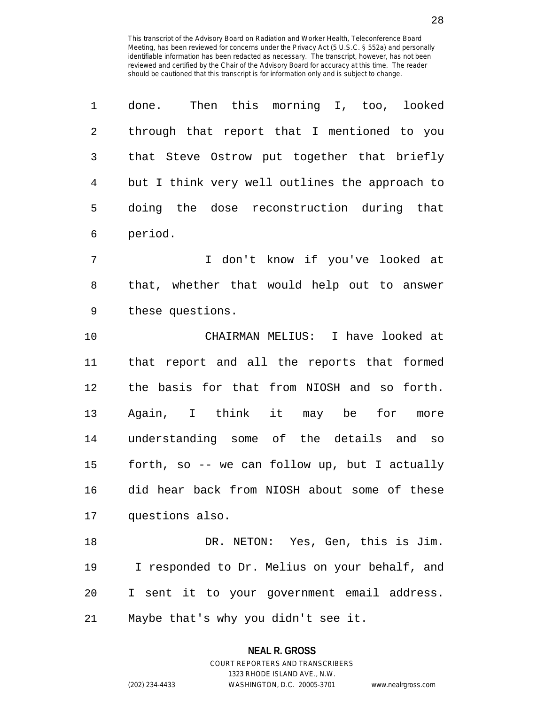| 1  | done. Then this morning I, too, looked         |
|----|------------------------------------------------|
| 2  | through that report that I mentioned to you    |
| 3  | that Steve Ostrow put together that briefly    |
| 4  | but I think very well outlines the approach to |
| 5  | doing the dose reconstruction during that      |
| 6  | period.                                        |
| 7  | I don't know if you've looked at               |
| 8  | that, whether that would help out to answer    |
| 9  | these questions.                               |
| 10 | CHAIRMAN MELIUS: I have looked at              |
| 11 | that report and all the reports that formed    |
| 12 | the basis for that from NIOSH and so forth.    |
| 13 | Again, I think it may be for<br>more           |
| 14 | understanding some of the details and so       |
| 15 | forth, so -- we can follow up, but I actually  |
| 16 | did hear back from NIOSH about some of these   |
| 17 | questions also.                                |
| 18 | DR. NETON: Yes, Gen, this is Jim.              |
| 19 | I responded to Dr. Melius on your behalf, and  |
| 20 | I sent it to your government email address.    |
| 21 | Maybe that's why you didn't see it.            |

1323 RHODE ISLAND AVE., N.W.

(202) 234-4433 WASHINGTON, D.C. 20005-3701 www.nealrgross.com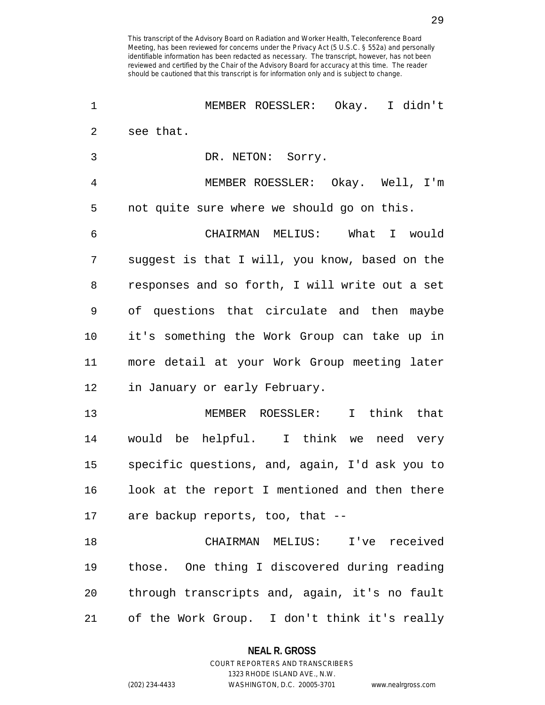| 1  | MEMBER ROESSLER: Okay. I didn't                |
|----|------------------------------------------------|
| 2  | see that.                                      |
| 3  | DR. NETON: Sorry.                              |
| 4  | MEMBER ROESSLER: Okay. Well, I'm               |
| 5  | not quite sure where we should go on this.     |
| 6  | CHAIRMAN MELIUS: What I would                  |
| 7  | suggest is that I will, you know, based on the |
| 8  | responses and so forth, I will write out a set |
| 9  | of questions that circulate and then maybe     |
| 10 | it's something the Work Group can take up in   |
| 11 | more detail at your Work Group meeting later   |
| 12 | in January or early February.                  |
| 13 | I think that<br>MEMBER ROESSLER:               |
| 14 | would be helpful. I think we need very         |
| 15 | specific questions, and, again, I'd ask you to |
| 16 | look at the report I mentioned and then there  |
|    | 17 are backup reports, too, that --            |
| 18 | CHAIRMAN MELIUS: I've received                 |
| 19 | those. One thing I discovered during reading   |
| 20 | through transcripts and, again, it's no fault  |
| 21 | of the Work Group. I don't think it's really   |

**NEAL R. GROSS** COURT REPORTERS AND TRANSCRIBERS

1323 RHODE ISLAND AVE., N.W.

(202) 234-4433 WASHINGTON, D.C. 20005-3701 www.nealrgross.com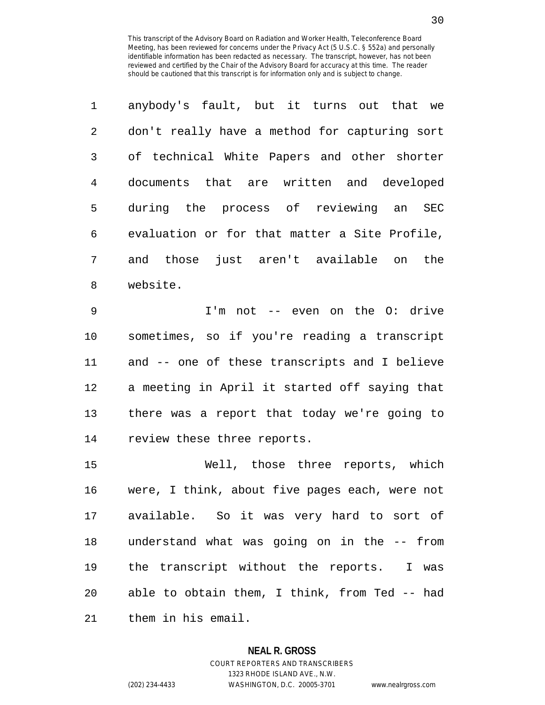| $\mathbf 1$    | anybody's fault, but it turns out that we     |
|----------------|-----------------------------------------------|
| $\mathfrak{D}$ | don't really have a method for capturing sort |
| 3              | of technical White Papers and other shorter   |
| 4              | documents that are written and developed      |
| 5              | during the process of reviewing an<br>SEC     |
| 6              | evaluation or for that matter a Site Profile, |
| 7              | those just aren't available on<br>the<br>and  |
| 8              | website.                                      |

9 I'm not -- even on the O: drive 10 sometimes, so if you're reading a transcript 11 and -- one of these transcripts and I believe 12 a meeting in April it started off saying that 13 there was a report that today we're going to 14 review these three reports.

15 Well, those three reports, which 16 were, I think, about five pages each, were not 17 available. So it was very hard to sort of 18 understand what was going on in the -- from 19 the transcript without the reports. I was 20 able to obtain them, I think, from Ted -- had 21 them in his email.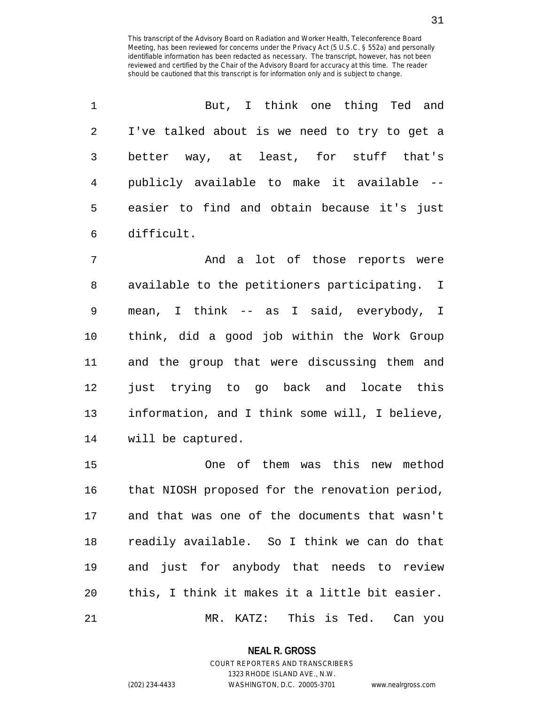| 1              | But, I think one thing Ted and                 |
|----------------|------------------------------------------------|
| 2              | I've talked about is we need to try to get a   |
| 3              | better way, at least, for stuff that's         |
| $\overline{4}$ | publicly available to make it available --     |
| 5              | easier to find and obtain because it's just    |
| 6              | difficult.                                     |
| 7              | And a lot of those reports were                |
| 8              | available to the petitioners participating. I  |
| 9              | mean, I think -- as I said, everybody, I       |
| $10 \,$        | think, did a good job within the Work Group    |
| 11             | and the group that were discussing them and    |
| 12             | just trying to go back and locate this         |
| 13             | information, and I think some will, I believe, |
| 14             | will be captured.                              |
| 15             | One of them was this new method                |
| 16             | that NIOSH proposed for the renovation period, |
| 17             | and that was one of the documents that wasn't  |
| 18             | readily available. So I think we can do that   |
| 19             | and just for anybody that needs to review      |

21 MR. KATZ: This is Ted. Can you

20 this, I think it makes it a little bit easier.

**NEAL R. GROSS** COURT REPORTERS AND TRANSCRIBERS

1323 RHODE ISLAND AVE., N.W.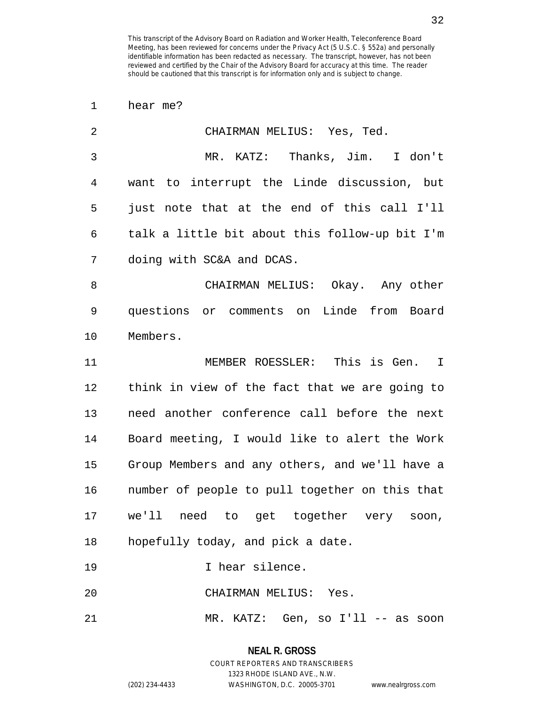1 hear me?

| $\overline{a}$ | CHAIRMAN MELIUS: Yes, Ted.                     |
|----------------|------------------------------------------------|
| 3              | MR. KATZ: Thanks, Jim. I don't                 |
| 4              | want to interrupt the Linde discussion, but    |
| 5              | just note that at the end of this call I'll    |
| 6              | talk a little bit about this follow-up bit I'm |
| 7              | doing with SC&A and DCAS.                      |
| 8              | CHAIRMAN MELIUS: Okay. Any other               |
| 9              | questions or comments on Linde from Board      |
| $10 \,$        | Members.                                       |
| 11             | MEMBER ROESSLER: This is Gen. I                |
| 12             | think in view of the fact that we are going to |
| 13             | need another conference call before the next   |
| 14             | Board meeting, I would like to alert the Work  |
| 15             | Group Members and any others, and we'll have a |
| 16             | number of people to pull together on this that |
| 17             | we'll need to get together very<br>soon,       |
| 18             | hopefully today, and pick a date.              |
| 19             | I hear silence.                                |
| 20             | CHAIRMAN MELIUS: Yes.                          |
| 21             | MR. KATZ: Gen, so I'll -- as<br>soon           |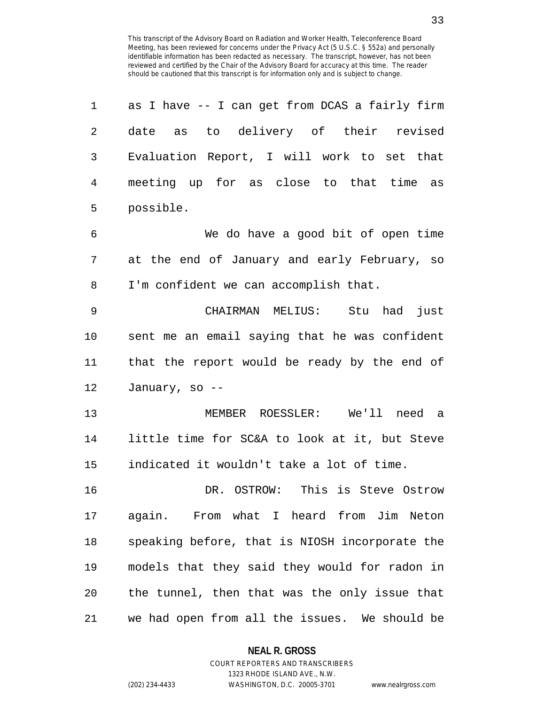| 1       | as I have -- I can get from DCAS a fairly firm |
|---------|------------------------------------------------|
| 2       | as to delivery of their revised<br>date        |
| 3       | Evaluation Report, I will work to set that     |
| 4       | meeting up for as close to that time as        |
| 5       | possible.                                      |
| 6       | We do have a good bit of open time             |
| 7       | at the end of January and early February, so   |
| 8       | I'm confident we can accomplish that.          |
| 9       | CHAIRMAN MELIUS:<br>Stu had<br>just            |
| $10 \,$ | sent me an email saying that he was confident  |
| 11      | that the report would be ready by the end of   |
| 12      | January, so --                                 |
| 13      | MEMBER ROESSLER: We'll need a                  |
| 14      | little time for SC&A to look at it, but Steve  |
| 15      | indicated it wouldn't take a lot of time.      |
| 16      | This is Steve Ostrow<br>DR. OSTROW:            |
| 17      | again. From what I heard from Jim Neton        |
| 18      | speaking before, that is NIOSH incorporate the |
| 19      | models that they said they would for radon in  |
| 20      | the tunnel, then that was the only issue that  |
| 21      | we had open from all the issues. We should be  |

## **NEAL R. GROSS** COURT REPORTERS AND TRANSCRIBERS

1323 RHODE ISLAND AVE., N.W. (202) 234-4433 WASHINGTON, D.C. 20005-3701 www.nealrgross.com

33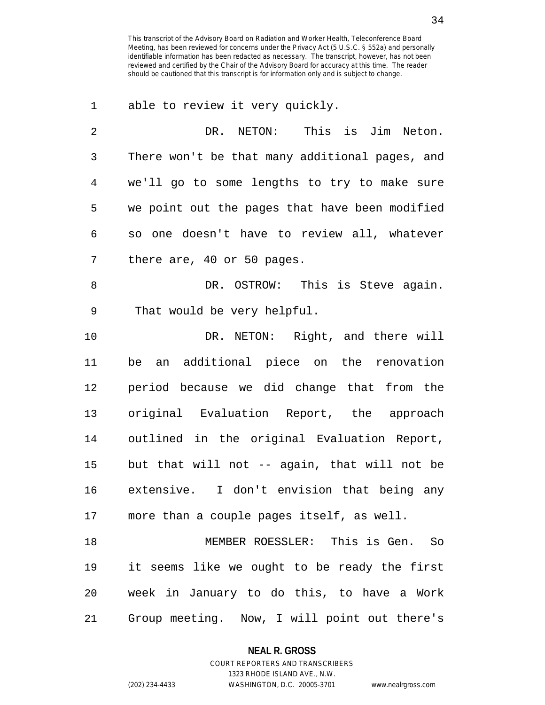1 able to review it very quickly.

| 2  | This is Jim Neton.<br>DR. NETON:               |
|----|------------------------------------------------|
| 3  | There won't be that many additional pages, and |
| 4  | we'll go to some lengths to try to make sure   |
| 5  | we point out the pages that have been modified |
| 6  | so one doesn't have to review all, whatever    |
| 7  | there are, 40 or 50 pages.                     |
| -8 | This is Steve again.<br>DR. OSTROW:            |

9 That would be very helpful.

10 DR. NETON: Right, and there will 11 be an additional piece on the renovation 12 period because we did change that from the 13 original Evaluation Report, the approach 14 outlined in the original Evaluation Report, 15 but that will not -- again, that will not be 16 extensive. I don't envision that being any 17 more than a couple pages itself, as well.

18 MEMBER ROESSLER: This is Gen. So 19 it seems like we ought to be ready the first 20 week in January to do this, to have a Work 21 Group meeting. Now, I will point out there's

#### **NEAL R. GROSS**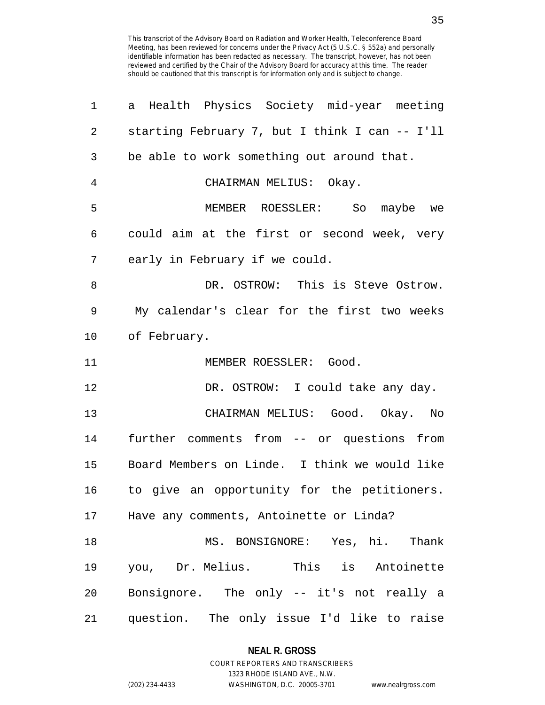| 1              | Health Physics Society mid-year meeting<br>а   |
|----------------|------------------------------------------------|
| 2              | starting February 7, but I think I can -- I'll |
| 3              | be able to work something out around that.     |
| $\overline{4}$ | CHAIRMAN MELIUS: Okay.                         |
| 5              | MEMBER ROESSLER: So maybe we                   |
| 6              | could aim at the first or second week, very    |
| 7              | early in February if we could.                 |
| 8              | DR. OSTROW: This is Steve Ostrow.              |
| 9              | My calendar's clear for the first two weeks    |
| 10             | of February.                                   |
| 11             | MEMBER ROESSLER: Good.                         |
| 12             | DR. OSTROW: I could take any day.              |
| 13             | CHAIRMAN MELIUS: Good. Okay. No                |
| 14             | further comments from -- or questions from     |
| 15             | Board Members on Linde. I think we would like  |
| 16             | to give an opportunity for the petitioners.    |
| 17             | Have any comments, Antoinette or Linda?        |
| 18             | MS. BONSIGNORE: Yes, hi. Thank                 |
| 19             | you, Dr. Melius. This is Antoinette            |
| 20             | Bonsignore. The only -- it's not really a      |
| 21             | question. The only issue I'd like to raise     |

## **NEAL R. GROSS** COURT REPORTERS AND TRANSCRIBERS

1323 RHODE ISLAND AVE., N.W. (202) 234-4433 WASHINGTON, D.C. 20005-3701 www.nealrgross.com

35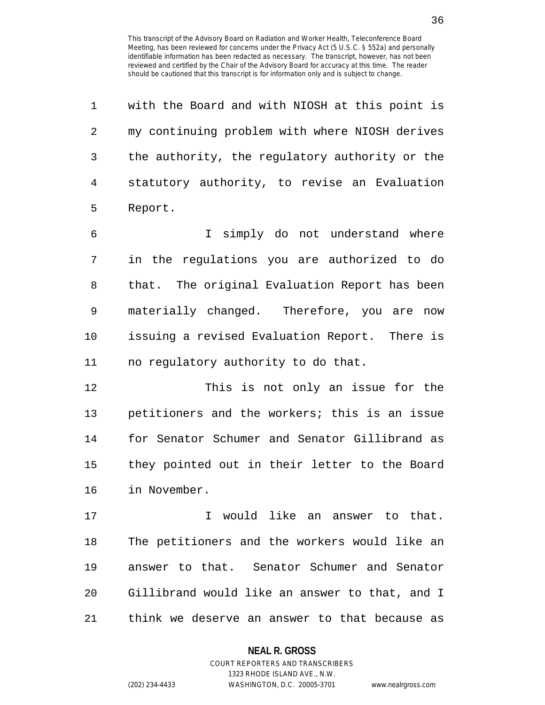| 1           | with the Board and with NIOSH at this point is |
|-------------|------------------------------------------------|
| 2           | my continuing problem with where NIOSH derives |
| 3           | the authority, the regulatory authority or the |
| 4           | statutory authority, to revise an Evaluation   |
| 5           | Report.                                        |
| 6           | I simply do not understand where               |
| 7           | in the regulations you are authorized to do    |
| 8           | that. The original Evaluation Report has been  |
| $\mathsf 9$ | materially changed. Therefore, you are now     |
| 10          | issuing a revised Evaluation Report. There is  |
| 11          | no regulatory authority to do that.            |
| 12          | This is not only an issue for the              |
| 13          | petitioners and the workers; this is an issue  |
| 14          | for Senator Schumer and Senator Gillibrand as  |
| 15          | they pointed out in their letter to the Board  |
| 16          | in November.                                   |
| 17          | I would like an answer to that.                |
| 18          | The petitioners and the workers would like an  |
| 19          | answer to that. Senator Schumer and Senator    |
| 20          | Gillibrand would like an answer to that, and I |
| 21          | think we deserve an answer to that because as  |

**NEAL R. GROSS**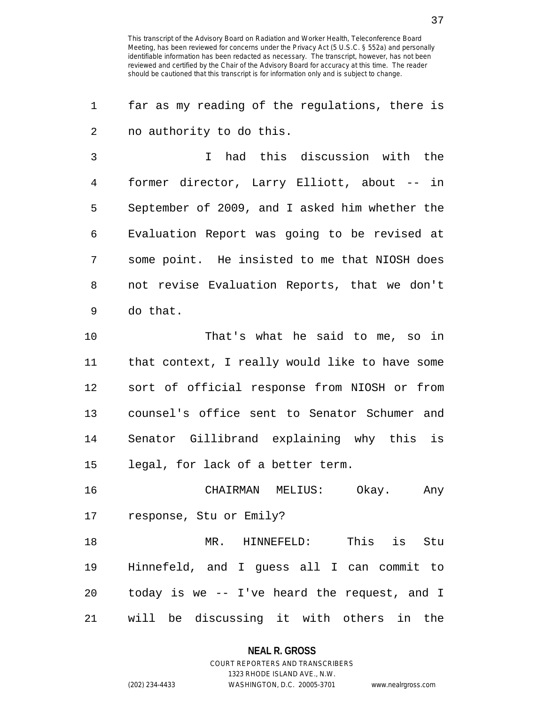1 far as my reading of the regulations, there is 2 no authority to do this.

3 I had this discussion with the 4 former director, Larry Elliott, about -- in 5 September of 2009, and I asked him whether the 6 Evaluation Report was going to be revised at 7 some point. He insisted to me that NIOSH does 8 not revise Evaluation Reports, that we don't 9 do that.

10 That's what he said to me, so in 11 that context, I really would like to have some 12 sort of official response from NIOSH or from 13 counsel's office sent to Senator Schumer and 14 Senator Gillibrand explaining why this is 15 legal, for lack of a better term.

16 CHAIRMAN MELIUS: Okay. Any 17 response, Stu or Emily?

18 MR. HINNEFELD: This is Stu 19 Hinnefeld, and I guess all I can commit to 20 today is we -- I've heard the request, and I 21 will be discussing it with others in the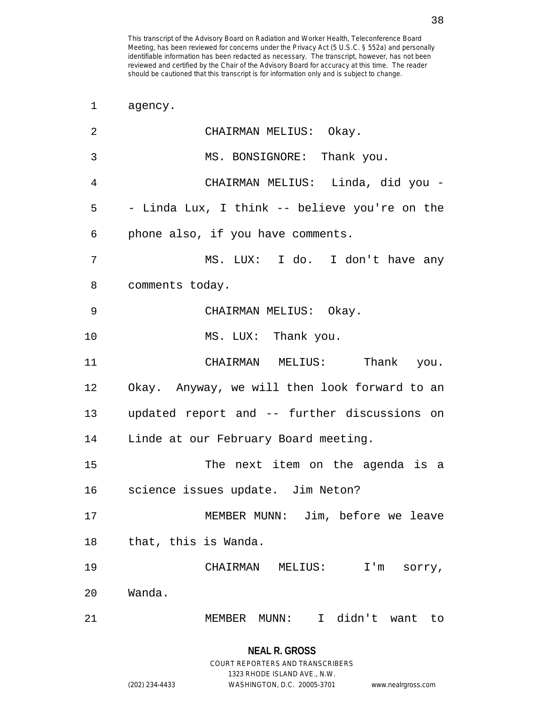1 agency. 2 CHAIRMAN MELIUS: Okay. 3 MS. BONSIGNORE: Thank you. 4 CHAIRMAN MELIUS: Linda, did you - 5 - Linda Lux, I think -- believe you're on the 6 phone also, if you have comments. 7 MS. LUX: I do. I don't have any 8 comments today. 9 CHAIRMAN MELIUS: Okay. 10 MS. LUX: Thank you. 11 CHAIRMAN MELIUS: Thank you. 12 Okay. Anyway, we will then look forward to an 13 updated report and -- further discussions on 14 Linde at our February Board meeting. 15 The next item on the agenda is a 16 science issues update. Jim Neton? 17 MEMBER MUNN: Jim, before we leave 18 that, this is Wanda. 19 CHAIRMAN MELIUS: I'm sorry, 20 Wanda. 21 MEMBER MUNN: I didn't want to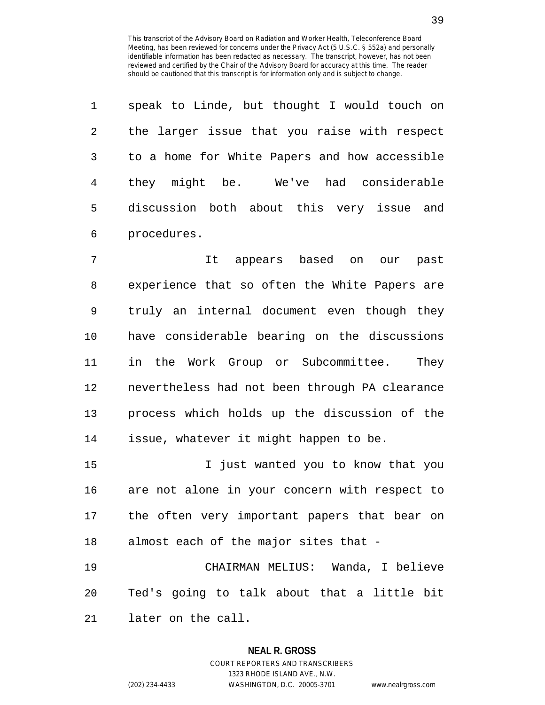| $\mathbf{1}$ | speak to Linde, but thought I would touch on  |
|--------------|-----------------------------------------------|
| 2            | the larger issue that you raise with respect  |
| 3            | to a home for White Papers and how accessible |
| 4            | they might be. We've had considerable         |
| 5            | discussion both about this very issue and     |
| 6            | procedures.                                   |

7 It appears based on our past 8 experience that so often the White Papers are 9 truly an internal document even though they 10 have considerable bearing on the discussions 11 in the Work Group or Subcommittee. They 12 nevertheless had not been through PA clearance 13 process which holds up the discussion of the 14 issue, whatever it might happen to be.

15 I just wanted you to know that you 16 are not alone in your concern with respect to 17 the often very important papers that bear on 18 almost each of the major sites that -

19 CHAIRMAN MELIUS: Wanda, I believe 20 Ted's going to talk about that a little bit 21 later on the call.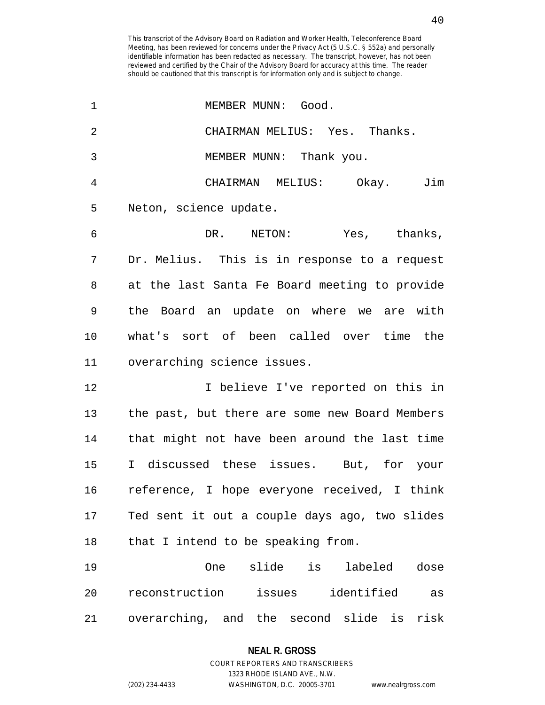| 1  | MEMBER MUNN: Good.                             |
|----|------------------------------------------------|
| 2  | CHAIRMAN MELIUS: Yes. Thanks.                  |
| 3  | MEMBER MUNN: Thank you.                        |
| 4  | CHAIRMAN MELIUS: Okay.<br>Jim                  |
| 5  | Neton, science update.                         |
| 6  | DR. NETON: Yes, thanks,                        |
| 7  | Dr. Melius. This is in response to a request   |
| 8  | at the last Santa Fe Board meeting to provide  |
| 9  | the Board an update on where we are with       |
| 10 | what's sort of been called over time the       |
| 11 | overarching science issues.                    |
| 12 | I believe I've reported on this in             |
| 13 | the past, but there are some new Board Members |
| 14 | that might not have been around the last time  |
| 15 | I discussed these issues. But, for your        |
| 16 | reference, I hope everyone received, I think   |
| 17 | Ted sent it out a couple days ago, two slides  |
| 18 | that I intend to be speaking from.             |
| 19 | One slide is labeled<br>dose                   |
| 20 | reconstruction issues identified as            |
| 21 | overarching, and the second slide is<br>risk   |

# **NEAL R. GROSS** COURT REPORTERS AND TRANSCRIBERS

1323 RHODE ISLAND AVE., N.W.

(202) 234-4433 WASHINGTON, D.C. 20005-3701 www.nealrgross.com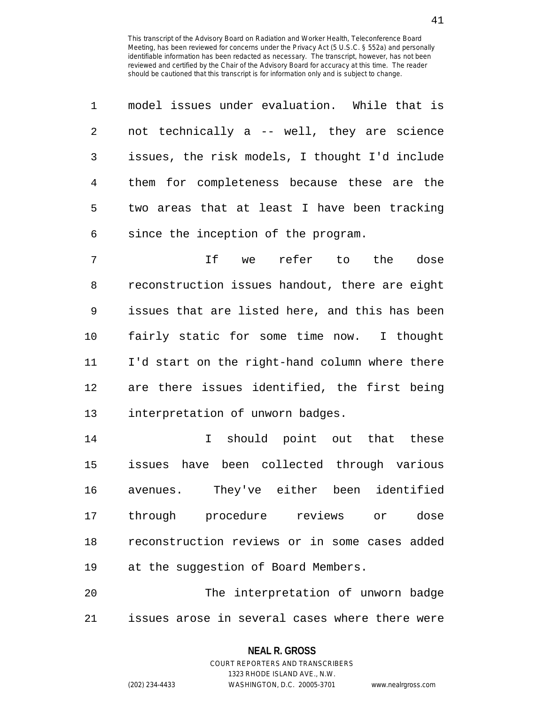| 1              | model issues under evaluation. While that is   |
|----------------|------------------------------------------------|
| $\overline{2}$ | not technically a -- well, they are science    |
| 3              | issues, the risk models, I thought I'd include |
| 4              | them for completeness because these are the    |
| 5              | two areas that at least I have been tracking   |
| 6              | since the inception of the program.            |
| 7              | If we<br>refer to the<br>dose                  |
| 8              | reconstruction issues handout, there are eight |
| 9              | issues that are listed here, and this has been |
| 10             | fairly static for some time now. I thought     |
| 11             | I'd start on the right-hand column where there |
| 12             | are there issues identified, the first being   |
| 13             | interpretation of unworn badges.               |
| 14             | should point out that these<br>$\mathbf I$     |
| 15             | issues have been collected through various     |
| 16             | They've either been identified<br>avenues.     |
| 17             | through procedure reviews or dose              |
| 18             | reconstruction reviews or in some cases added  |
| 19             | at the suggestion of Board Members.            |
| 20             | The interpretation of unworn badge             |
| 21             | issues arose in several cases where there were |

**NEAL R. GROSS** COURT REPORTERS AND TRANSCRIBERS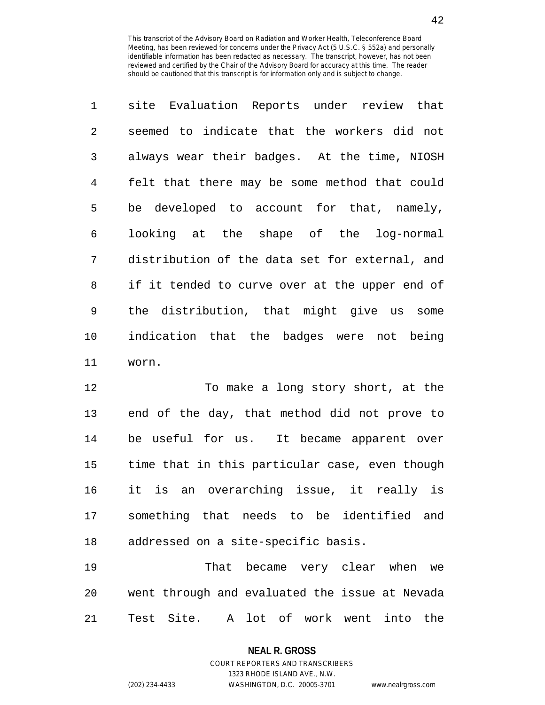| $\mathbf 1$ | site Evaluation Reports under review that      |
|-------------|------------------------------------------------|
| 2           | seemed to indicate that the workers did not    |
| 3           | always wear their badges. At the time, NIOSH   |
| 4           | felt that there may be some method that could  |
| 5           | be developed to account for that, namely,      |
| 6           | looking at the shape of the log-normal         |
| 7           | distribution of the data set for external, and |
| 8           | if it tended to curve over at the upper end of |
| 9           | the distribution, that might give us some      |
| 10          | indication that the badges were not being      |
| 11          | worn.                                          |

12 To make a long story short, at the 13 end of the day, that method did not prove to 14 be useful for us. It became apparent over 15 time that in this particular case, even though 16 it is an overarching issue, it really is 17 something that needs to be identified and 18 addressed on a site-specific basis.

19 That became very clear when we 20 went through and evaluated the issue at Nevada 21 Test Site. A lot of work went into the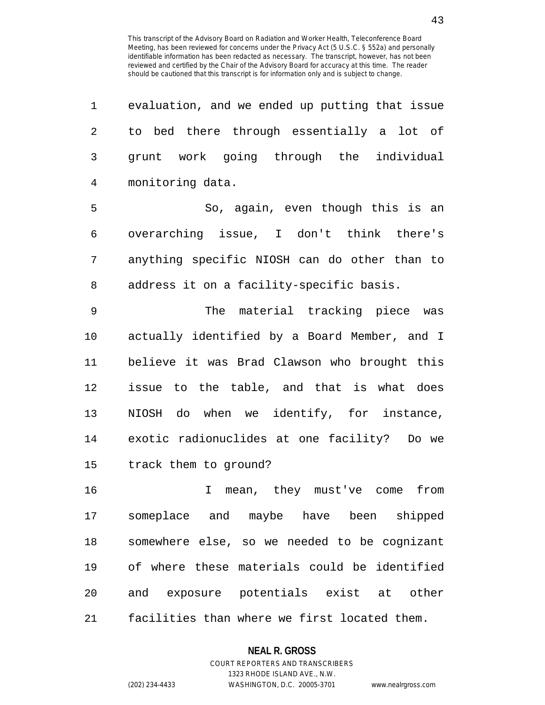| 1  | evaluation, and we ended up putting that issue |
|----|------------------------------------------------|
| 2  | to bed there through essentially a lot of      |
| 3  | grunt work going through the individual        |
| 4  | monitoring data.                               |
| 5  | So, again, even though this is an              |
| 6  | overarching issue, I don't think there's       |
| 7  | anything specific NIOSH can do other than to   |
| 8  | address it on a facility-specific basis.       |
| 9  | The material tracking piece was                |
| 10 | actually identified by a Board Member, and I   |
| 11 | believe it was Brad Clawson who brought this   |
| 12 | issue to the table, and that is what does      |
| 13 | NIOSH do when we identify, for instance,       |
| 14 | exotic radionuclides at one facility? Do we    |
| 15 | track them to ground?                          |
| 16 | mean, they must've come<br>from<br>I.          |
| 17 | someplace and maybe have been shipped          |
| 18 | somewhere else, so we needed to be cognizant   |
| 19 | of where these materials could be identified   |
| 20 | and exposure potentials exist at other         |
| 21 | facilities than where we first located them.   |

### **NEAL R. GROSS**

COURT REPORTERS AND TRANSCRIBERS 1323 RHODE ISLAND AVE., N.W. (202) 234-4433 WASHINGTON, D.C. 20005-3701 www.nealrgross.com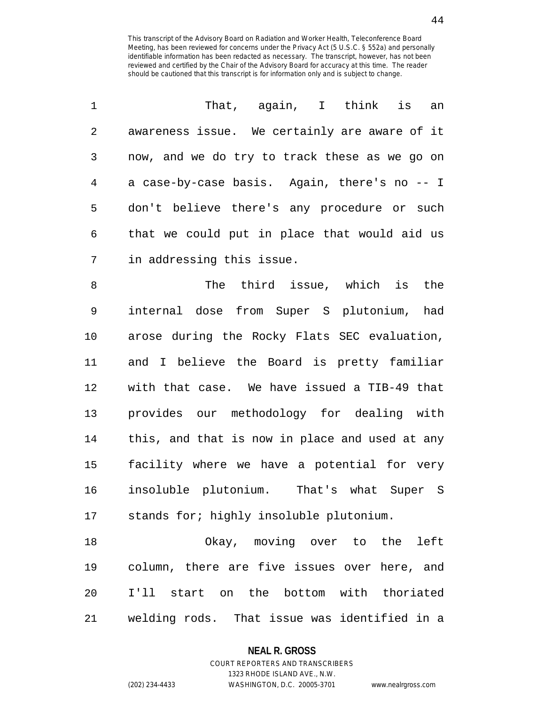| $\mathbf 1$    | That, again, I think<br>is<br>an               |
|----------------|------------------------------------------------|
| $\sqrt{2}$     | awareness issue. We certainly are aware of it  |
| 3              | now, and we do try to track these as we go on  |
| $\overline{4}$ | a case-by-case basis. Again, there's no -- I   |
| 5              | don't believe there's any procedure or such    |
| $\epsilon$     | that we could put in place that would aid us   |
| 7              | in addressing this issue.                      |
| 8              | The third issue, which is<br>the               |
| 9              | internal dose from Super S plutonium, had      |
| 10             | arose during the Rocky Flats SEC evaluation,   |
| 11             | and I believe the Board is pretty familiar     |
| 12             | with that case. We have issued a TIB-49 that   |
| 13             | provides our methodology for dealing with      |
| 14             | this, and that is now in place and used at any |
| 15             | facility where we have a potential for very    |
| 16             | insoluble plutonium. That's what Super S       |
| 17             | stands for; highly insoluble plutonium.        |
| 18             | Okay, moving over to the<br>left               |

18 Okay, moving over to the left 19 column, there are five issues over here, and 20 I'll start on the bottom with thoriated 21 welding rods. That issue was identified in a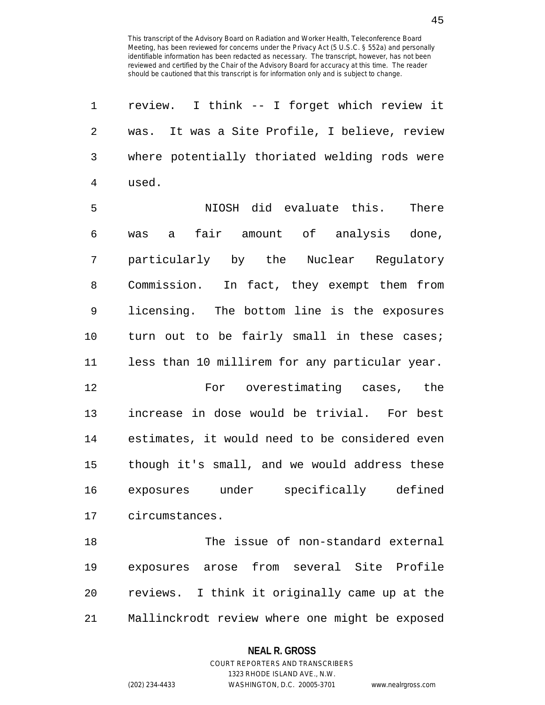| 1              | review. I think -- I forget which review it    |
|----------------|------------------------------------------------|
| $\overline{2}$ | was. It was a Site Profile, I believe, review  |
| 3              | where potentially thoriated welding rods were  |
| $\overline{4}$ | used.                                          |
| 5              | NIOSH did evaluate this.<br>There              |
| 6              | fair amount of analysis done,<br>was<br>a i    |
| 7              | particularly by the Nuclear Regulatory         |
| 8              | Commission. In fact, they exempt them from     |
| 9              | licensing. The bottom line is the exposures    |
| 10             | turn out to be fairly small in these cases;    |
| 11             | less than 10 millirem for any particular year. |
| 12             | For overestimating cases, the                  |
| 13             | increase in dose would be trivial. For best    |
| 14             | estimates, it would need to be considered even |
| 15             | though it's small, and we would address these  |
| 16             | exposures under specifically defined           |
| 17             | circumstances.                                 |
| 18             | The issue of non-standard external             |
| 19             | exposures arose from several Site Profile      |
| 20             | reviews. I think it originally came up at the  |

21 Mallinckrodt review where one might be exposed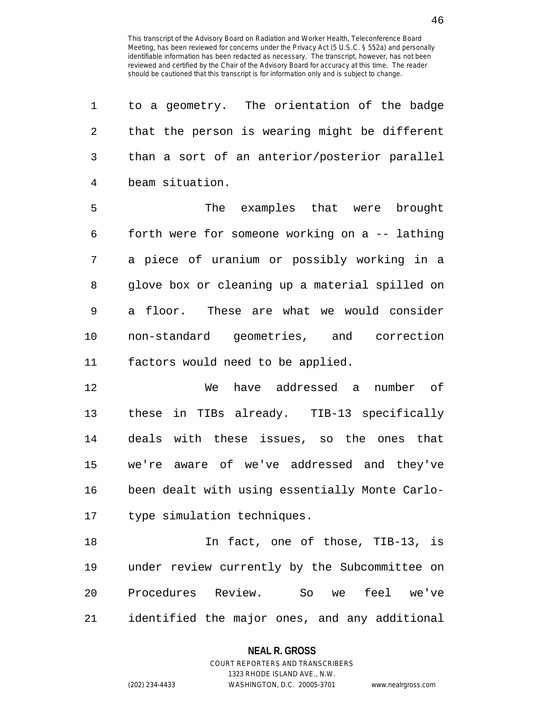| 1  | to a geometry. The orientation of the badge        |
|----|----------------------------------------------------|
| 2  | that the person is wearing might be different      |
| 3  | than a sort of an anterior/posterior parallel      |
| 4  | beam situation.                                    |
| 5  | The examples that were brought                     |
| 6  | forth were for someone working on a -- lathing     |
| 7  | a piece of uranium or possibly working in a        |
| 8  | glove box or cleaning up a material spilled on     |
| 9  | a floor. These are what we would consider          |
| 10 | non-standard geometries, and correction            |
| 11 | factors would need to be applied.                  |
| 12 | have addressed a<br>number of<br>We                |
| 13 | these in TIBs already. TIB-13 specifically         |
| 14 | deals with these issues, so the ones that          |
| 15 | we're aware of we've addressed and they've         |
| 16 | been dealt with using essentially Monte Carlo-     |
| 17 | type simulation techniques.                        |
| 18 | In fact, one of those, TIB-13, is                  |
| 19 | under review currently by the Subcommittee on      |
| 20 | Review.<br>Procedures<br>feel<br>So<br>we've<br>we |

21 identified the major ones, and any additional

# **NEAL R. GROSS** COURT REPORTERS AND TRANSCRIBERS

1323 RHODE ISLAND AVE., N.W.

(202) 234-4433 WASHINGTON, D.C. 20005-3701 www.nealrgross.com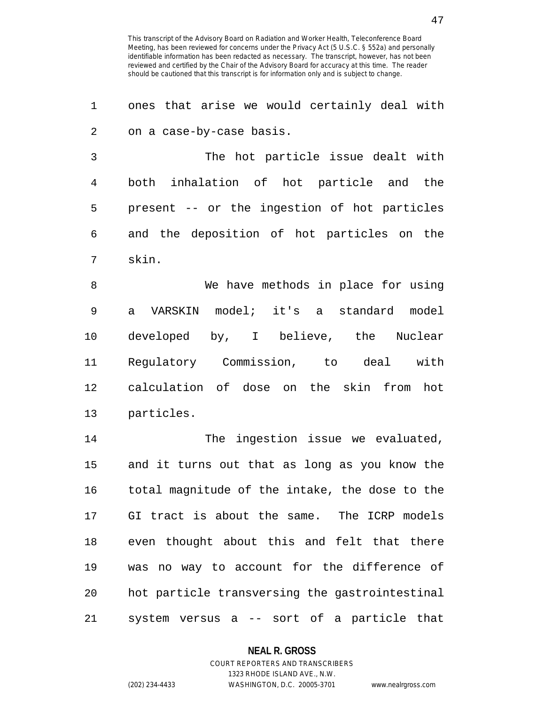1 ones that arise we would certainly deal with 2 on a case-by-case basis. 3 The hot particle issue dealt with 4 both inhalation of hot particle and the 5 present -- or the ingestion of hot particles 6 and the deposition of hot particles on the 7 skin. 8 We have methods in place for using

9 a VARSKIN model; it's a standard model 10 developed by, I believe, the Nuclear 11 Regulatory Commission, to deal with 12 calculation of dose on the skin from hot 13 particles.

14 The ingestion issue we evaluated, 15 and it turns out that as long as you know the 16 total magnitude of the intake, the dose to the 17 GI tract is about the same. The ICRP models 18 even thought about this and felt that there 19 was no way to account for the difference of 20 hot particle transversing the gastrointestinal 21 system versus a -- sort of a particle that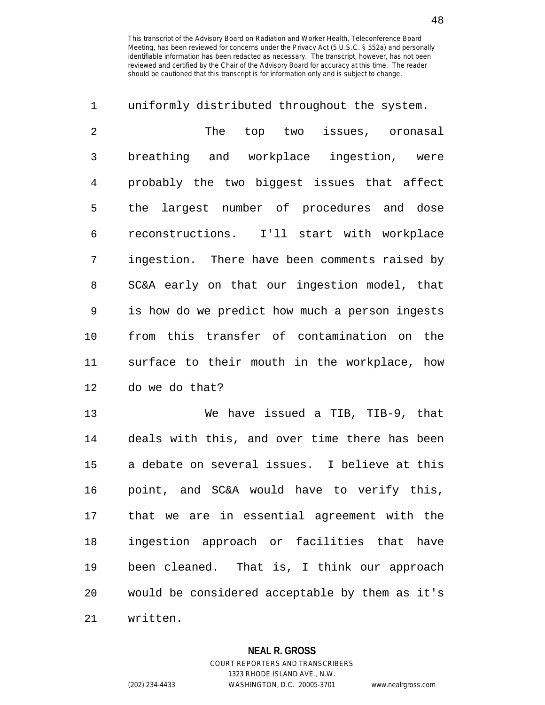| 1              | uniformly distributed throughout the system.   |
|----------------|------------------------------------------------|
| $\overline{2}$ | The top two issues, oronasal                   |
| 3              | breathing and workplace<br>ingestion, were     |
| 4              | probably the two biggest issues that affect    |
| 5              | the largest number of procedures and dose      |
| 6              | reconstructions. I'll start with workplace     |
| 7              | ingestion. There have been comments raised by  |
| 8              | SC&A early on that our ingestion model, that   |
| 9              | is how do we predict how much a person ingests |
| 10             | from this transfer of contamination on the     |
| 11             | surface to their mouth in the workplace, how   |
| 12             | do we do that?                                 |
| 13             | We have issued a TIB, TIB-9, that              |
| 14             | deals with this, and over time there has been  |
| 15             | a debate on several issues. I believe at this  |
| 16             | point, and SC&A would have to verify this,     |
| 17             | that we are in essential agreement with the    |
| 18             | ingestion approach or facilities that have     |
| 19             | been cleaned. That is, I think our approach    |
| 20             | would be considered acceptable by them as it's |
|                |                                                |

21 written.

# **NEAL R. GROSS**

COURT REPORTERS AND TRANSCRIBERS 1323 RHODE ISLAND AVE., N.W. (202) 234-4433 WASHINGTON, D.C. 20005-3701 www.nealrgross.com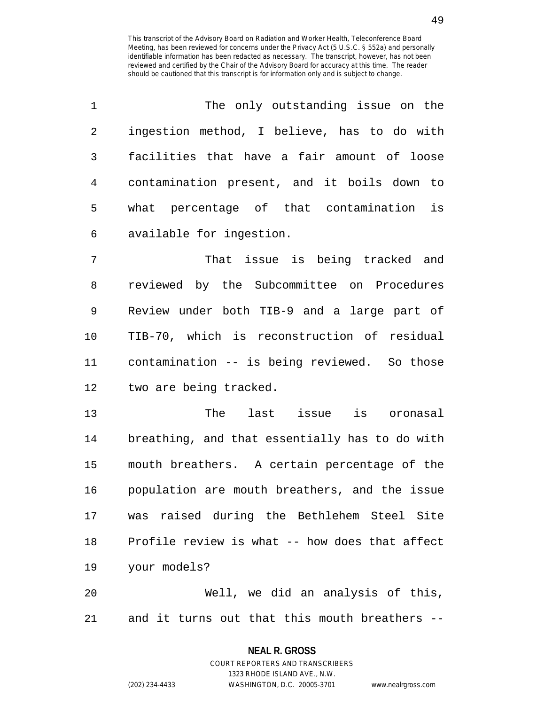| $\mathbf 1$ | The only outstanding issue on the              |
|-------------|------------------------------------------------|
| 2           | ingestion method, I believe, has to do with    |
| 3           | facilities that have a fair amount of loose    |
| 4           | contamination present, and it boils down to    |
| 5           | what percentage of that contamination is       |
| 6           | available for ingestion.                       |
| 7           | That issue is being tracked and                |
| 8           | reviewed by the Subcommittee on Procedures     |
| 9           | Review under both TIB-9 and a large part of    |
| 10          | TIB-70, which is reconstruction of residual    |
| 11          | contamination -- is being reviewed. So those   |
| 12          | two are being tracked.                         |
| 13          | The last issue is oronasal                     |
| 14          | breathing, and that essentially has to do with |
| 15          | mouth breathers. A certain percentage of the   |
| 16          | population are mouth breathers, and the issue  |
| 17          | was raised during the Bethlehem Steel Site     |
| 18          | Profile review is what -- how does that affect |
| 19          | your models?                                   |
| 20          | Well, we did an analysis of this,              |
|             |                                                |

**NEAL R. GROSS** COURT REPORTERS AND TRANSCRIBERS

21 and it turns out that this mouth breathers --

1323 RHODE ISLAND AVE., N.W.

(202) 234-4433 WASHINGTON, D.C. 20005-3701 www.nealrgross.com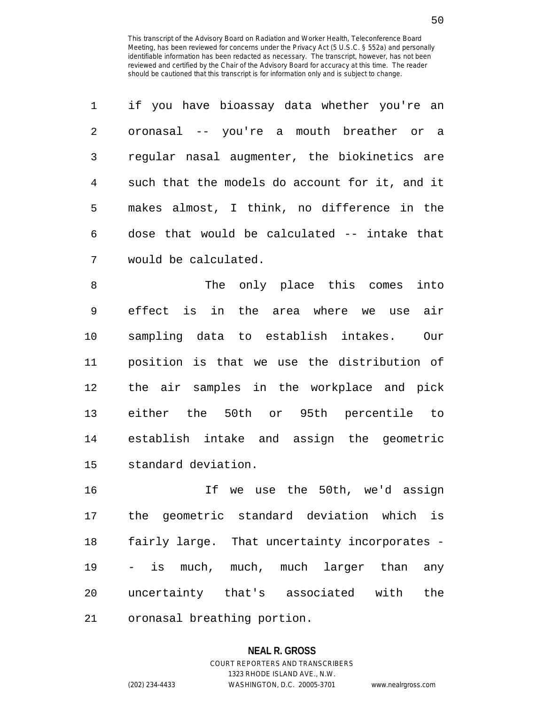| $\mathbf{1}$ | if you have bioassay data whether you're an    |
|--------------|------------------------------------------------|
| 2            | oronasal -- you're a mouth breather or a       |
| 3            | regular nasal augmenter, the biokinetics are   |
| 4            | such that the models do account for it, and it |
| 5            | makes almost, I think, no difference in the    |
| 6            | dose that would be calculated -- intake that   |
| 7            | would be calculated.                           |

8 The only place this comes into 9 effect is in the area where we use air 10 sampling data to establish intakes. Our 11 position is that we use the distribution of 12 the air samples in the workplace and pick 13 either the 50th or 95th percentile to 14 establish intake and assign the geometric 15 standard deviation.

16 If we use the 50th, we'd assign 17 the geometric standard deviation which is 18 fairly large. That uncertainty incorporates - 19 - is much, much, much larger than any 20 uncertainty that's associated with the 21 oronasal breathing portion.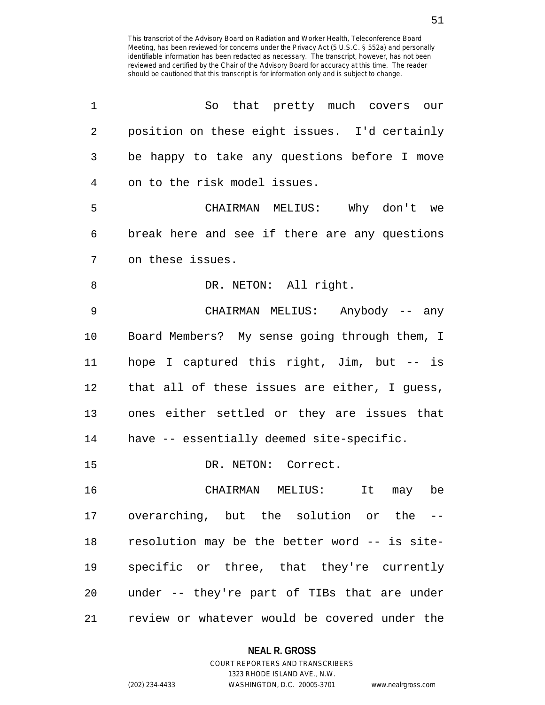| 1              | So that pretty much covers our                |
|----------------|-----------------------------------------------|
| $\overline{2}$ | position on these eight issues. I'd certainly |
| 3              | be happy to take any questions before I move  |
| 4              | on to the risk model issues.                  |
| 5              | CHAIRMAN MELIUS: Why don't we                 |
| 6              | break here and see if there are any questions |
| 7              | on these issues.                              |
| 8              | DR. NETON: All right.                         |
| 9              | CHAIRMAN MELIUS: Anybody -- any               |
| 10             | Board Members? My sense going through them, I |
| 11             | hope I captured this right, Jim, but -- is    |
| 12             | that all of these issues are either, I guess, |
| 13             | ones either settled or they are issues that   |
| 14             | have -- essentially deemed site-specific.     |
| 15             | DR. NETON: Correct.                           |
| 16             | It may be<br>CHAIRMAN MELIUS:                 |
| 17             | overarching, but the solution or the --       |
| 18             | resolution may be the better word -- is site- |
| 19             | specific or three, that they're currently     |
| 20             | under -- they're part of TIBs that are under  |
| 21             | review or whatever would be covered under the |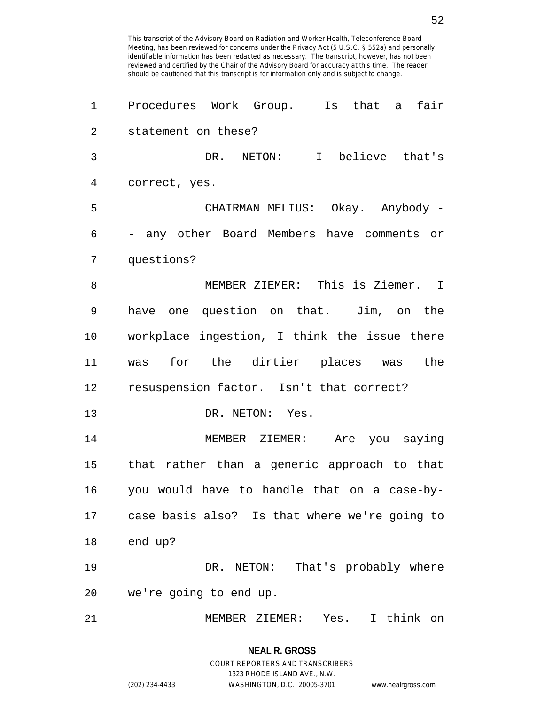| 1  | Procedures Work Group. Is that a<br>fair      |
|----|-----------------------------------------------|
| 2  | statement on these?                           |
| 3  | NETON: I believe that's<br>DR.                |
| 4  | correct, yes.                                 |
| 5  | CHAIRMAN MELIUS: Okay. Anybody -              |
| 6  | - any other Board Members have comments or    |
| 7  | questions?                                    |
| 8  | MEMBER ZIEMER: This is Ziemer. I              |
| 9  | have one question on that. Jim, on the        |
| 10 | workplace ingestion, I think the issue there  |
| 11 | was for the dirtier places was the            |
| 12 | resuspension factor. Isn't that correct?      |
| 13 | DR. NETON: Yes.                               |
| 14 | MEMBER ZIEMER: Are you saying                 |
| 15 | that rather than a generic approach to that   |
| 16 | you would have to handle that on a case-by-   |
| 17 | case basis also? Is that where we're going to |
| 18 | end up?                                       |
| 19 | DR. NETON: That's probably where              |
| 20 | we're going to end up.                        |
| 21 | think on<br>MEMBER ZIEMER:<br>Yes.<br>I.      |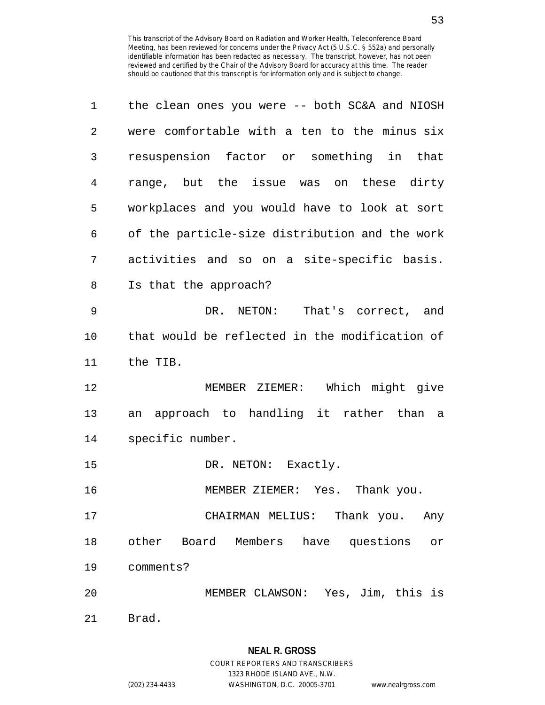| 1  | the clean ones you were -- both SC&A and NIOSH      |
|----|-----------------------------------------------------|
| 2  | were comfortable with a ten to the minus six        |
| 3  | resuspension factor or something in that            |
| 4  | range, but the issue was on these dirty             |
| 5  | workplaces and you would have to look at sort       |
| 6  | of the particle-size distribution and the work      |
| 7  | activities and so on a site-specific basis.         |
| 8  | Is that the approach?                               |
| 9  | DR. NETON: That's correct, and                      |
| 10 | that would be reflected in the modification of      |
| 11 | the TIB.                                            |
| 12 | MEMBER ZIEMER: Which might give                     |
| 13 | approach to handling it rather than<br>an<br>a      |
| 14 | specific number.                                    |
| 15 | DR. NETON: Exactly.                                 |
| 16 | MEMBER ZIEMER: Yes. Thank you.                      |
| 17 | CHAIRMAN MELIUS: Thank you. Any                     |
| 18 | other Board Members have questions<br>$\mathtt{or}$ |
| 19 | comments?                                           |
| 20 | MEMBER CLAWSON: Yes, Jim, this is                   |
| 21 | Brad.                                               |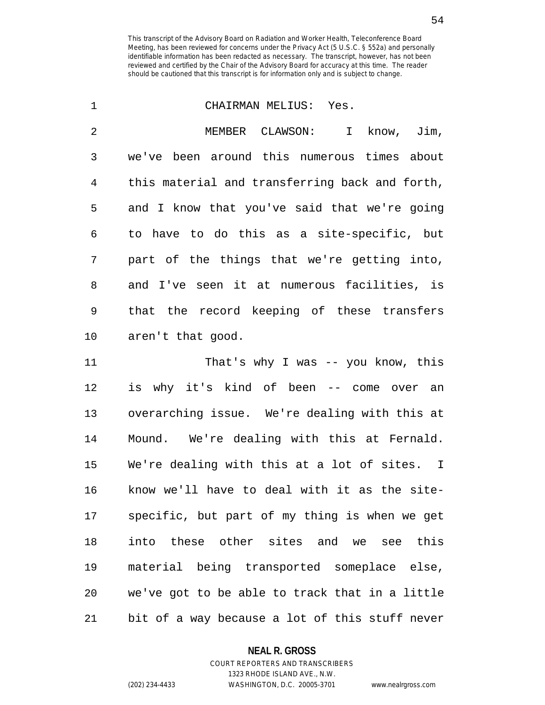| 1              | CHAIRMAN MELIUS: Yes.                          |
|----------------|------------------------------------------------|
| $\overline{2}$ | MEMBER CLAWSON:<br>know, Jim,<br>$\mathbf I$   |
| 3              | we've been around this numerous times about    |
| $\overline{4}$ | this material and transferring back and forth, |
| 5              | and I know that you've said that we're going   |
| 6              | to have to do this as a site-specific, but     |
| 7              | part of the things that we're getting into,    |
| 8              | and I've seen it at numerous facilities, is    |
| 9              | that the record keeping of these transfers     |
| 10             | aren't that good.                              |
| 11             | That's why I was $-$ you know, this            |
| 12             | is why it's kind of been -- come over<br>an    |
| 13             | overarching issue. We're dealing with this at  |
| 14             | Mound. We're dealing with this at Fernald.     |
| 15             | We're dealing with this at a lot of sites. I   |
| 16             | know we'll have to deal with it as the site-   |
| 17             | specific, but part of my thing is when we get  |

17 specific, but part of my thing is when we get 18 into these other sites and we see this 19 material being transported someplace else, 20 we've got to be able to track that in a little 21 bit of a way because a lot of this stuff never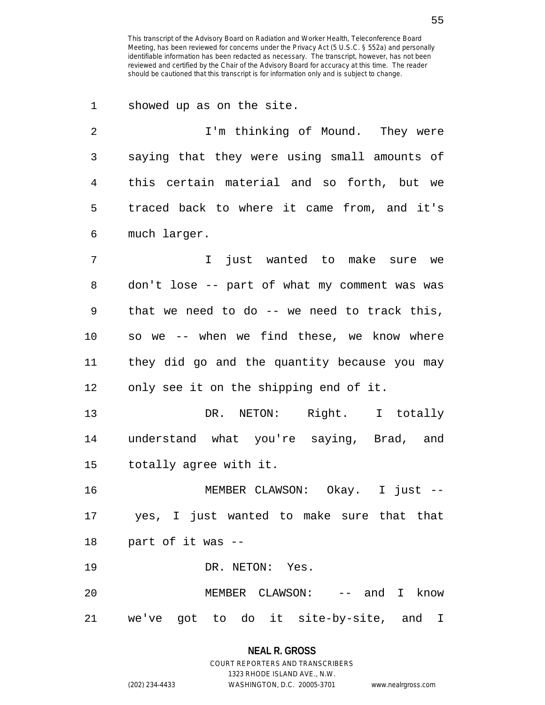1 showed up as on the site. 2 1'm thinking of Mound. They were 3 saying that they were using small amounts of 4 this certain material and so forth, but we 5 traced back to where it came from, and it's 6 much larger. 7 I just wanted to make sure we 8 don't lose -- part of what my comment was was 9 that we need to do -- we need to track this, 10 so we -- when we find these, we know where 11 they did go and the quantity because you may 12 only see it on the shipping end of it. 13 DR. NETON: Right. I totally 14 understand what you're saying, Brad, and 15 totally agree with it. 16 MEMBER CLAWSON: Okay. I just -- 17 yes, I just wanted to make sure that that 18 part of it was -- 19 DR. NETON: Yes. 20 MEMBER CLAWSON: -- and I know 21 we've got to do it site-by-site, and I

# **NEAL R. GROSS** COURT REPORTERS AND TRANSCRIBERS 1323 RHODE ISLAND AVE., N.W. (202) 234-4433 WASHINGTON, D.C. 20005-3701 www.nealrgross.com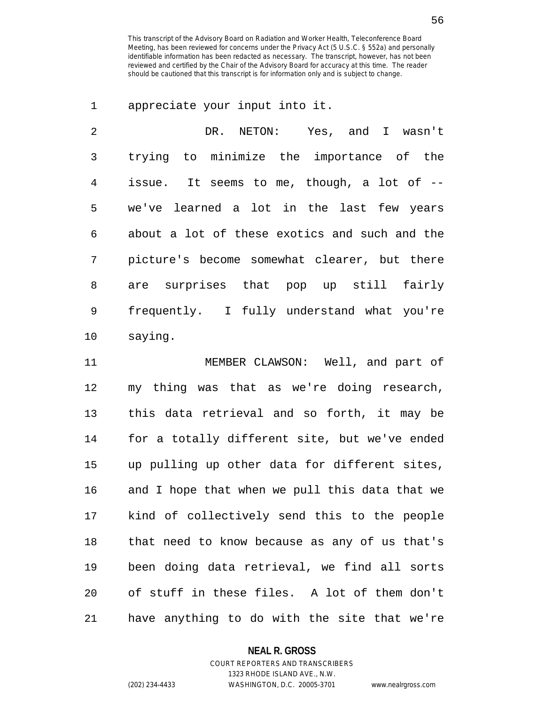1 appreciate your input into it.

2 DR. NETON: Yes, and I wasn't 3 trying to minimize the importance of the 4 issue. It seems to me, though, a lot of -- 5 we've learned a lot in the last few years 6 about a lot of these exotics and such and the 7 picture's become somewhat clearer, but there 8 are surprises that pop up still fairly 9 frequently. I fully understand what you're 10 saying.

11 MEMBER CLAWSON: Well, and part of 12 my thing was that as we're doing research, 13 this data retrieval and so forth, it may be 14 for a totally different site, but we've ended 15 up pulling up other data for different sites, 16 and I hope that when we pull this data that we 17 kind of collectively send this to the people 18 that need to know because as any of us that's 19 been doing data retrieval, we find all sorts 20 of stuff in these files. A lot of them don't 21 have anything to do with the site that we're

### **NEAL R. GROSS**

COURT REPORTERS AND TRANSCRIBERS 1323 RHODE ISLAND AVE., N.W. (202) 234-4433 WASHINGTON, D.C. 20005-3701 www.nealrgross.com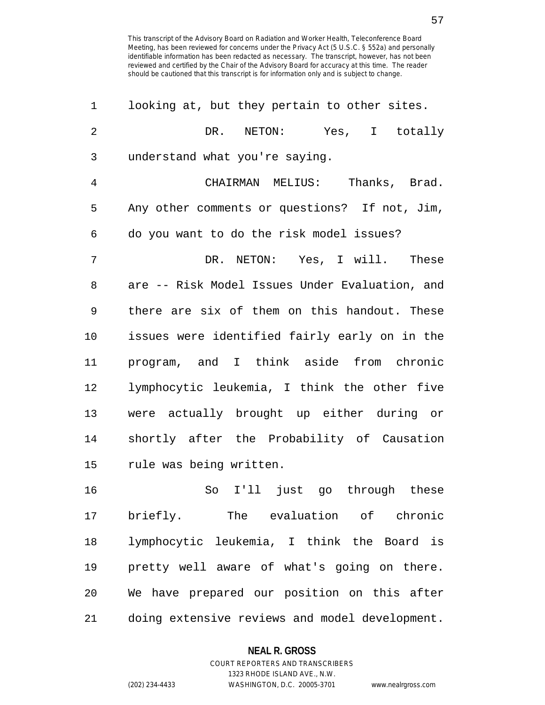| 1              | looking at, but they pertain to other sites.   |
|----------------|------------------------------------------------|
| $\overline{2}$ | DR. NETON: Yes, I totally                      |
| 3              | understand what you're saying.                 |
| $\overline{4}$ | CHAIRMAN MELIUS: Thanks, Brad.                 |
| 5              | Any other comments or questions? If not, Jim,  |
| 6              | do you want to do the risk model issues?       |
| 7              | DR. NETON: Yes, I will. These                  |
| 8              | are -- Risk Model Issues Under Evaluation, and |
| 9              | there are six of them on this handout. These   |
| 10             | issues were identified fairly early on in the  |
| 11             | program, and I think aside from chronic        |
| 12             | lymphocytic leukemia, I think the other five   |
| 13             | were actually brought up either during or      |
| 14             | shortly after the Probability of Causation     |
| 15             | rule was being written.                        |
| 16             | So I'll just go through these                  |
| 17             | briefly. The evaluation of chronic             |
| 18             | lymphocytic leukemia, I think the Board is     |
| 19             | pretty well aware of what's going on there.    |
| 20             | We have prepared our position on this after    |
| 21             | doing extensive reviews and model development. |

## **NEAL R. GROSS**

COURT REPORTERS AND TRANSCRIBERS 1323 RHODE ISLAND AVE., N.W. (202) 234-4433 WASHINGTON, D.C. 20005-3701 www.nealrgross.com

57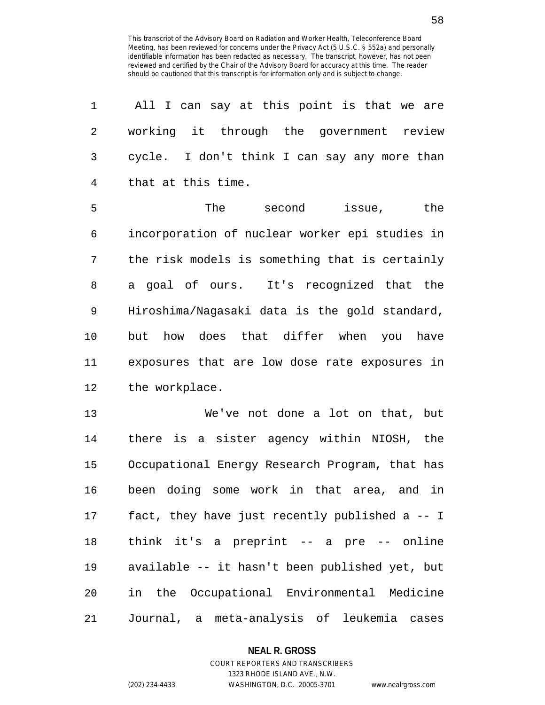| 1              | All I can say at this point is that we are     |
|----------------|------------------------------------------------|
| $\overline{2}$ | working it through the government review       |
| 3              | cycle. I don't think I can say any more than   |
| $\overline{4}$ | that at this time.                             |
| 5              | The<br>the<br>second<br>issue,                 |
| 6              | incorporation of nuclear worker epi studies in |
| 7              | the risk models is something that is certainly |
| 8              | a goal of ours. It's recognized that the       |
| $\mathsf 9$    | Hiroshima/Nagasaki data is the gold standard,  |
| 10             | but how does that differ when you<br>have      |
| 11             | exposures that are low dose rate exposures in  |
| 12             | the workplace.                                 |
| 13             | We've not done a lot on that, but              |
| 14             | there is a sister agency within NIOSH, the     |
| 15             | Occupational Energy Research Program, that has |
| 16             | been doing some work in that area, and in      |
| 17             | fact, they have just recently published a -- I |
| 18             | think it's a preprint -- a pre -- online       |
| 19             | available -- it hasn't been published yet, but |
| 20             | in the Occupational Environmental Medicine     |
| 21             | Journal, a meta-analysis of leukemia cases     |

**NEAL R. GROSS**

# COURT REPORTERS AND TRANSCRIBERS 1323 RHODE ISLAND AVE., N.W. (202) 234-4433 WASHINGTON, D.C. 20005-3701 www.nealrgross.com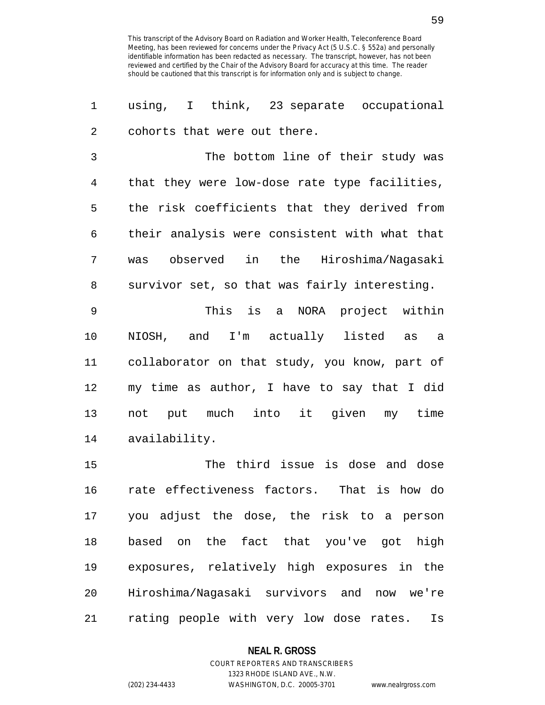1 using, I think, 23 separate occupational 2 cohorts that were out there.

3 The bottom line of their study was 4 that they were low-dose rate type facilities, 5 the risk coefficients that they derived from 6 their analysis were consistent with what that 7 was observed in the Hiroshima/Nagasaki 8 survivor set, so that was fairly interesting.

9 This is a NORA project within 10 NIOSH, and I'm actually listed as a 11 collaborator on that study, you know, part of 12 my time as author, I have to say that I did 13 not put much into it given my time 14 availability.

15 The third issue is dose and dose 16 rate effectiveness factors. That is how do 17 you adjust the dose, the risk to a person 18 based on the fact that you've got high 19 exposures, relatively high exposures in the 20 Hiroshima/Nagasaki survivors and now we're 21 rating people with very low dose rates. Is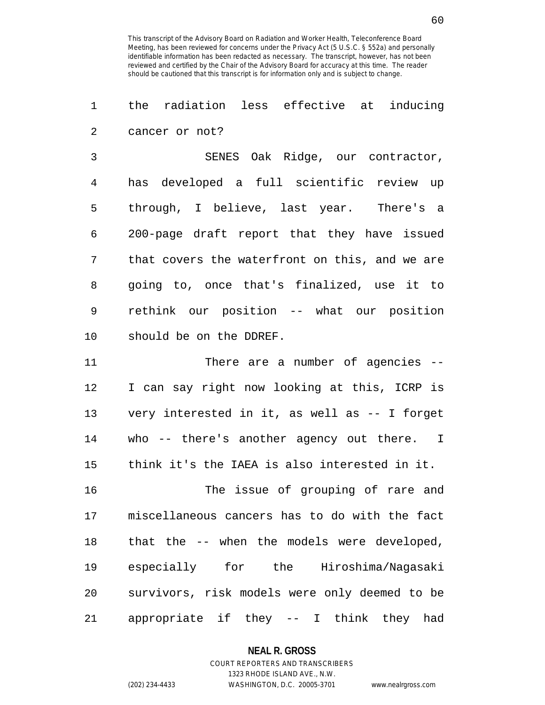1 the radiation less effective at inducing 2 cancer or not?

3 SENES Oak Ridge, our contractor, 4 has developed a full scientific review up 5 through, I believe, last year. There's a 6 200-page draft report that they have issued 7 that covers the waterfront on this, and we are 8 going to, once that's finalized, use it to 9 rethink our position -- what our position 10 should be on the DDREF.

11 There are a number of agencies --12 I can say right now looking at this, ICRP is 13 very interested in it, as well as -- I forget 14 who -- there's another agency out there. I 15 think it's the IAEA is also interested in it.

16 The issue of grouping of rare and 17 miscellaneous cancers has to do with the fact 18 that the -- when the models were developed, 19 especially for the Hiroshima/Nagasaki 20 survivors, risk models were only deemed to be 21 appropriate if they -- I think they had

**NEAL R. GROSS**

# COURT REPORTERS AND TRANSCRIBERS 1323 RHODE ISLAND AVE., N.W. (202) 234-4433 WASHINGTON, D.C. 20005-3701 www.nealrgross.com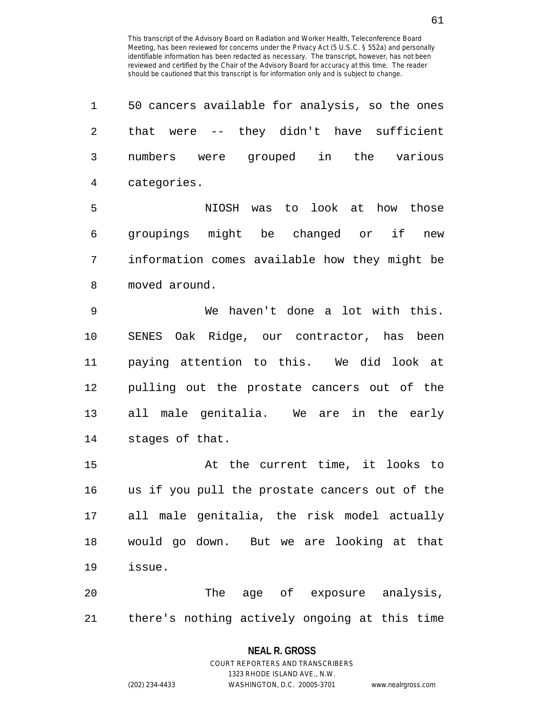| 1              | 50 cancers available for analysis, so the ones |
|----------------|------------------------------------------------|
| $\overline{2}$ | that were -- they didn't have sufficient       |
| 3              | numbers were grouped in the various            |
| $\overline{4}$ | categories.                                    |
| 5              | NIOSH was to look at how those                 |
| 6              | groupings might be changed or if<br>new        |
| 7              | information comes available how they might be  |
| 8              | moved around.                                  |
| $\mathsf 9$    | We haven't done a lot with this.               |
| 10             | SENES Oak Ridge, our contractor, has been      |
| 11             | paying attention to this. We did look at       |
| 12             | pulling out the prostate cancers out of the    |
| 13             | all male genitalia. We are in the early        |
| 14             | stages of that.                                |
| 15             | At the current time, it looks to               |
| 16             | us if you pull the prostate cancers out of the |
| 17             | all male genitalia, the risk model actually    |
| 18             | would go down. But we are looking at that      |
| 19             | issue.                                         |
| 20             | The age of exposure analysis,                  |
| 21             | there's nothing actively ongoing at this time  |

1323 RHODE ISLAND AVE., N.W.

(202) 234-4433 WASHINGTON, D.C. 20005-3701 www.nealrgross.com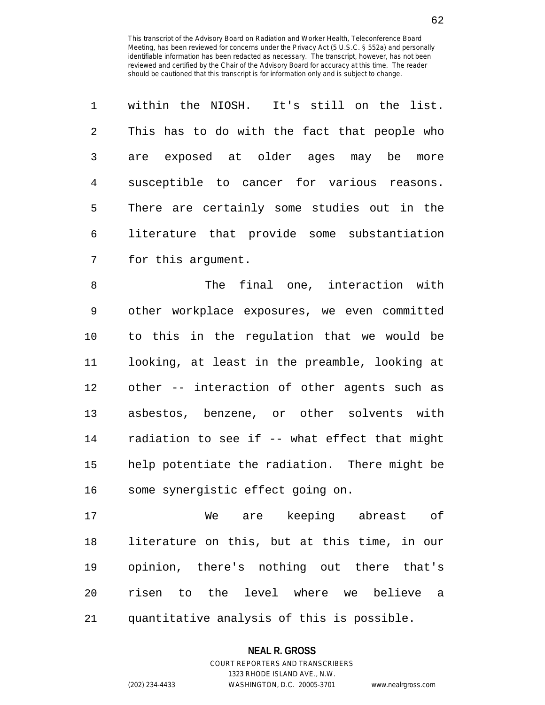|               | within the NIOSH. It's still on the list.    |
|---------------|----------------------------------------------|
| $\mathcal{L}$ | This has to do with the fact that people who |
| 3             | are exposed at older ages may be<br>more     |
| 4             | susceptible to cancer for various reasons.   |
| 5             | There are certainly some studies out in the  |
| 6             | literature that provide some substantiation  |
| 7             | for this argument.                           |

8 The final one, interaction with 9 other workplace exposures, we even committed 10 to this in the regulation that we would be 11 looking, at least in the preamble, looking at 12 other -- interaction of other agents such as 13 asbestos, benzene, or other solvents with 14 radiation to see if -- what effect that might 15 help potentiate the radiation. There might be 16 some synergistic effect going on.

17 We are keeping abreast of 18 literature on this, but at this time, in our 19 opinion, there's nothing out there that's 20 risen to the level where we believe a 21 quantitative analysis of this is possible.

## **NEAL R. GROSS** COURT REPORTERS AND TRANSCRIBERS

1323 RHODE ISLAND AVE., N.W. (202) 234-4433 WASHINGTON, D.C. 20005-3701 www.nealrgross.com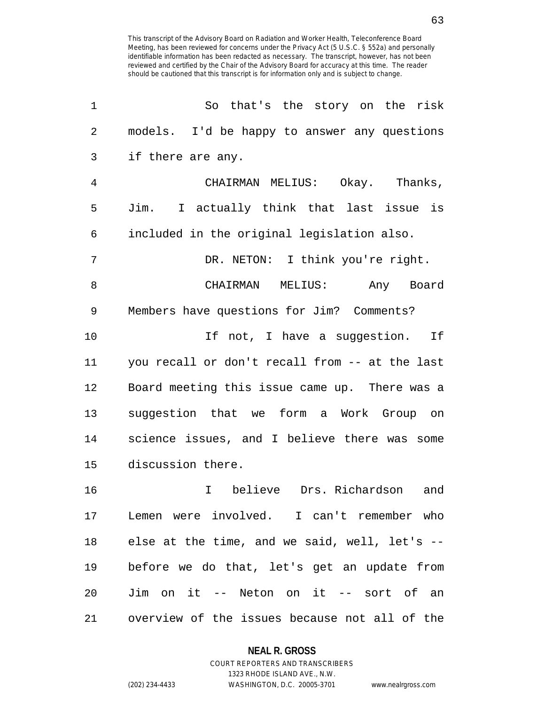| 1              | So that's the story on the risk                |
|----------------|------------------------------------------------|
| $\overline{2}$ | models. I'd be happy to answer any questions   |
| 3              | if there are any.                              |
| 4              | CHAIRMAN MELIUS: Okay. Thanks,                 |
| 5              | Jim. I actually think that last issue is       |
| 6              | included in the original legislation also.     |
| 7              | DR. NETON: I think you're right.               |
| 8              | CHAIRMAN MELIUS: Any Board                     |
| 9              | Members have questions for Jim? Comments?      |
| 10             | If not, I have a suggestion. If                |
| 11             | you recall or don't recall from -- at the last |
| 12             | Board meeting this issue came up. There was a  |
| 13             | suggestion that we form a Work Group on        |
| 14             | science issues, and I believe there was some   |
| 15             | discussion there.                              |
| 16             | believe Drs. Richardson<br>$\mathbf{I}$<br>and |
| 17             | Lemen were involved. I can't remember who      |
| 18             | else at the time, and we said, well, let's --  |
| 19             | before we do that, let's get an update from    |
| 20             | Jim on it -- Neton on it -- sort of an         |
| 21             | overview of the issues because not all of the  |

### **NEAL R. GROSS**

COURT REPORTERS AND TRANSCRIBERS 1323 RHODE ISLAND AVE., N.W. (202) 234-4433 WASHINGTON, D.C. 20005-3701 www.nealrgross.com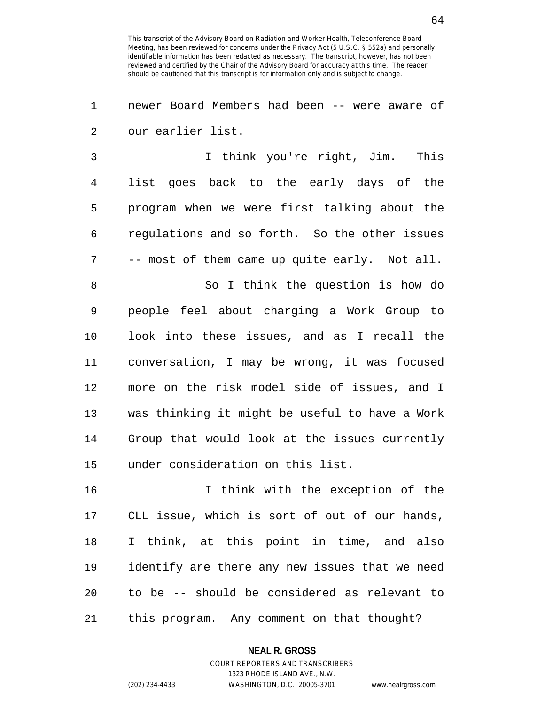1 newer Board Members had been -- were aware of 2 our earlier list.

3 I think you're right, Jim. This 4 list goes back to the early days of the 5 program when we were first talking about the 6 regulations and so forth. So the other issues 7 -- most of them came up quite early. Not all. 8 So I think the question is how do 9 people feel about charging a Work Group to 10 look into these issues, and as I recall the 11 conversation, I may be wrong, it was focused

12 more on the risk model side of issues, and I 13 was thinking it might be useful to have a Work 14 Group that would look at the issues currently 15 under consideration on this list.

16 I think with the exception of the 17 CLL issue, which is sort of out of our hands, 18 I think, at this point in time, and also 19 identify are there any new issues that we need 20 to be -- should be considered as relevant to 21 this program. Any comment on that thought?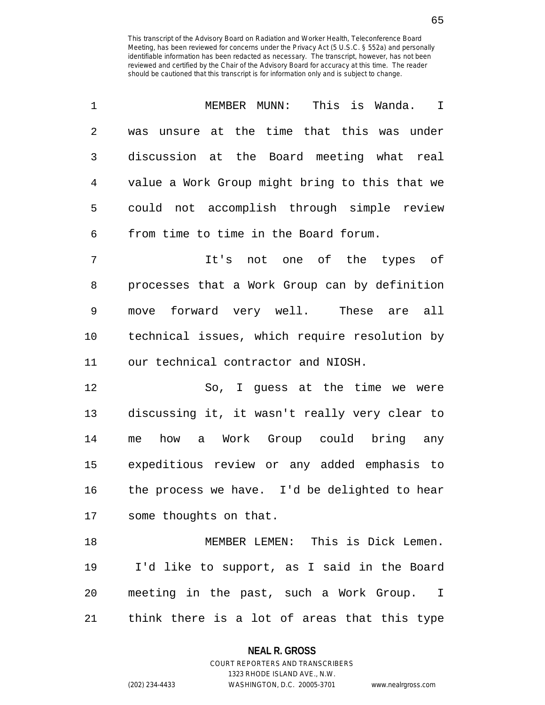| 1  | MEMBER MUNN: This is Wanda. I                  |
|----|------------------------------------------------|
| 2  | unsure at the time that this was under<br>was  |
| 3  | discussion at the Board meeting what real      |
| 4  | value a Work Group might bring to this that we |
| 5  | could not accomplish through simple review     |
| 6  | from time to time in the Board forum.          |
| 7  | It's not one of the types of                   |
| 8  | processes that a Work Group can by definition  |
| 9  | move forward very well. These are all          |
| 10 | technical issues, which require resolution by  |
| 11 | our technical contractor and NIOSH.            |
| 12 | So, I guess at the time we were                |
| 13 | discussing it, it wasn't really very clear to  |
| 14 | how a Work Group could bring any<br>me         |
| 15 | expeditious review or any added emphasis to    |
| 16 | the process we have. I'd be delighted to hear  |
|    | 17 some thoughts on that.                      |
| 18 | MEMBER LEMEN: This is Dick Lemen.              |
| 19 | I'd like to support, as I said in the Board    |
| 20 | meeting in the past, such a Work Group. I      |
| 21 | think there is a lot of areas that this type   |

## **NEAL R. GROSS**

COURT REPORTERS AND TRANSCRIBERS 1323 RHODE ISLAND AVE., N.W. (202) 234-4433 WASHINGTON, D.C. 20005-3701 www.nealrgross.com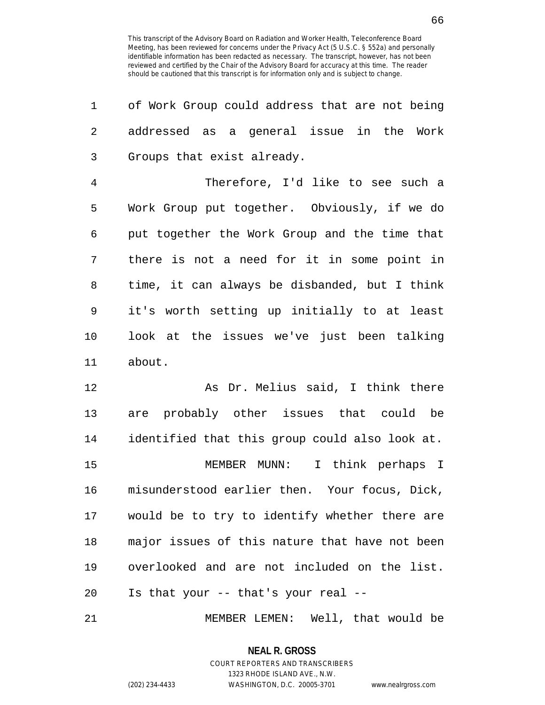| 1              | of Work Group could address that are not being |
|----------------|------------------------------------------------|
| $\overline{2}$ | addressed as a general issue in the Work       |
| 3              | Groups that exist already.                     |
| $\overline{4}$ | Therefore, I'd like to see such a              |
| 5              | Work Group put together. Obviously, if we do   |
| 6              | put together the Work Group and the time that  |
| 7              | there is not a need for it in some point in    |
| 8              | time, it can always be disbanded, but I think  |
| 9              | it's worth setting up initially to at least    |
| 10             | look at the issues we've just been talking     |
| 11             | about.                                         |
| 12             | As Dr. Melius said, I think there              |
| 13             | are probably other issues that could be        |
| 14             | identified that this group could also look at. |
| 15             | MEMBER MUNN: I think perhaps I                 |
| 16             | misunderstood earlier then. Your focus, Dick,  |
| 17             | would be to try to identify whether there are  |
| 18             | major issues of this nature that have not been |
| 19             | overlooked and are not included on the list.   |
| 20             | Is that your -- that's your real --            |
|                |                                                |

21 MEMBER LEMEN: Well, that would be

**NEAL R. GROSS**

COURT REPORTERS AND TRANSCRIBERS 1323 RHODE ISLAND AVE., N.W. (202) 234-4433 WASHINGTON, D.C. 20005-3701 www.nealrgross.com

66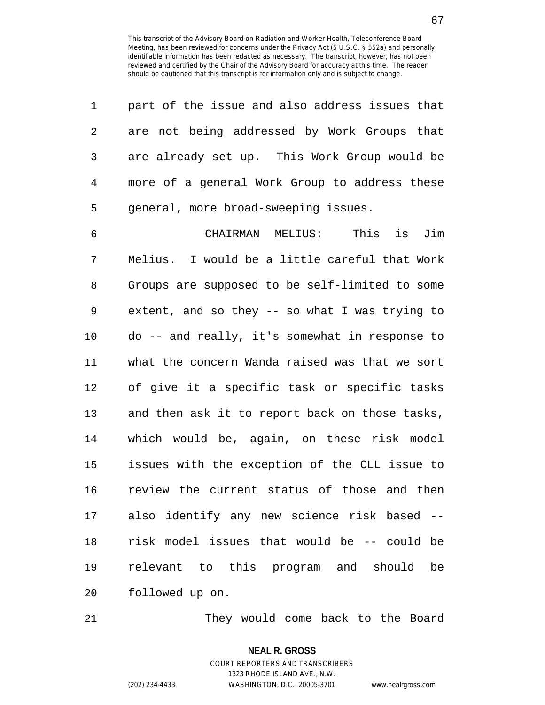| 1              | part of the issue and also address issues that  |
|----------------|-------------------------------------------------|
| 2              | are not being addressed by Work Groups that     |
| 3              | are already set up. This Work Group would be    |
| $\overline{4}$ | more of a general Work Group to address these   |
| 5              | general, more broad-sweeping issues.            |
| 6              | CHAIRMAN MELIUS:<br>This is Jim                 |
| 7              | Melius. I would be a little careful that Work   |
| 8              | Groups are supposed to be self-limited to some  |
| 9              | extent, and so they $-$ so what I was trying to |
| 10             | do -- and really, it's somewhat in response to  |
| 11             | what the concern Wanda raised was that we sort  |
| 12             | of give it a specific task or specific tasks    |
| 13             | and then ask it to report back on those tasks,  |
| 14             | which would be, again, on these risk model      |
| 15             | issues with the exception of the CLL issue to   |
| 16             | review the current status of those and then     |
|                | 17 also identify any new science risk based --  |
| 18             | risk model issues that would be -- could be     |
| 19             | relevant to this program and should be          |
| 20             | followed up on.                                 |

21 They would come back to the Board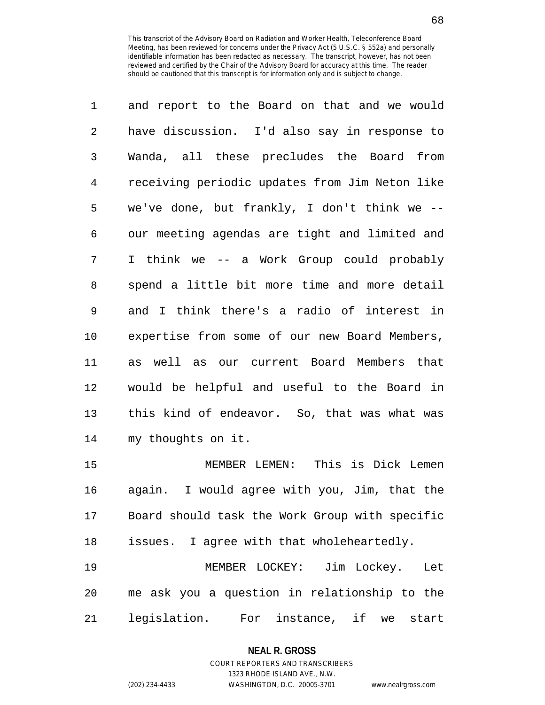| 1              | and report to the Board on that and we would   |
|----------------|------------------------------------------------|
| $\overline{2}$ | have discussion. I'd also say in response to   |
| 3              | Wanda, all these precludes the Board from      |
| 4              | receiving periodic updates from Jim Neton like |
| 5              | we've done, but frankly, I don't think we --   |
| 6              | our meeting agendas are tight and limited and  |
| 7              | I think we -- a Work Group could probably      |
| 8              | spend a little bit more time and more detail   |
| 9              | and I think there's a radio of interest in     |
| 10             | expertise from some of our new Board Members,  |
| 11             | as well as our current Board Members that      |
| 12             | would be helpful and useful to the Board in    |
| 13             | this kind of endeavor. So, that was what was   |
| 14             | my thoughts on it.                             |
| 15             | MEMBER LEMEN: This is Dick Lemen               |
| 16             | again. I would agree with you, Jim, that the   |
| 17             | Board should task the Work Group with specific |
| 18             | issues. I agree with that wholeheartedly.      |

19 MEMBER LOCKEY: Jim Lockey. Let 20 me ask you a question in relationship to the 21 legislation. For instance, if we start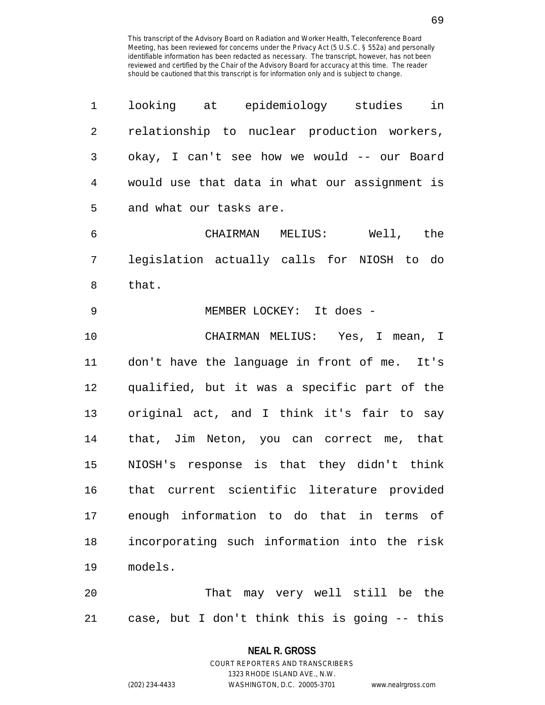| 1  | looking at epidemiology studies<br>in         |
|----|-----------------------------------------------|
| 2  | relationship to nuclear production workers,   |
| 3  | okay, I can't see how we would -- our Board   |
| 4  | would use that data in what our assignment is |
| 5  | and what our tasks are.                       |
| 6  | CHAIRMAN MELIUS: Well, the                    |
| 7  | legislation actually calls for NIOSH to do    |
| 8  | that.                                         |
| 9  | MEMBER LOCKEY: It does -                      |
| 10 | CHAIRMAN MELIUS: Yes, I mean, I               |
| 11 | don't have the language in front of me. It's  |
| 12 | qualified, but it was a specific part of the  |
| 13 | original act, and I think it's fair to say    |
| 14 | that, Jim Neton, you can correct me, that     |
| 15 | NIOSH's response is that they didn't think    |
| 16 | that current scientific literature provided   |
| 17 | enough information to do that in terms of     |
| 18 | incorporating such information into the risk  |
| 19 | models.                                       |
| 20 | That may very well still be the               |
| 21 | case, but I don't think this is going -- this |

**NEAL R. GROSS** COURT REPORTERS AND TRANSCRIBERS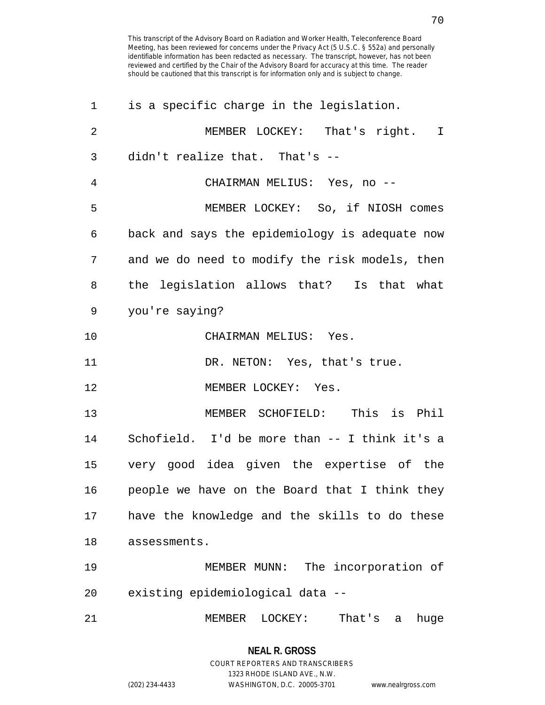| 1              | is a specific charge in the legislation.       |
|----------------|------------------------------------------------|
| $\overline{2}$ | MEMBER LOCKEY: That's right. I                 |
| 3              | didn't realize that. That's --                 |
| 4              | CHAIRMAN MELIUS: Yes, no --                    |
| 5              | MEMBER LOCKEY: So, if NIOSH comes              |
| 6              | back and says the epidemiology is adequate now |
| 7              | and we do need to modify the risk models, then |
| 8              | the legislation allows that? Is that what      |
| 9              | you're saying?                                 |
| 10             | CHAIRMAN MELIUS: Yes.                          |
| 11             | DR. NETON: Yes, that's true.                   |
| 12             | MEMBER LOCKEY: Yes.                            |
| 13             | MEMBER SCHOFIELD: This is Phil                 |
| 14             | Schofield. I'd be more than -- I think it's a  |
| 15             | very good idea given the expertise of the      |
| 16             | people we have on the Board that I think they  |
| 17             | have the knowledge and the skills to do these  |
| 18             | assessments.                                   |
| 19             | MEMBER MUNN: The incorporation of              |
| 20             | existing epidemiological data --               |
| 21             | That's<br>MEMBER<br>LOCKEY:<br>huge<br>a       |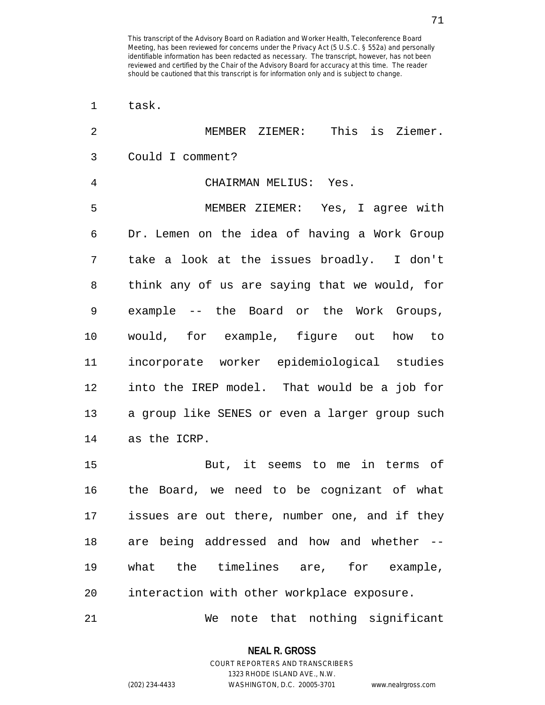| $\mathbf 1$    | task.                                          |
|----------------|------------------------------------------------|
| $\overline{2}$ | This is Ziemer.<br>MEMBER ZIEMER:              |
| 3              | Could I comment?                               |
| 4              | CHAIRMAN MELIUS: Yes.                          |
| 5              | MEMBER ZIEMER: Yes, I agree with               |
| 6              | Dr. Lemen on the idea of having a Work Group   |
| 7              | take a look at the issues broadly. I don't     |
| 8              | think any of us are saying that we would, for  |
| 9              | example -- the Board or the Work Groups,       |
| 10             | would, for example, figure out how to          |
| 11             | incorporate worker epidemiological studies     |
| 12             | into the IREP model. That would be a job for   |
| 13             | a group like SENES or even a larger group such |
| 14             | as the ICRP.                                   |
| 15             | But, it seems to me in terms of                |
| 16             | the Board, we need to be cognizant of what     |
| 17             | issues are out there, number one, and if they  |
| 18             | are being addressed and how and whether --     |
| 19             | what the timelines are, for example,           |
| 20             | interaction with other workplace exposure.     |
| 21             | that nothing significant<br>We<br>note         |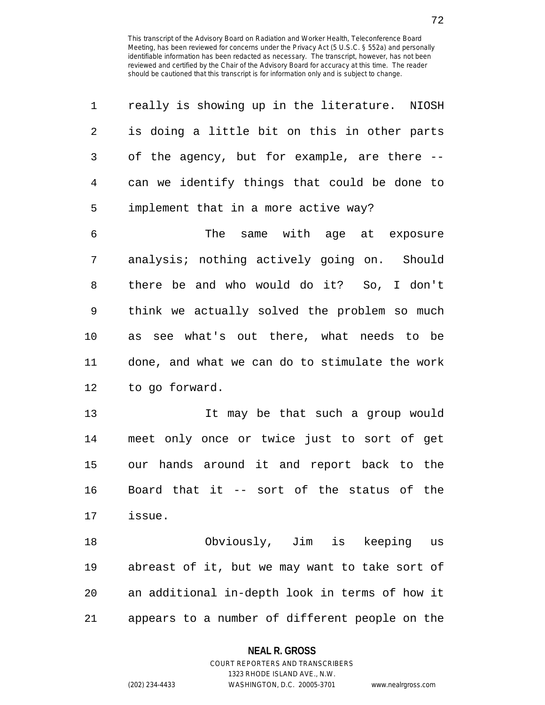| 1              | really is showing up in the literature. NIOSH  |
|----------------|------------------------------------------------|
| 2              | is doing a little bit on this in other parts   |
| 3              | of the agency, but for example, are there --   |
| $\overline{4}$ | can we identify things that could be done to   |
| 5              | implement that in a more active way?           |
| 6              | The same with age at exposure                  |
| 7              | analysis; nothing actively going on. Should    |
| 8              | there be and who would do it? So, I don't      |
| 9              | think we actually solved the problem so much   |
| 10             | as see what's out there, what needs to be      |
| 11             | done, and what we can do to stimulate the work |
| 12             | to go forward.                                 |
| 13             | It may be that such a group would              |
| 14             | meet only once or twice just to sort of get    |
| 15             | our hands around it and report back to the     |
| 16             | Board that it -- sort of the status of the     |
| 17             | issue.                                         |
| 18             | Obviously, Jim is keeping<br>us                |
| 19             | abreast of it, but we may want to take sort of |
| 20             | an additional in-depth look in terms of how it |
| 21             | appears to a number of different people on the |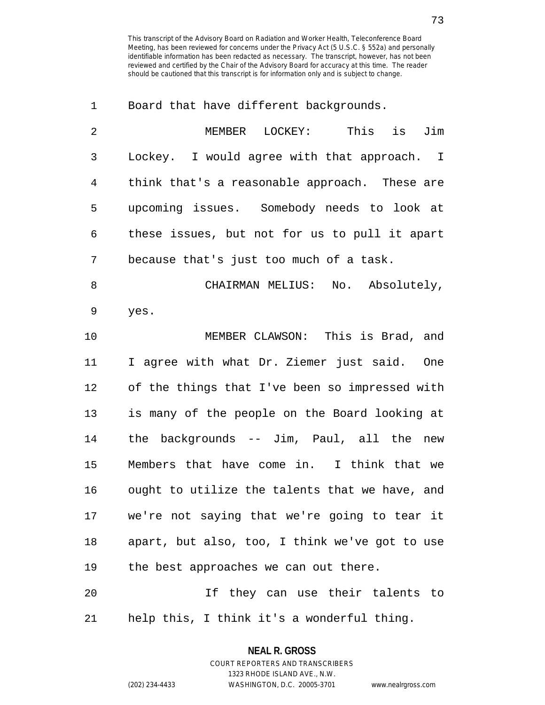1 Board that have different backgrounds.

| $\overline{2}$ | MEMBER LOCKEY: This is Jim                     |
|----------------|------------------------------------------------|
| 3              | Lockey. I would agree with that approach. I    |
| 4              | think that's a reasonable approach. These are  |
| 5              | upcoming issues. Somebody needs to look at     |
| 6              | these issues, but not for us to pull it apart  |
| 7              | because that's just too much of a task.        |
| 8              | CHAIRMAN MELIUS: No. Absolutely,               |
| 9              | yes.                                           |
| 10             | MEMBER CLAWSON: This is Brad, and              |
| 11             | I agree with what Dr. Ziemer just said. One    |
| 12             | of the things that I've been so impressed with |
| 13             | is many of the people on the Board looking at  |
| 14             | the backgrounds -- Jim, Paul, all the new      |
| 15             | Members that have come in. I think that we     |
| 16             | ought to utilize the talents that we have, and |
| 17             | we're not saying that we're going to tear it   |
| 18             | apart, but also, too, I think we've got to use |
| 19             | the best approaches we can out there.          |
| 20             | If they can use their talents to               |
|                |                                                |

21 help this, I think it's a wonderful thing.

# **NEAL R. GROSS** COURT REPORTERS AND TRANSCRIBERS

1323 RHODE ISLAND AVE., N.W.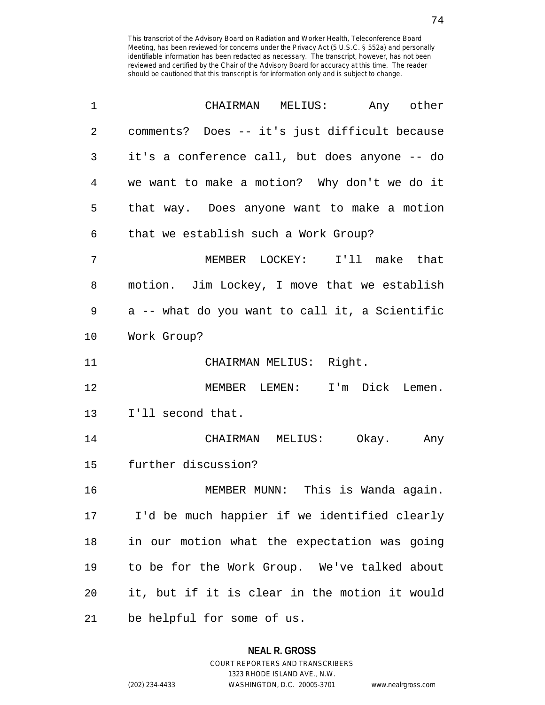| 1              | MELIUS: Any other<br>CHAIRMAN                  |
|----------------|------------------------------------------------|
| $\overline{2}$ | comments? Does -- it's just difficult because  |
| 3              | it's a conference call, but does anyone -- do  |
| 4              | we want to make a motion? Why don't we do it   |
| 5              | that way. Does anyone want to make a motion    |
| 6              | that we establish such a Work Group?           |
| 7              | MEMBER LOCKEY: I'll make that                  |
| 8              | motion. Jim Lockey, I move that we establish   |
| 9              | a -- what do you want to call it, a Scientific |
| 10             | Work Group?                                    |
| 11             | CHAIRMAN MELIUS: Right.                        |
| 12             | MEMBER LEMEN: I'm Dick Lemen.                  |
| 13             | I'll second that.                              |
| 14             | CHAIRMAN MELIUS:<br>Okay. Any                  |
| 15             | further discussion?                            |
| 16             | MEMBER MUNN: This is Wanda again.              |
| 17             | I'd be much happier if we identified clearly   |
| 18             | in our motion what the expectation was going   |
| 19             | to be for the Work Group. We've talked about   |
| 20             | it, but if it is clear in the motion it would  |
| 21             | be helpful for some of us.                     |

# **NEAL R. GROSS** COURT REPORTERS AND TRANSCRIBERS

1323 RHODE ISLAND AVE., N.W. (202) 234-4433 WASHINGTON, D.C. 20005-3701 www.nealrgross.com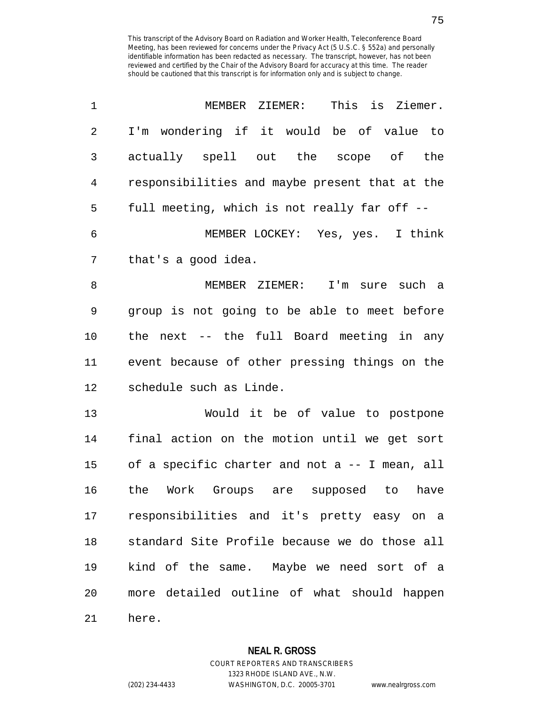| 1  | MEMBER ZIEMER:<br>This is Ziemer.              |
|----|------------------------------------------------|
| 2  | I'm wondering if it would be of value to       |
| 3  | actually spell out the scope of the            |
| 4  | responsibilities and maybe present that at the |
| 5  | full meeting, which is not really far off --   |
| 6  | MEMBER LOCKEY: Yes, yes. I think               |
| 7  | that's a good idea.                            |
| 8  | MEMBER ZIEMER:<br>I'm sure such a              |
| 9  | group is not going to be able to meet before   |
| 10 | the next -- the full Board meeting in any      |
| 11 | event because of other pressing things on the  |
| 12 | schedule such as Linde.                        |
| 13 | Would it be of value to postpone               |
| 14 | final action on the motion until we get sort   |
| 15 | of a specific charter and not a -- I mean, all |
| 16 | the<br>Work Groups are supposed to<br>have     |
| 17 | responsibilities and it's pretty easy on a     |
| 18 | standard Site Profile because we do those all  |
| 19 | kind of the same. Maybe we need sort of a      |
| 20 | more detailed outline of what should happen    |
| 21 | here.                                          |

1323 RHODE ISLAND AVE., N.W.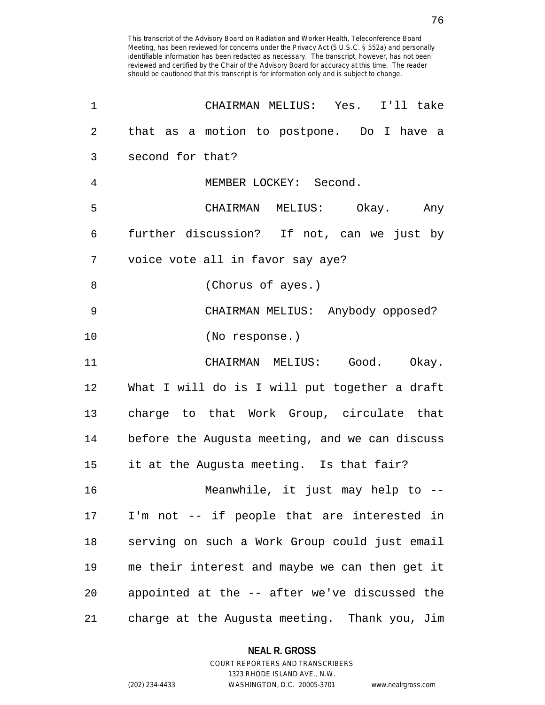| 1  | CHAIRMAN MELIUS: Yes. I'll take                |
|----|------------------------------------------------|
| 2  | that as a motion to postpone. Do I have a      |
| 3  | second for that?                               |
| 4  | MEMBER LOCKEY: Second.                         |
| 5  | CHAIRMAN MELIUS: Okay. Any                     |
| 6  | further discussion? If not, can we just by     |
| 7  | voice vote all in favor say aye?               |
| 8  | (Chorus of ayes.)                              |
| 9  | CHAIRMAN MELIUS: Anybody opposed?              |
| 10 | (No response.)                                 |
| 11 | CHAIRMAN MELIUS: Good. Okay.                   |
| 12 | What I will do is I will put together a draft  |
| 13 | charge to that Work Group, circulate that      |
| 14 | before the Augusta meeting, and we can discuss |
| 15 | it at the Augusta meeting. Is that fair?       |
| 16 | Meanwhile, it just may help to --              |
| 17 | I'm not -- if people that are interested in    |
| 18 | serving on such a Work Group could just email  |
| 19 | me their interest and maybe we can then get it |
| 20 | appointed at the -- after we've discussed the  |
| 21 | charge at the Augusta meeting. Thank you, Jim  |

**NEAL R. GROSS** COURT REPORTERS AND TRANSCRIBERS

1323 RHODE ISLAND AVE., N.W.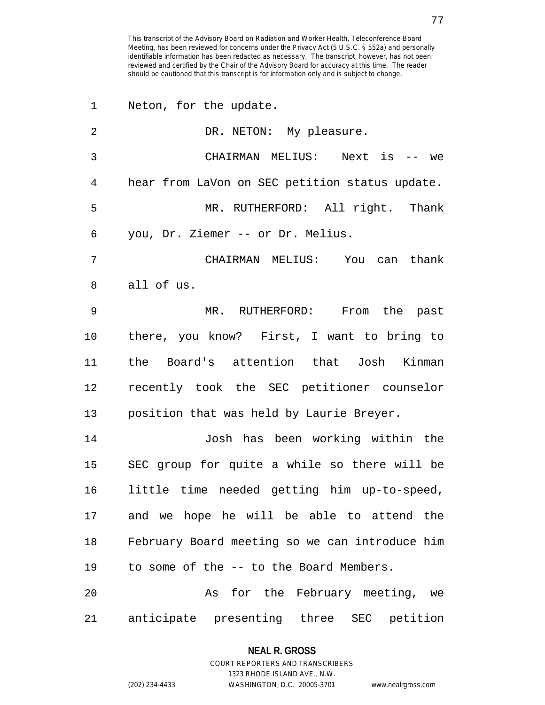| 1              | Neton, for the update.                         |
|----------------|------------------------------------------------|
| $\overline{2}$ | DR. NETON: My pleasure.                        |
| 3              | CHAIRMAN MELIUS: Next is -- we                 |
| 4              | hear from LaVon on SEC petition status update. |
| 5              | MR. RUTHERFORD: All right. Thank               |
| 6              | you, Dr. Ziemer -- or Dr. Melius.              |
| 7              | CHAIRMAN MELIUS: You can thank                 |
| 8              | all of us.                                     |
| 9              | MR. RUTHERFORD: From the past                  |
| 10             | there, you know? First, I want to bring to     |
| 11             | the Board's attention that Josh Kinman         |
| 12             | recently took the SEC petitioner counselor     |
| 13             | position that was held by Laurie Breyer.       |
| 14             | Josh has been working within the               |
| 15             | SEC group for quite a while so there will be   |
| 16             | little time needed getting him up-to-speed,    |
| 17             | and we hope he will be able to attend the      |
| 18             | February Board meeting so we can introduce him |
| 19             | to some of the -- to the Board Members.        |
| 20             | As for the February meeting, we                |
| 21             | anticipate presenting three SEC<br>petition    |

# **NEAL R. GROSS** COURT REPORTERS AND TRANSCRIBERS

1323 RHODE ISLAND AVE., N.W.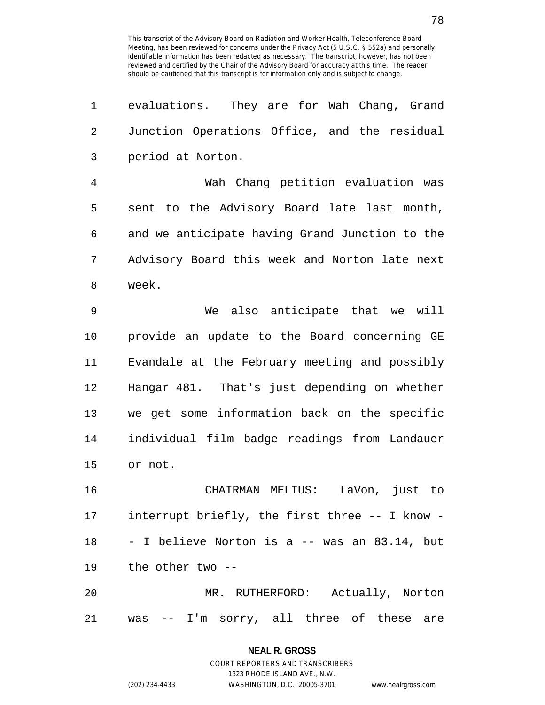| 1  | evaluations. They are for Wah Chang, Grand     |
|----|------------------------------------------------|
| 2  | Junction Operations Office, and the residual   |
| 3  | period at Norton.                              |
| 4  | Wah Chang petition evaluation was              |
| 5  | sent to the Advisory Board late last month,    |
| 6  | and we anticipate having Grand Junction to the |
| 7  | Advisory Board this week and Norton late next  |
| 8  | week.                                          |
| 9  | We also anticipate that we will                |
| 10 | provide an update to the Board concerning GE   |
| 11 | Evandale at the February meeting and possibly  |
| 12 | Hangar 481. That's just depending on whether   |
| 13 | we get some information back on the specific   |
| 14 | individual film badge readings from Landauer   |
| 15 | or not.                                        |
| 16 | LaVon, just to<br>CHAIRMAN MELIUS:             |
| 17 | interrupt briefly, the first three -- I know - |
| 18 | - I believe Norton is a -- was an 83.14, but   |
| 19 | the other two --                               |
| 20 | MR. RUTHERFORD: Actually, Norton               |
| 21 | was -- I'm sorry, all three of these are       |

1323 RHODE ISLAND AVE., N.W.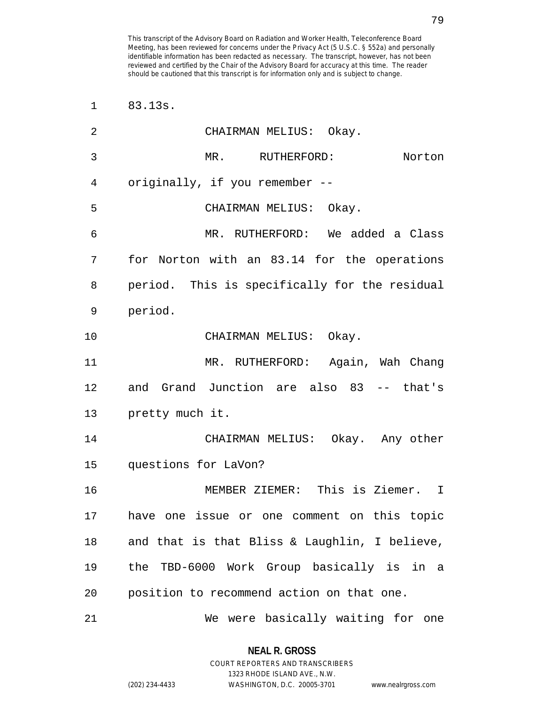| 1  | 83.13s.                                       |
|----|-----------------------------------------------|
| 2  | CHAIRMAN MELIUS: Okay.                        |
| 3  | MR. RUTHERFORD:<br>Norton                     |
| 4  | originally, if you remember --                |
| 5  | CHAIRMAN MELIUS: Okay.                        |
| 6  | MR. RUTHERFORD: We added a Class              |
| 7  | for Norton with an 83.14 for the operations   |
| 8  | period. This is specifically for the residual |
| 9  | period.                                       |
| 10 | CHAIRMAN MELIUS: Okay.                        |
| 11 | MR. RUTHERFORD: Again, Wah Chang              |
| 12 | and Grand Junction are also 83 -- that's      |
| 13 | pretty much it.                               |
| 14 | CHAIRMAN MELIUS: Okay. Any other              |
| 15 | questions for LaVon?                          |
| 16 | MEMBER ZIEMER: This is Ziemer. I              |
| 17 | have one issue or one comment on this topic   |
| 18 | and that is that Bliss & Laughlin, I believe, |
| 19 | the TBD-6000 Work Group basically is in a     |
| 20 | position to recommend action on that one.     |
| 21 | We were basically waiting for one             |

1323 RHODE ISLAND AVE., N.W.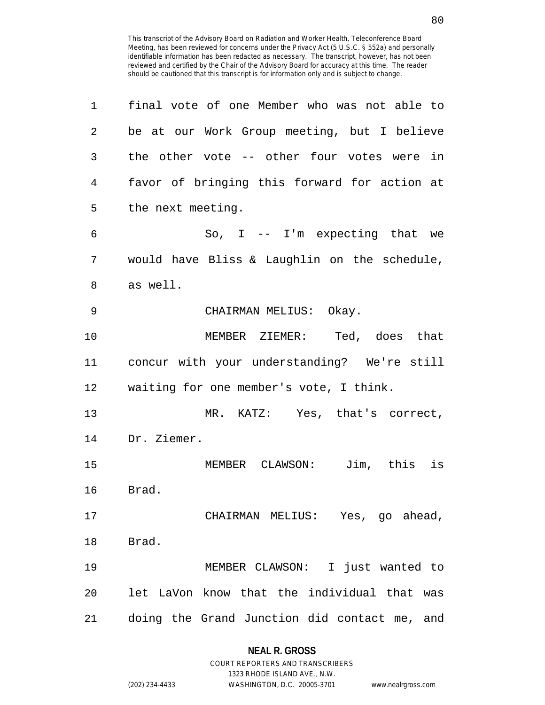| 1  | final vote of one Member who was not able to |
|----|----------------------------------------------|
| 2  | be at our Work Group meeting, but I believe  |
| 3  | the other vote -- other four votes were in   |
| 4  | favor of bringing this forward for action at |
| 5  | the next meeting.                            |
| 6  | So, $I$ -- I'm expecting that we             |
| 7  | would have Bliss & Laughlin on the schedule, |
| 8  | as well.                                     |
| 9  | CHAIRMAN MELIUS: Okay.                       |
| 10 | MEMBER ZIEMER: Ted, does that                |
| 11 | concur with your understanding? We're still  |
| 12 | waiting for one member's vote, I think.      |
| 13 | MR. KATZ: Yes, that's correct,               |
| 14 | Dr. Ziemer.                                  |
| 15 | MEMBER CLAWSON: Jim, this is                 |
| 16 | Brad.                                        |
| 17 | CHAIRMAN MELIUS: Yes, go ahead,              |
| 18 | Brad.                                        |
| 19 | MEMBER CLAWSON: I just wanted to             |
| 20 | let LaVon know that the individual that was  |
| 21 | doing the Grand Junction did contact me, and |

# **NEAL R. GROSS** COURT REPORTERS AND TRANSCRIBERS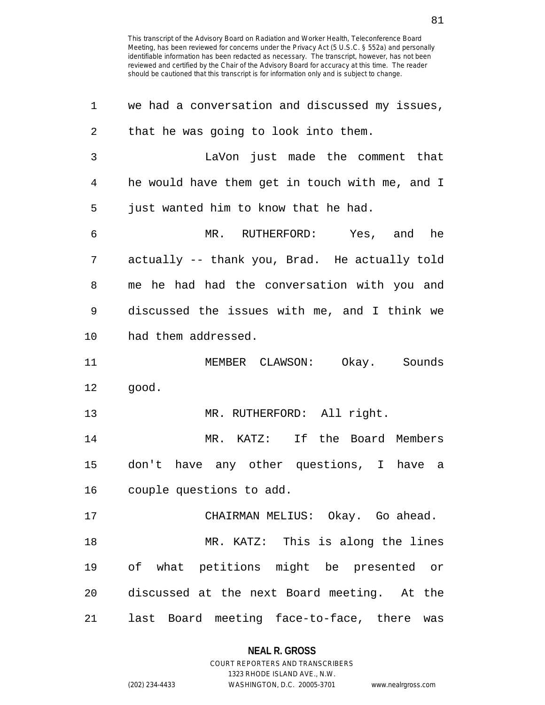| 1  | we had a conversation and discussed my issues, |
|----|------------------------------------------------|
| 2  | that he was going to look into them.           |
| 3  | LaVon just made the comment that               |
| 4  | he would have them get in touch with me, and I |
| 5  | just wanted him to know that he had.           |
| 6  | MR. RUTHERFORD: Yes, and he                    |
| 7  | actually -- thank you, Brad. He actually told  |
| 8  | me he had had the conversation with you and    |
| 9  | discussed the issues with me, and I think we   |
| 10 | had them addressed.                            |
| 11 | MEMBER CLAWSON: Okay. Sounds                   |
| 12 | good.                                          |
| 13 | MR. RUTHERFORD: All right.                     |
| 14 | MR. KATZ: If the Board Members                 |
| 15 | don't have any other questions, I have a       |
| 16 | couple questions to add.                       |
| 17 | CHAIRMAN MELIUS: Okay. Go ahead.               |
| 18 | MR. KATZ: This is along the lines              |
| 19 | of what petitions might be presented or        |
| 20 | discussed at the next Board meeting. At the    |
| 21 | last Board meeting face-to-face, there was     |

# **NEAL R. GROSS**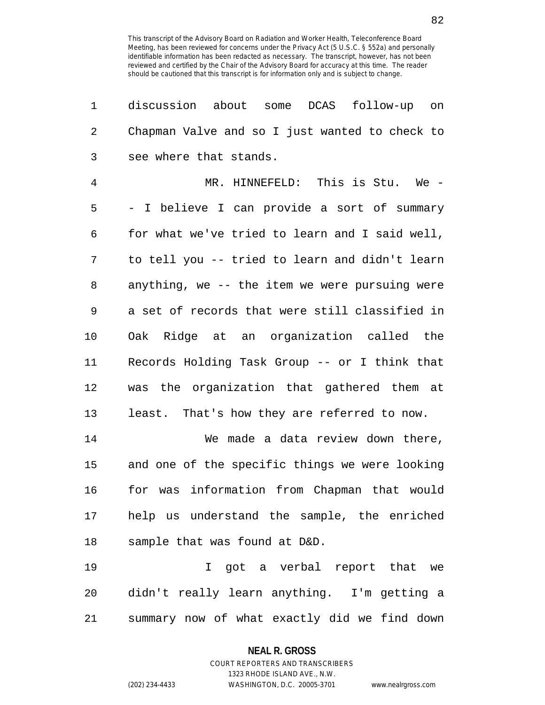| 1          | about some DCAS follow-up<br>discussion<br>on  |
|------------|------------------------------------------------|
| $\sqrt{2}$ | Chapman Valve and so I just wanted to check to |
| 3          | see where that stands.                         |
| 4          | MR. HINNEFELD: This is Stu. We -               |
| 5          | - I believe I can provide a sort of summary    |
| 6          | for what we've tried to learn and I said well, |
| 7          | to tell you -- tried to learn and didn't learn |
| 8          | anything, we -- the item we were pursuing were |
| 9          | a set of records that were still classified in |
| 10         | Oak Ridge at an organization called the        |
| 11         | Records Holding Task Group -- or I think that  |
| 12         | was the organization that gathered them at     |
| 13         | least. That's how they are referred to now.    |
| 14         | We made a data review down there,              |
| 15         | and one of the specific things we were looking |
| 16         | for was information from Chapman that would    |
| 17         | help us understand the sample, the enriched    |
| 18         | sample that was found at D&D.                  |
| 19         | I got a verbal report that we                  |
| 20         | didn't really learn anything. I'm getting a    |
| 21         | summary now of what exactly did we find down   |

**NEAL R. GROSS** COURT REPORTERS AND TRANSCRIBERS

1323 RHODE ISLAND AVE., N.W. (202) 234-4433 WASHINGTON, D.C. 20005-3701 www.nealrgross.com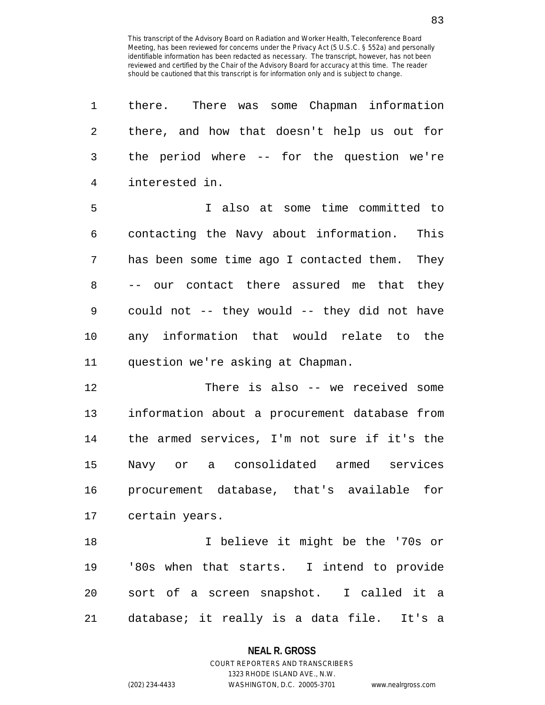| 1  | there. There was some Chapman information        |
|----|--------------------------------------------------|
| 2  | there, and how that doesn't help us out for      |
| 3  | the period where -- for the question we're       |
| 4  | interested in.                                   |
| 5  | I also at some time committed to                 |
| 6  | contacting the Navy about information.<br>This   |
| 7  | has been some time ago I contacted them.<br>They |
| 8  | -- our contact there assured me that they        |
| 9  | could not -- they would -- they did not have     |
| 10 | any information that would relate to the         |
| 11 | question we're asking at Chapman.                |
| 12 | There is also -- we received some                |
| 13 | information about a procurement database from    |
| 14 | the armed services, I'm not sure if it's the     |
| 15 | Navy or a consolidated armed services            |
| 16 | procurement database, that's available for       |
|    | 17 certain years.                                |
| 18 | I believe it might be the '70s or                |
| 19 | '80s when that starts. I intend to provide       |
| 20 | sort of a screen snapshot. I called it a         |
| 21 | database; it really is a data file. It's a       |

**NEAL R. GROSS**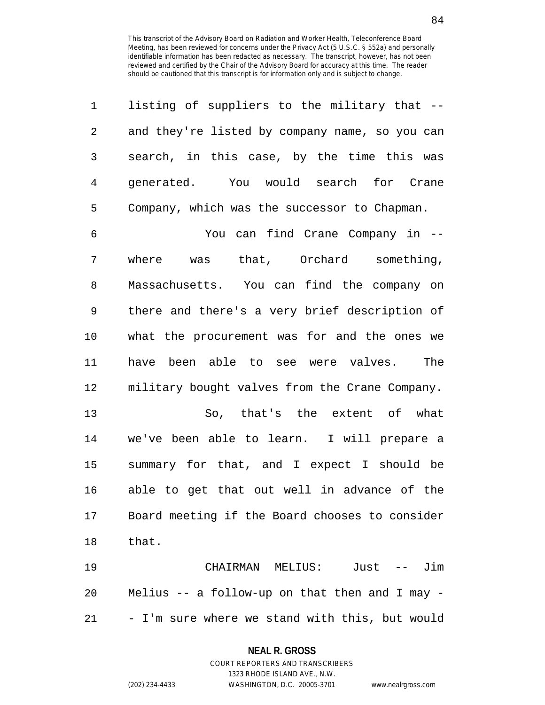| 1              | listing of suppliers to the military that --                   |
|----------------|----------------------------------------------------------------|
| $\overline{2}$ | and they're listed by company name, so you can                 |
| 3              | search, in this case, by the time this was                     |
| $\overline{4}$ | generated. You would search for Crane                          |
| 5              | Company, which was the successor to Chapman.                   |
| 6              | You can find Crane Company in --                               |
| 7              | was that, Orchard something,<br>where                          |
| 8              | Massachusetts. You can find the company on                     |
| 9              | there and there's a very brief description of                  |
| 10             | what the procurement was for and the ones we                   |
| 11             | have been able to see were valves. The                         |
| 12             | military bought valves from the Crane Company.                 |
| 13             | So, that's the extent of what                                  |
| 14             | we've been able to learn. I will prepare a                     |
| 15             | summary for that, and I expect I should be                     |
| 16             | able to get that out well in advance of the                    |
| 17             | Board meeting if the Board chooses to consider                 |
| 18             | that.                                                          |
| 19             | Just<br>Jim<br>CHAIRMAN<br>MELIUS:<br>$\qquad \qquad - \qquad$ |

20 Melius -- a follow-up on that then and I may - 21 - I'm sure where we stand with this, but would

#### **NEAL R. GROSS**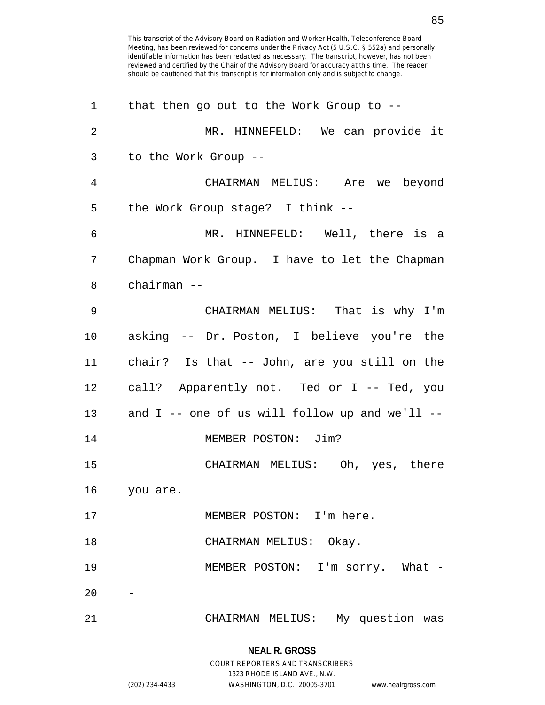| 1              | that then go out to the Work Group to $-$ -    |
|----------------|------------------------------------------------|
| $\overline{2}$ | MR. HINNEFELD: We can provide it               |
| 3              | to the Work Group --                           |
| 4              | CHAIRMAN MELIUS: Are we beyond                 |
| 5              | the Work Group stage? I think --               |
| 6              | MR. HINNEFELD: Well, there is a                |
| 7              | Chapman Work Group. I have to let the Chapman  |
| 8              | chairman --                                    |
| 9              | CHAIRMAN MELIUS: That is why I'm               |
| 10             | asking -- Dr. Poston, I believe you're the     |
| 11             | chair? Is that -- John, are you still on the   |
| 12             | call? Apparently not. Ted or I -- Ted, you     |
| 13             | and I -- one of us will follow up and we'll -- |
| 14             | MEMBER POSTON: Jim?                            |
| 15             | CHAIRMAN MELIUS: Oh, yes, there                |
| 16             | you are.                                       |
| 17             | MEMBER POSTON: I'm here.                       |
| 18             | CHAIRMAN MELIUS: Okay.                         |
| 19             | MEMBER POSTON: I'm sorry. What -               |
| 20             |                                                |
| 21             | CHAIRMAN MELIUS: My question was               |

**NEAL R. GROSS** COURT REPORTERS AND TRANSCRIBERS 1323 RHODE ISLAND AVE., N.W.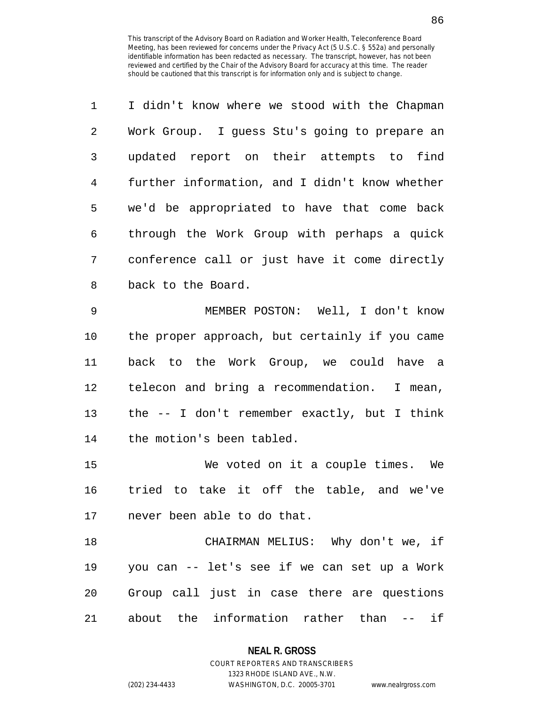| 1              | I didn't know where we stood with the Chapman  |
|----------------|------------------------------------------------|
| $\overline{2}$ | Work Group. I guess Stu's going to prepare an  |
| 3              | updated report on their attempts to find       |
| $\overline{4}$ | further information, and I didn't know whether |
| 5              | we'd be appropriated to have that come back    |
| 6              | through the Work Group with perhaps a quick    |
| 7              | conference call or just have it come directly  |
| 8              | back to the Board.                             |
| 9              | MEMBER POSTON: Well, I don't know              |
| 10             | the proper approach, but certainly if you came |
| 11             | back to the Work Group, we could have a        |
| 12             | telecon and bring a recommendation.<br>I mean, |
| 13             | the $--$ I don't remember exactly, but I think |
| 14             | the motion's been tabled.                      |
| 15             | We voted on it a couple times. We              |
| 16             | tried to take it off the table, and we've      |
| 17             | never been able to do that.                    |
| 18             | CHAIRMAN MELIUS: Why don't we, if              |
| 19             | you can -- let's see if we can set up a Work   |
| 20             | Group call just in case there are questions    |

21 about the information rather than -- if

## **NEAL R. GROSS**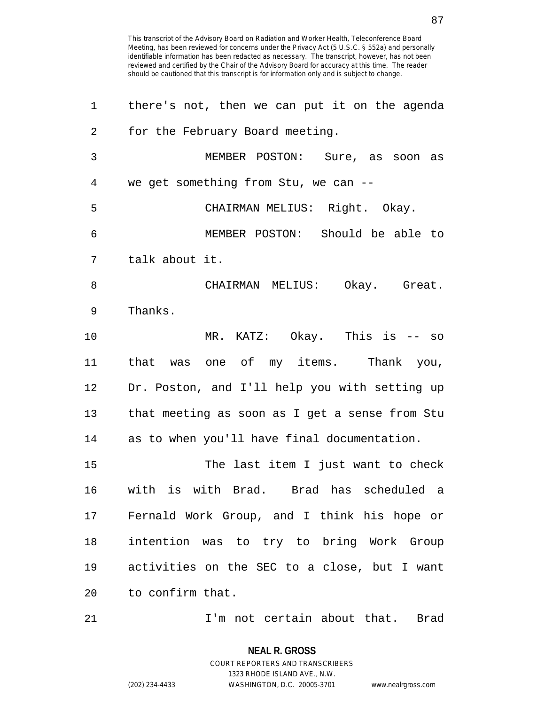| 1              | there's not, then we can put it on the agenda  |
|----------------|------------------------------------------------|
| 2              | for the February Board meeting.                |
| 3              | MEMBER POSTON: Sure, as soon as                |
| $\overline{4}$ | we get something from Stu, we can --           |
| 5              | CHAIRMAN MELIUS: Right. Okay.                  |
| 6              | MEMBER POSTON: Should be able to               |
| 7              | talk about it.                                 |
| 8              | CHAIRMAN MELIUS: Okay. Great.                  |
| 9              | Thanks.                                        |
| 10             | MR. KATZ: Okay. This is -- so                  |
| 11             | that was one of my items. Thank you,           |
| 12             | Dr. Poston, and I'll help you with setting up  |
| 13             | that meeting as soon as I get a sense from Stu |
| 14             | as to when you'll have final documentation.    |
| 15             | The last item I just want to check             |
| 16             | with is with Brad. Brad has scheduled a        |
| 17             | Fernald Work Group, and I think his hope or    |
| 18             | intention was to try to bring Work Group       |
| 19             | activities on the SEC to a close, but I want   |
| 20             | to confirm that.                               |
|                |                                                |

21 I'm not certain about that. Brad

**NEAL R. GROSS** COURT REPORTERS AND TRANSCRIBERS 1323 RHODE ISLAND AVE., N.W.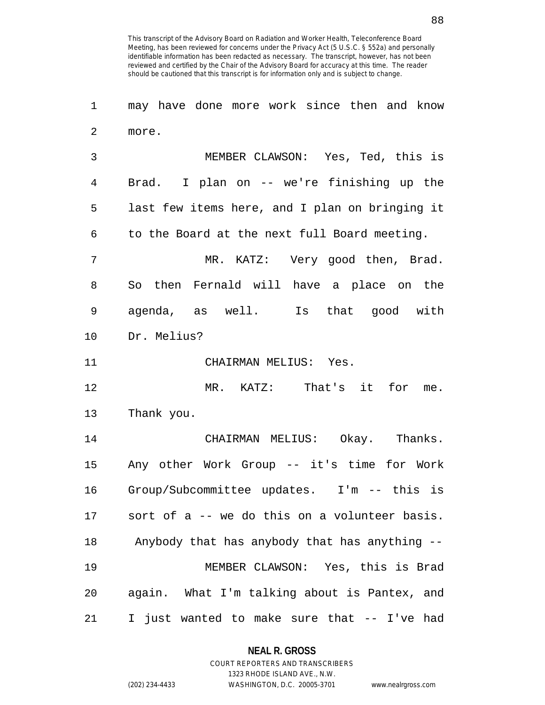1 may have done more work since then and know 2 more.

3 MEMBER CLAWSON: Yes, Ted, this is 4 Brad. I plan on -- we're finishing up the 5 last few items here, and I plan on bringing it 6 to the Board at the next full Board meeting. 7 MR. KATZ: Very good then, Brad.

8 So then Fernald will have a place on the 9 agenda, as well. Is that good with 10 Dr. Melius?

11 CHAIRMAN MELIUS: Yes.

12 MR. KATZ: That's it for me. 13 Thank you.

14 CHAIRMAN MELIUS: Okay. Thanks. 15 Any other Work Group -- it's time for Work 16 Group/Subcommittee updates. I'm -- this is 17 sort of a -- we do this on a volunteer basis. 18 Anybody that has anybody that has anything -- 19 MEMBER CLAWSON: Yes, this is Brad 20 again. What I'm talking about is Pantex, and 21 I just wanted to make sure that -- I've had

**NEAL R. GROSS**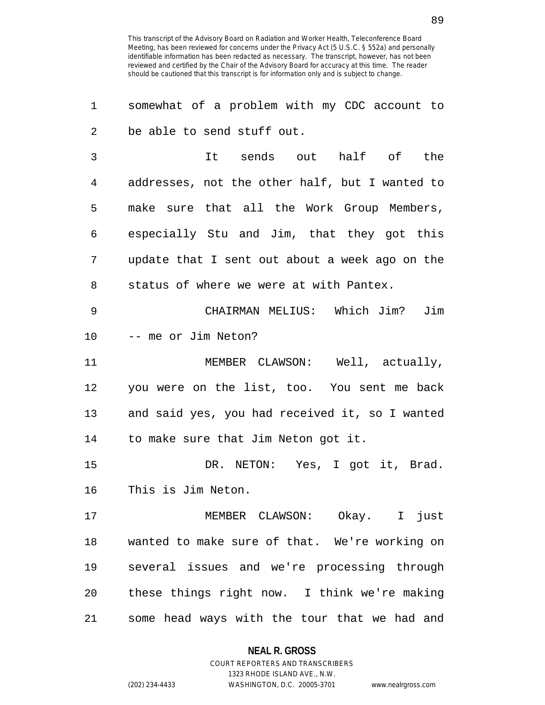| 1  | somewhat of a problem with my CDC account to   |
|----|------------------------------------------------|
| 2  | be able to send stuff out.                     |
| 3  | half of the<br>It sends out                    |
| 4  | addresses, not the other half, but I wanted to |
| 5  | make sure that all the Work Group Members,     |
| 6  | especially Stu and Jim, that they got this     |
| 7  | update that I sent out about a week ago on the |
| 8  | status of where we were at with Pantex.        |
| 9  | CHAIRMAN MELIUS: Which Jim?<br>Jim             |
| 10 | -- me or Jim Neton?                            |
| 11 | MEMBER CLAWSON: Well, actually,                |
| 12 | you were on the list, too. You sent me back    |
| 13 | and said yes, you had received it, so I wanted |
| 14 | to make sure that Jim Neton got it.            |
| 15 | DR. NETON: Yes, I got it, Brad.                |
| 16 | This is Jim Neton.                             |
| 17 | MEMBER CLAWSON: Okay. I just                   |
| 18 | wanted to make sure of that. We're working on  |
| 19 | several issues and we're processing through    |
| 20 | these things right now. I think we're making   |
| 21 | some head ways with the tour that we had and   |

**NEAL R. GROSS**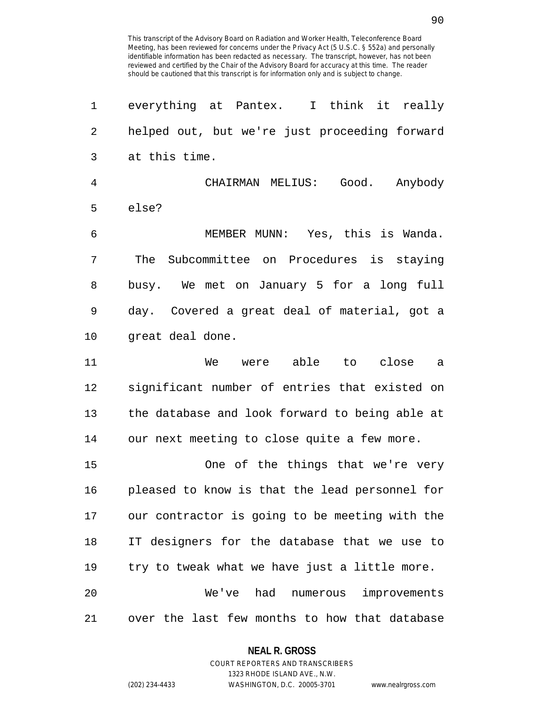| 1              | everything at Pantex. I think it really        |
|----------------|------------------------------------------------|
| $\overline{2}$ | helped out, but we're just proceeding forward  |
| 3              | at this time.                                  |
| $\overline{4}$ | CHAIRMAN MELIUS: Good. Anybody                 |
| 5              | else?                                          |
| 6              | MEMBER MUNN: Yes, this is Wanda.               |
| 7              | Subcommittee on Procedures is staying<br>The   |
| 8              | busy. We met on January 5 for a long full      |
| 9              | day. Covered a great deal of material, got a   |
| 10             | great deal done.                               |
| 11             | were able to close<br>We<br>a a                |
| 12             | significant number of entries that existed on  |
| 13             | the database and look forward to being able at |
| 14             | our next meeting to close quite a few more.    |
| 15             | One of the things that we're very              |
| 16             | pleased to know is that the lead personnel for |
| 17             | our contractor is going to be meeting with the |
| 18             | IT designers for the database that we use to   |
| 19             | try to tweak what we have just a little more.  |
| 20             | We've had numerous improvements                |
| 21             | over the last few months to how that database  |

**NEAL R. GROSS**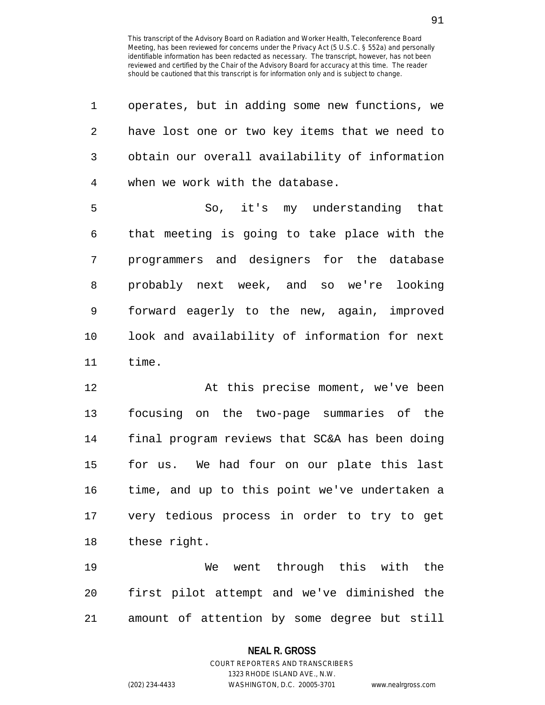| 1              | operates, but in adding some new functions, we |
|----------------|------------------------------------------------|
| $\overline{2}$ | have lost one or two key items that we need to |
| 3              | obtain our overall availability of information |
| 4              | when we work with the database.                |
| 5              | So, it's my understanding that                 |
| 6              | that meeting is going to take place with the   |
| 7              | programmers and designers for the database     |
| 8              | probably next week, and so we're looking       |
| 9              | forward eagerly to the new, again, improved    |
| 10             | look and availability of information for next  |
| 11             | time.                                          |
| 12             | At this precise moment, we've been             |
| 13             | focusing on the two-page summaries of the      |
| 14             | final program reviews that SC&A has been doing |
| 15             | for us. We had four on our plate this last     |
| 16             | time, and up to this point we've undertaken a  |
| 17             | very tedious process in order to try to get    |

18 these right.

19 We went through this with the 20 first pilot attempt and we've diminished the 21 amount of attention by some degree but still

# **NEAL R. GROSS**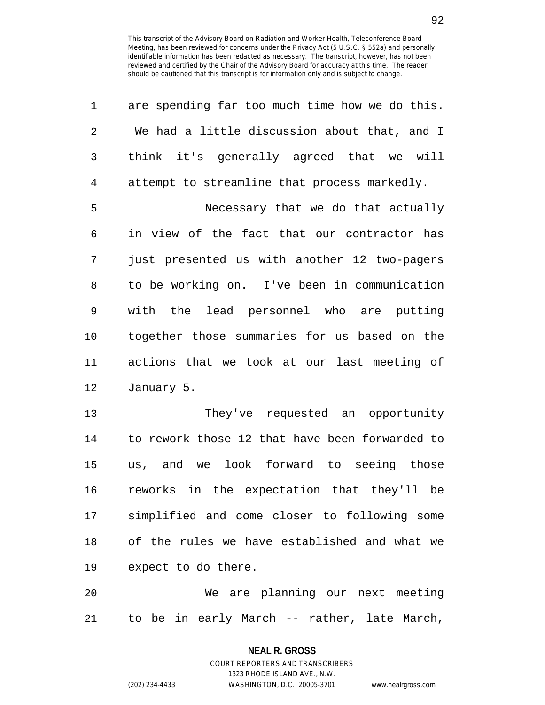| 1              | are spending far too much time how we do this. |
|----------------|------------------------------------------------|
| $\overline{2}$ | We had a little discussion about that, and I   |
| 3              | think it's generally agreed that we will       |
| $\overline{4}$ | attempt to streamline that process markedly.   |
| 5              | Necessary that we do that actually             |
| 6              | in view of the fact that our contractor has    |
| 7              | just presented us with another 12 two-pagers   |
| 8              | to be working on. I've been in communication   |
| 9              | with the lead personnel who are putting        |
| 10             | together those summaries for us based on the   |
| 11             | actions that we took at our last meeting of    |
| 12             | January 5.                                     |
| 13             | They've requested an opportunity               |
| 14             | to rework those 12 that have been forwarded to |
| 15             | us, and we look forward to seeing those        |
| 16             | reworks in the expectation that they'll be     |
| 17             | simplified and come closer to following some   |
| 18             | of the rules we have established and what we   |
| 19             | expect to do there.                            |
| 20             | We are planning our next meeting               |
| 21             | to be in early March -- rather, late March,    |

**NEAL R. GROSS** COURT REPORTERS AND TRANSCRIBERS

1323 RHODE ISLAND AVE., N.W.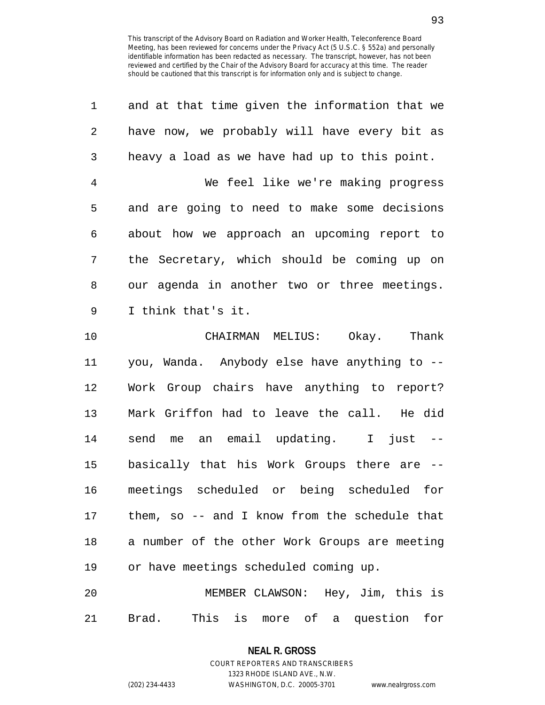| 1              | and at that time given the information that we |
|----------------|------------------------------------------------|
| 2              | have now, we probably will have every bit as   |
| 3              | heavy a load as we have had up to this point.  |
| $\overline{4}$ | We feel like we're making progress             |
| 5              | and are going to need to make some decisions   |
| 6              | about how we approach an upcoming report to    |
| 7              | the Secretary, which should be coming up on    |
| 8              | our agenda in another two or three meetings.   |
| 9              | I think that's it.                             |
| 10             | CHAIRMAN MELIUS: Okay. Thank                   |
| 11             | you, Wanda. Anybody else have anything to --   |
| 12             | Work Group chairs have anything to report?     |
| 13             | Mark Griffon had to leave the call. He did     |
| 14             | send me an email updating. I just --           |
| 15             | basically that his Work Groups there are --    |
| 16             | meetings scheduled or being scheduled for      |
| 17             | them, so -- and I know from the schedule that  |
| 18             | a number of the other Work Groups are meeting  |
| 19             | or have meetings scheduled coming up.          |
| 20             | MEMBER CLAWSON: Hey, Jim, this is              |
|                |                                                |

21 Brad. This is more of a question for

# **NEAL R. GROSS** COURT REPORTERS AND TRANSCRIBERS

1323 RHODE ISLAND AVE., N.W. (202) 234-4433 WASHINGTON, D.C. 20005-3701 www.nealrgross.com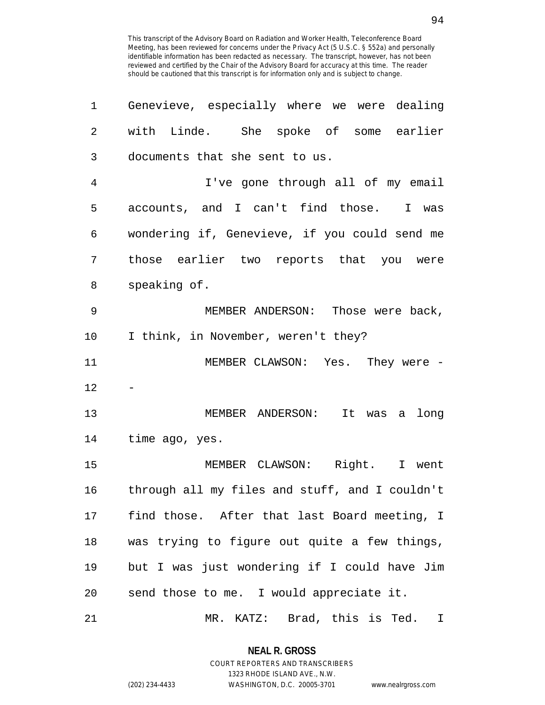| 1  | Genevieve, especially where we were dealing    |
|----|------------------------------------------------|
| 2  | with Linde. She spoke of some earlier          |
| 3  | documents that she sent to us.                 |
| 4  | I've gone through all of my email              |
| 5  | accounts, and I can't find those. I was        |
| 6  | wondering if, Genevieve, if you could send me  |
| 7  | those earlier two reports that you were        |
| 8  | speaking of.                                   |
| 9  | MEMBER ANDERSON: Those were back,              |
| 10 | I think, in November, weren't they?            |
| 11 | MEMBER CLAWSON: Yes. They were -               |
| 12 |                                                |
| 13 | MEMBER ANDERSON: It was a<br>long              |
| 14 | time ago, yes.                                 |
| 15 | MEMBER CLAWSON: Right. I went                  |
| 16 | through all my files and stuff, and I couldn't |
| 17 | find those. After that last Board meeting, I   |
| 18 | was trying to figure out quite a few things,   |
| 19 | but I was just wondering if I could have Jim   |
| 20 | send those to me. I would appreciate it.       |
| 21 | Brad, this is Ted.<br>MR. KATZ:<br>I           |

**NEAL R. GROSS** COURT REPORTERS AND TRANSCRIBERS

1323 RHODE ISLAND AVE., N.W.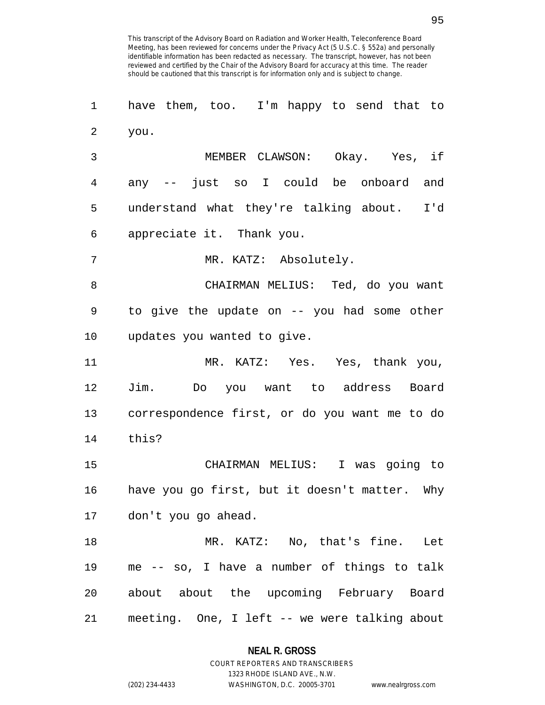1 have them, too. I'm happy to send that to 2 you. 3 MEMBER CLAWSON: Okay. Yes, if 4 any -- just so I could be onboard and 5 understand what they're talking about. I'd 6 appreciate it. Thank you. 7 MR. KATZ: Absolutely. 8 CHAIRMAN MELIUS: Ted, do you want 9 to give the update on -- you had some other 10 updates you wanted to give. 11 MR. KATZ: Yes. Yes, thank you, 12 Jim. Do you want to address Board 13 correspondence first, or do you want me to do 14 this? 15 CHAIRMAN MELIUS: I was going to 16 have you go first, but it doesn't matter. Why 17 don't you go ahead. 18 MR. KATZ: No, that's fine. Let 19 me -- so, I have a number of things to talk 20 about about the upcoming February Board

21 meeting. One, I left -- we were talking about

## **NEAL R. GROSS**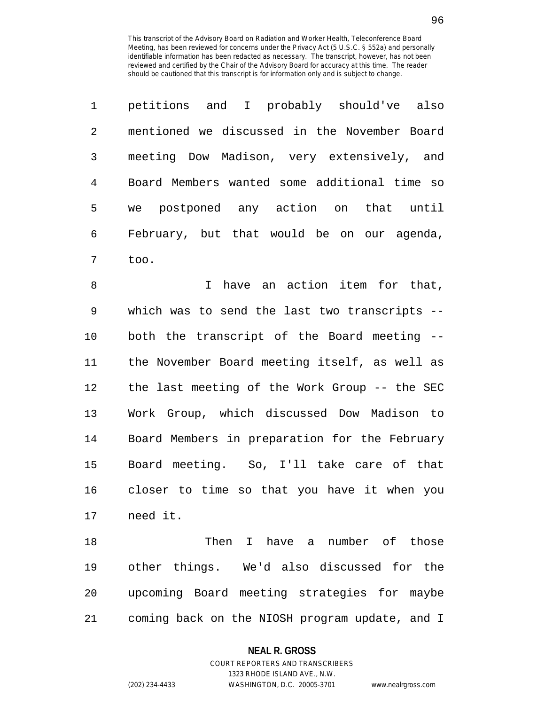|               | petitions and I probably should've also      |
|---------------|----------------------------------------------|
| $\mathcal{L}$ | mentioned we discussed in the November Board |
| 3             | meeting Dow Madison, very extensively, and   |
| 4             | Board Members wanted some additional time so |
| 5             | postponed any action on that until<br>we     |
| 6             | February, but that would be on our agenda,   |
|               | too.                                         |

8 I have an action item for that, 9 which was to send the last two transcripts -- 10 both the transcript of the Board meeting -- 11 the November Board meeting itself, as well as 12 the last meeting of the Work Group -- the SEC 13 Work Group, which discussed Dow Madison to 14 Board Members in preparation for the February 15 Board meeting. So, I'll take care of that 16 closer to time so that you have it when you 17 need it.

18 Then I have a number of those 19 other things. We'd also discussed for the 20 upcoming Board meeting strategies for maybe 21 coming back on the NIOSH program update, and I

#### **NEAL R. GROSS**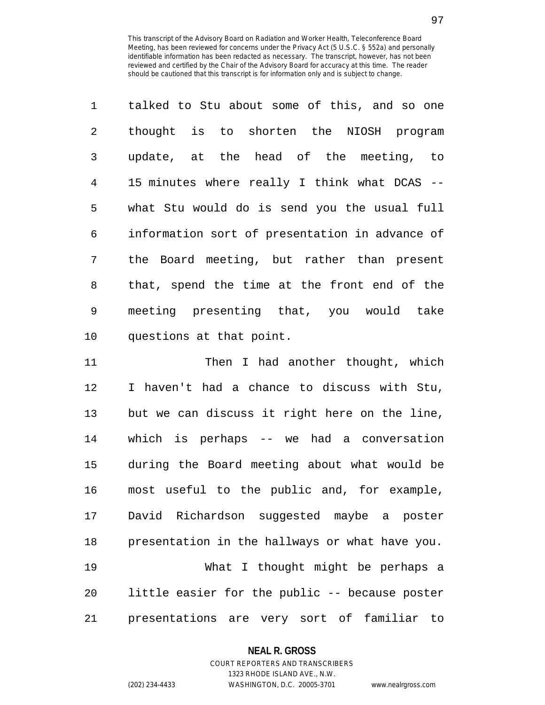| $\mathbf{1}$ | talked to Stu about some of this, and so one   |
|--------------|------------------------------------------------|
| 2            | thought is to shorten the NIOSH program        |
| 3            | update, at the head of the meeting, to         |
| 4            | 15 minutes where really I think what DCAS --   |
| 5            | what Stu would do is send you the usual full   |
| 6            | information sort of presentation in advance of |
| 7            | the Board meeting, but rather than present     |
| 8            | that, spend the time at the front end of the   |
| 9            | meeting presenting that, you would take        |
| 10           | questions at that point.                       |

11 Then I had another thought, which 12 I haven't had a chance to discuss with Stu, 13 but we can discuss it right here on the line, 14 which is perhaps -- we had a conversation 15 during the Board meeting about what would be 16 most useful to the public and, for example, 17 David Richardson suggested maybe a poster 18 presentation in the hallways or what have you. 19 What I thought might be perhaps a 20 little easier for the public -- because poster 21 presentations are very sort of familiar to

## **NEAL R. GROSS**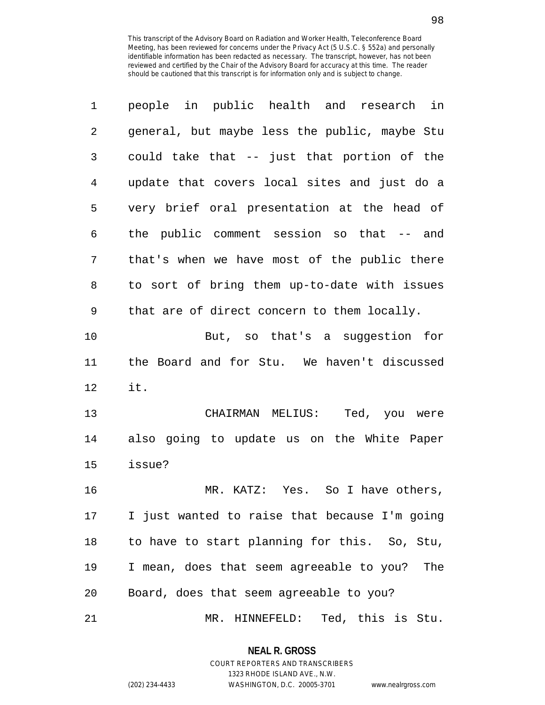| 1  | people in public health and research in       |
|----|-----------------------------------------------|
| 2  | general, but maybe less the public, maybe Stu |
| 3  | could take that -- just that portion of the   |
| 4  | update that covers local sites and just do a  |
| 5  | very brief oral presentation at the head of   |
| 6  | the public comment session so that -- and     |
| 7  | that's when we have most of the public there  |
| 8  | to sort of bring them up-to-date with issues  |
| 9  | that are of direct concern to them locally.   |
| 10 | But, so that's a suggestion for               |
| 11 | the Board and for Stu. We haven't discussed   |
| 12 | it.                                           |
| 13 | CHAIRMAN MELIUS: Ted, you were                |
| 14 | also going to update us on the White Paper    |
| 15 | issue?                                        |
| 16 | MR. KATZ: Yes. So I have others,              |
| 17 | I just wanted to raise that because I'm going |
| 18 | to have to start planning for this. So, Stu,  |
| 19 | I mean, does that seem agreeable to you? The  |
| 20 | Board, does that seem agreeable to you?       |
| 21 | Ted, this is Stu.<br>MR. HINNEFELD:           |

**NEAL R. GROSS** COURT REPORTERS AND TRANSCRIBERS

1323 RHODE ISLAND AVE., N.W.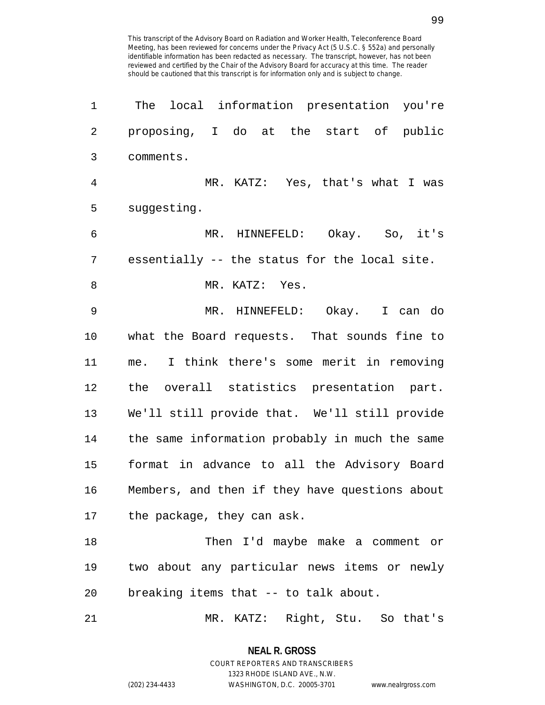| 1              | The local information presentation you're      |
|----------------|------------------------------------------------|
| 2              | proposing, I do at the start of public         |
| 3              | comments.                                      |
| $\overline{4}$ | MR. KATZ: Yes, that's what I was               |
| 5              | suggesting.                                    |
| 6              | MR. HINNEFELD: Okay. So, it's                  |
| 7              | essentially -- the status for the local site.  |
| 8              | MR. KATZ: Yes.                                 |
| 9              | MR. HINNEFELD: Okay. I can do                  |
| 10             | what the Board requests. That sounds fine to   |
| 11             | me. I think there's some merit in removing     |
| 12             | the overall statistics presentation part.      |
| 13             | We'll still provide that. We'll still provide  |
| 14             | the same information probably in much the same |
| 15             | format in advance to all the Advisory Board    |
| 16             | Members, and then if they have questions about |
|                | 17 the package, they can ask.                  |
| 18             | Then I'd maybe make a comment or               |
| 19             | two about any particular news items or newly   |
| 20             | breaking items that -- to talk about.          |
| 21             | MR. KATZ: Right, Stu. So that's                |

**NEAL R. GROSS** COURT REPORTERS AND TRANSCRIBERS

1323 RHODE ISLAND AVE., N.W.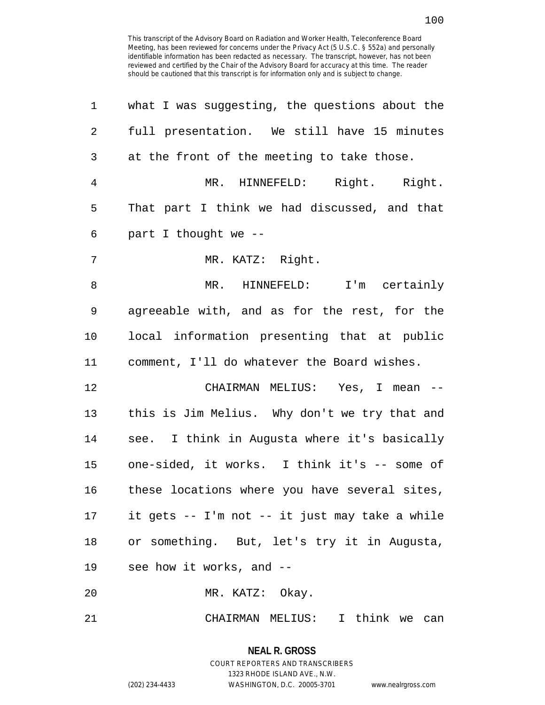| 1              | what I was suggesting, the questions about the |
|----------------|------------------------------------------------|
| 2              | full presentation. We still have 15 minutes    |
| 3              | at the front of the meeting to take those.     |
| $\overline{4}$ | MR. HINNEFELD: Right. Right.                   |
| 5              | That part I think we had discussed, and that   |
| 6              | part I thought we --                           |
| 7              | MR. KATZ: Right.                               |
| 8              | MR. HINNEFELD: I'm certainly                   |
| 9              | agreeable with, and as for the rest, for the   |
| 10             | local information presenting that at public    |
| 11             | comment, I'll do whatever the Board wishes.    |
| 12             | CHAIRMAN MELIUS: Yes, I mean --                |
| 13             | this is Jim Melius. Why don't we try that and  |
| 14             | see. I think in Augusta where it's basically   |
| 15             | one-sided, it works. I think it's -- some of   |
| 16             | these locations where you have several sites,  |
| 17             | it gets -- I'm not -- it just may take a while |
| 18             | or something. But, let's try it in Augusta,    |
| 19             | see how it works, and --                       |
| 20             | MR. KATZ: Okay.                                |
| 21             | CHAIRMAN MELIUS: I think we can                |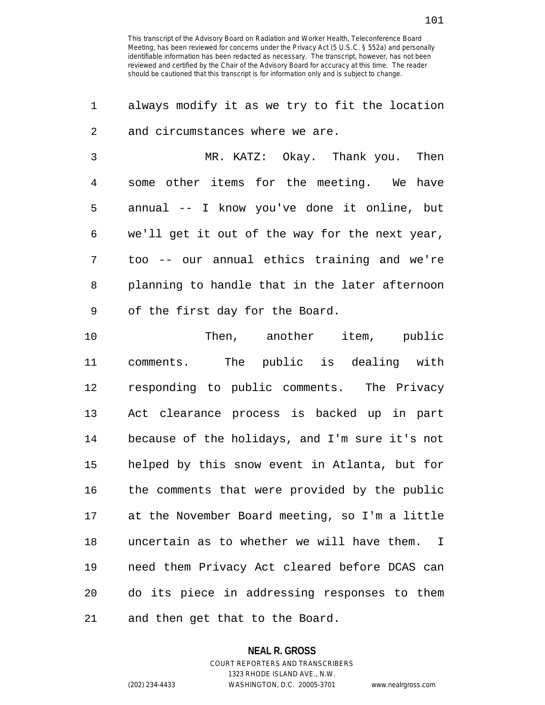1 always modify it as we try to fit the location 2 and circumstances where we are.

3 MR. KATZ: Okay. Thank you. Then 4 some other items for the meeting. We have 5 annual -- I know you've done it online, but 6 we'll get it out of the way for the next year, 7 too -- our annual ethics training and we're 8 planning to handle that in the later afternoon 9 of the first day for the Board.

10 Then, another item, public 11 comments. The public is dealing with 12 responding to public comments. The Privacy 13 Act clearance process is backed up in part 14 because of the holidays, and I'm sure it's not 15 helped by this snow event in Atlanta, but for 16 the comments that were provided by the public 17 at the November Board meeting, so I'm a little 18 uncertain as to whether we will have them. I 19 need them Privacy Act cleared before DCAS can 20 do its piece in addressing responses to them 21 and then get that to the Board.

#### **NEAL R. GROSS**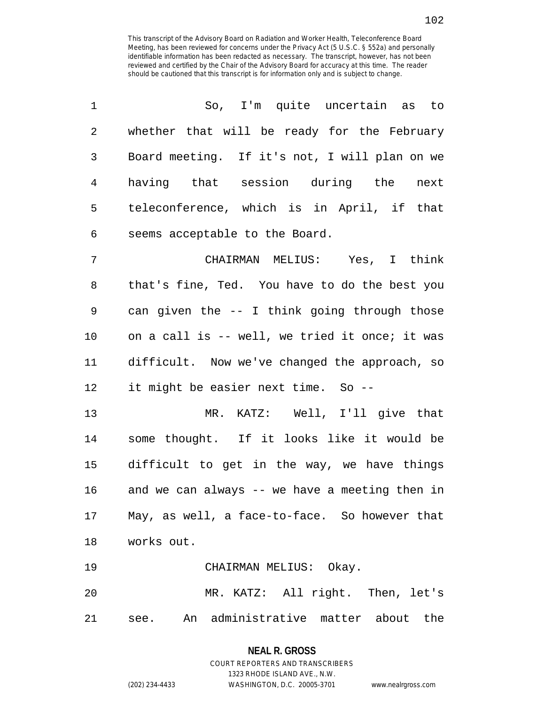| 1  | So, I'm quite uncertain as to                    |
|----|--------------------------------------------------|
| 2  | whether that will be ready for the February      |
| 3  | Board meeting. If it's not, I will plan on we    |
| 4  | having that session during the<br>next           |
| 5  | teleconference, which is in April, if that       |
| 6  | seems acceptable to the Board.                   |
| 7  | CHAIRMAN MELIUS: Yes, I think                    |
| 8  | that's fine, Ted. You have to do the best you    |
| 9  | can given the -- I think going through those     |
| 10 | on a call is -- well, we tried it once; it was   |
| 11 | difficult. Now we've changed the approach, so    |
| 12 | it might be easier next time. So --              |
| 13 | MR. KATZ: Well, I'll give that                   |
| 14 | some thought. If it looks like it would be       |
| 15 | difficult to get in the way, we have things      |
| 16 | and we can always -- we have a meeting then in   |
|    | 17 May, as well, a face-to-face. So however that |
| 18 | works out.                                       |
| 19 | CHAIRMAN MELIUS: Okay.                           |
| 20 | MR. KATZ: All right. Then, let's                 |
| 21 | see. An administrative matter about the          |

1323 RHODE ISLAND AVE., N.W.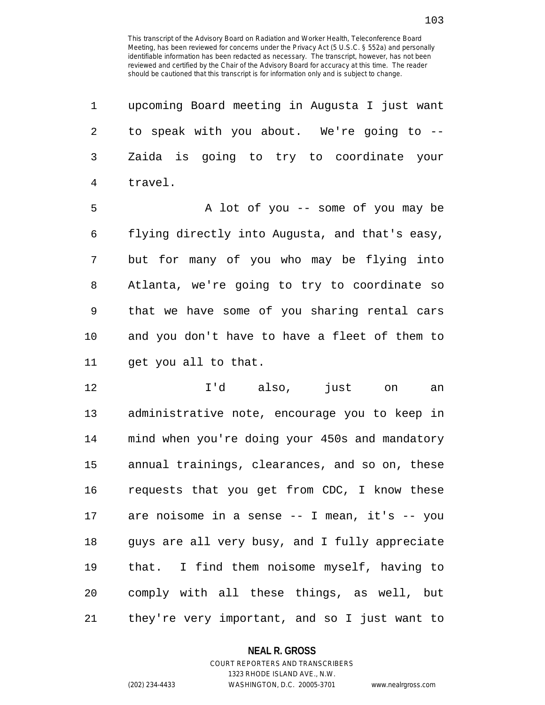| 1              | upcoming Board meeting in Augusta I just want  |
|----------------|------------------------------------------------|
| $\overline{2}$ | to speak with you about. We're going to --     |
| 3              | Zaida is going to try to coordinate your       |
| $\overline{4}$ | travel.                                        |
| 5              | A lot of you -- some of you may be             |
| 6              | flying directly into Augusta, and that's easy, |
| 7              | but for many of you who may be flying into     |
| 8              | Atlanta, we're going to try to coordinate so   |
| 9              | that we have some of you sharing rental cars   |
| 10             | and you don't have to have a fleet of them to  |
| 11             | get you all to that.                           |
| 12             | I'd also,<br>just<br>on<br>an                  |
| 13             | administrative note, encourage you to keep in  |
| 14             | mind when you're doing your 450s and mandatory |
| 15             | annual trainings, clearances, and so on, these |
| 16             | requests that you get from CDC, I know these   |
| 17             | are noisome in a sense -- I mean, it's -- you  |
| 18             | guys are all very busy, and I fully appreciate |

19 that. I find them noisome myself, having to 20 comply with all these things, as well, but 21 they're very important, and so I just want to

#### **NEAL R. GROSS**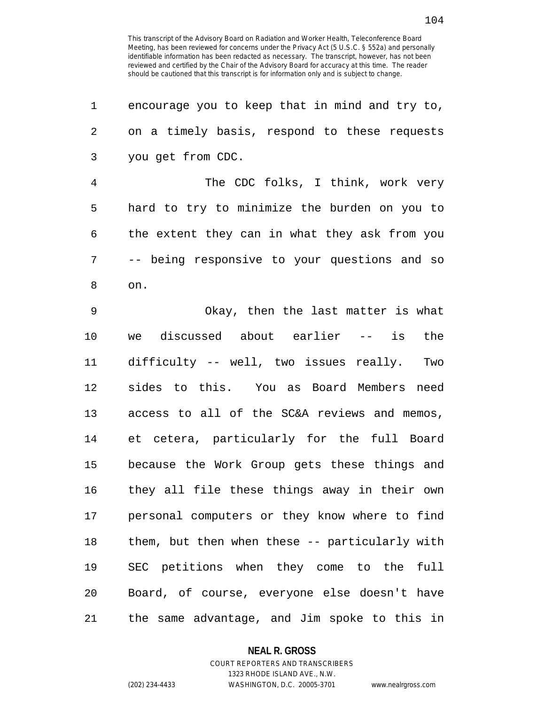| 1  | encourage you to keep that in mind and try to, |
|----|------------------------------------------------|
| 2  | on a timely basis, respond to these requests   |
| 3  | you get from CDC.                              |
| 4  | The CDC folks, I think, work very              |
| 5  | hard to try to minimize the burden on you to   |
| 6  | the extent they can in what they ask from you  |
| 7  | -- being responsive to your questions and so   |
| 8  | on.                                            |
| 9  | Okay, then the last matter is what             |
| 10 | we discussed about earlier -- is the           |
| 11 | difficulty -- well, two issues really.<br>Two  |
| 12 | sides to this. You as Board Members need       |
| 13 | access to all of the SC&A reviews and memos,   |
| 14 | et cetera, particularly for the full Board     |
| 15 | because the Work Group gets these things and   |
| 16 | they all file these things away in their own   |
| 17 | personal computers or they know where to find  |
| 18 | them, but then when these -- particularly with |
| 19 | SEC petitions when they come to the<br>full    |
| 20 | Board, of course, everyone else doesn't have   |
| 21 | the same advantage, and Jim spoke to this in   |

**NEAL R. GROSS**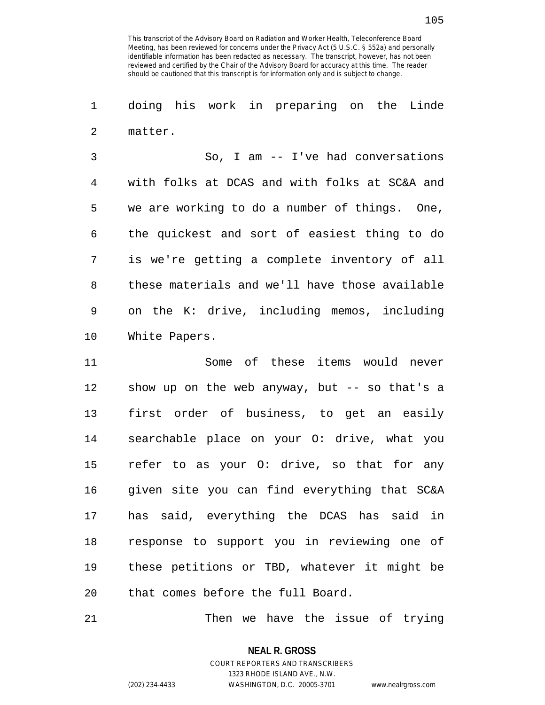1 doing his work in preparing on the Linde 2 matter.

3 So, I am -- I've had conversations 4 with folks at DCAS and with folks at SC&A and 5 we are working to do a number of things. One, 6 the quickest and sort of easiest thing to do 7 is we're getting a complete inventory of all 8 these materials and we'll have those available 9 on the K: drive, including memos, including 10 White Papers.

11 Some of these items would never 12 show up on the web anyway, but -- so that's a 13 first order of business, to get an easily 14 searchable place on your O: drive, what you 15 refer to as your O: drive, so that for any 16 given site you can find everything that SC&A 17 has said, everything the DCAS has said in 18 response to support you in reviewing one of 19 these petitions or TBD, whatever it might be 20 that comes before the full Board.

21 Then we have the issue of trying

**NEAL R. GROSS** COURT REPORTERS AND TRANSCRIBERS

1323 RHODE ISLAND AVE., N.W.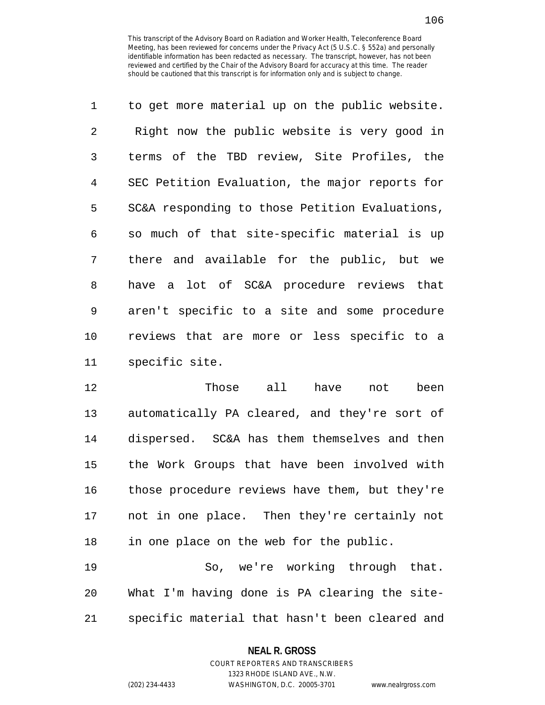| $\mathbf 1$ | to get more material up on the public website. |
|-------------|------------------------------------------------|
| 2           | Right now the public website is very good in   |
| 3           | terms of the TBD review, Site Profiles, the    |
| 4           | SEC Petition Evaluation, the major reports for |
| 5           | SC&A responding to those Petition Evaluations, |
| 6           | so much of that site-specific material is up   |
| 7           | there and available for the public, but we     |
| 8           | have a lot of SC&A procedure reviews that      |
| 9           | aren't specific to a site and some procedure   |
| 10          | reviews that are more or less specific to a    |
| 11          | specific site.                                 |

12 Those all have not been 13 automatically PA cleared, and they're sort of 14 dispersed. SC&A has them themselves and then 15 the Work Groups that have been involved with 16 those procedure reviews have them, but they're 17 not in one place. Then they're certainly not 18 in one place on the web for the public.

19 So, we're working through that. 20 What I'm having done is PA clearing the site-21 specific material that hasn't been cleared and

#### **NEAL R. GROSS**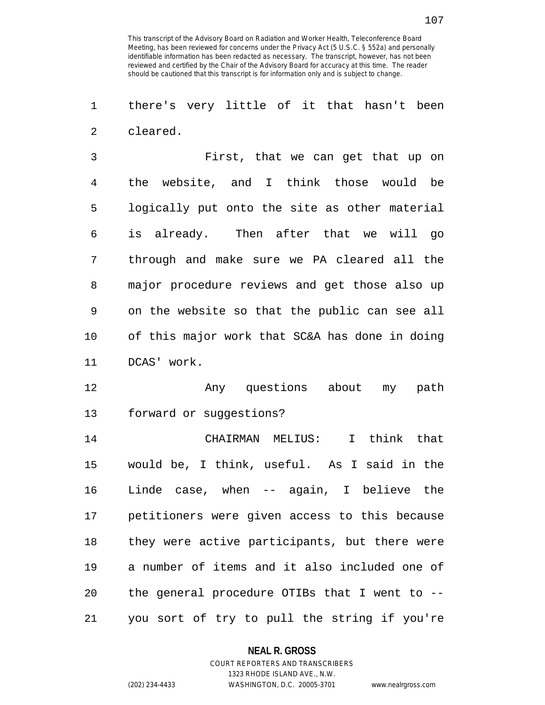1 there's very little of it that hasn't been 2 cleared.

3 First, that we can get that up on 4 the website, and I think those would be 5 logically put onto the site as other material 6 is already. Then after that we will go 7 through and make sure we PA cleared all the 8 major procedure reviews and get those also up 9 on the website so that the public can see all 10 of this major work that SC&A has done in doing 11 DCAS' work.

12 Any questions about my path 13 forward or suggestions?

14 CHAIRMAN MELIUS: I think that 15 would be, I think, useful. As I said in the 16 Linde case, when -- again, I believe the 17 petitioners were given access to this because 18 they were active participants, but there were 19 a number of items and it also included one of 20 the general procedure OTIBs that I went to -- 21 you sort of try to pull the string if you're

#### **NEAL R. GROSS**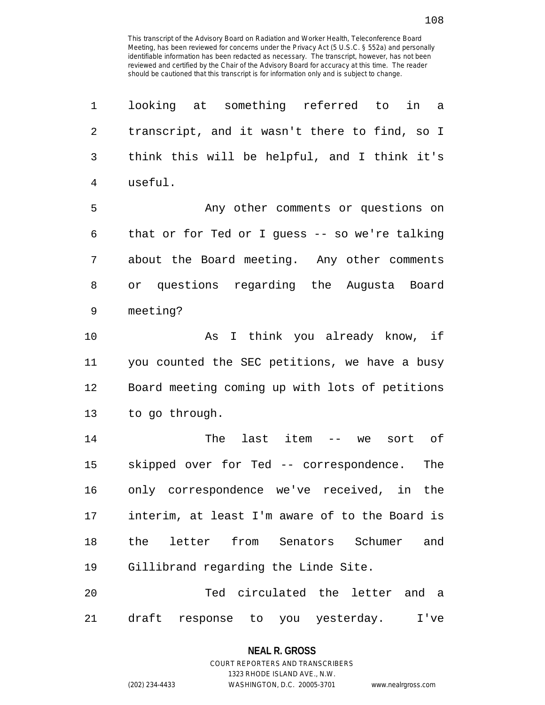| 1  | looking at something referred to<br>in<br>a    |
|----|------------------------------------------------|
| 2  | transcript, and it wasn't there to find, so I  |
| 3  | think this will be helpful, and I think it's   |
| 4  | useful.                                        |
| 5  | Any other comments or questions on             |
| 6  | that or for Ted or I guess -- so we're talking |
| 7  | about the Board meeting. Any other comments    |
| 8  | or questions regarding the Augusta Board       |
| 9  | meeting?                                       |
| 10 | I think you already know, if<br>As             |
| 11 | you counted the SEC petitions, we have a busy  |
| 12 | Board meeting coming up with lots of petitions |
| 13 | to go through.                                 |
| 14 | last item --<br>The<br>sort of<br>we           |
| 15 | skipped over for Ted -- correspondence.<br>The |
| 16 | only correspondence we've received, in the     |
| 17 | interim, at least I'm aware of to the Board is |
| 18 | the letter from Senators Schumer<br>and        |
| 19 | Gillibrand regarding the Linde Site.           |
| 20 | Ted circulated the letter and a                |
| 21 | draft response to you yesterday.<br>I've       |

1323 RHODE ISLAND AVE., N.W.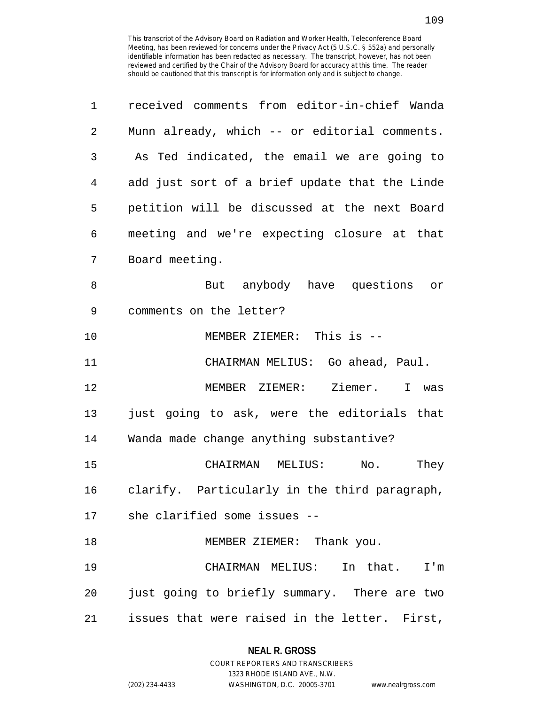| 1              | received comments from editor-in-chief Wanda   |
|----------------|------------------------------------------------|
| 2              | Munn already, which -- or editorial comments.  |
| 3              | As Ted indicated, the email we are going to    |
| $\overline{4}$ | add just sort of a brief update that the Linde |
| 5              | petition will be discussed at the next Board   |
| 6              | meeting and we're expecting closure at that    |
| 7              | Board meeting.                                 |
| 8              | But anybody have questions or                  |
| 9              | comments on the letter?                        |
| 10             | MEMBER ZIEMER: This is --                      |
| 11             | CHAIRMAN MELIUS: Go ahead, Paul.               |
| 12             | MEMBER ZIEMER: Ziemer. I was                   |
| 13             | just going to ask, were the editorials that    |
| 14             | Wanda made change anything substantive?        |
| 15             | CHAIRMAN MELIUS: No.<br>They                   |
| 16             | clarify. Particularly in the third paragraph,  |
|                | 17 she clarified some issues --                |
| 18             | MEMBER ZIEMER: Thank you.                      |
| 19             | CHAIRMAN MELIUS: In that. I'm                  |
| 20             | just going to briefly summary. There are two   |
| 21             | issues that were raised in the letter. First,  |

# **NEAL R. GROSS**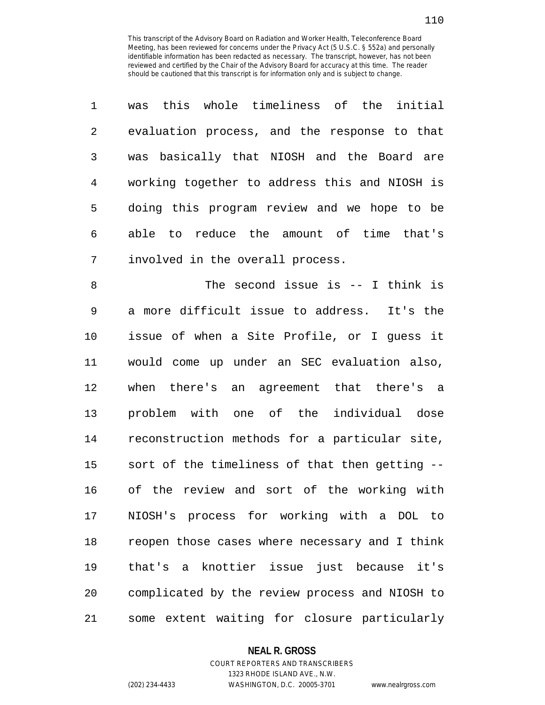| $\mathbf{1}$  | was this whole timeliness of the initial      |
|---------------|-----------------------------------------------|
| $\mathcal{L}$ | evaluation process, and the response to that  |
| 3             | was basically that NIOSH and the Board are    |
| 4             | working together to address this and NIOSH is |
| 5             | doing this program review and we hope to be   |
| 6             | able to reduce the amount of time that's      |
| 7             | involved in the overall process.              |

8 The second issue is -- I think is 9 a more difficult issue to address. It's the 10 issue of when a Site Profile, or I guess it 11 would come up under an SEC evaluation also, 12 when there's an agreement that there's a 13 problem with one of the individual dose 14 reconstruction methods for a particular site, 15 sort of the timeliness of that then getting -- 16 of the review and sort of the working with 17 NIOSH's process for working with a DOL to 18 reopen those cases where necessary and I think 19 that's a knottier issue just because it's 20 complicated by the review process and NIOSH to 21 some extent waiting for closure particularly

#### **NEAL R. GROSS**

## COURT REPORTERS AND TRANSCRIBERS 1323 RHODE ISLAND AVE., N.W. (202) 234-4433 WASHINGTON, D.C. 20005-3701 www.nealrgross.com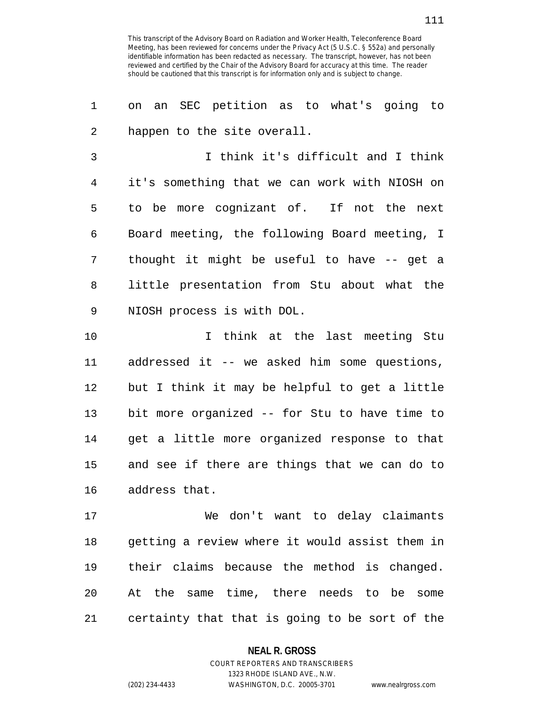1 on an SEC petition as to what's going to 2 happen to the site overall.

3 I think it's difficult and I think 4 it's something that we can work with NIOSH on 5 to be more cognizant of. If not the next 6 Board meeting, the following Board meeting, I 7 thought it might be useful to have -- get a 8 little presentation from Stu about what the 9 NIOSH process is with DOL.

10 10 I think at the last meeting Stu 11 addressed it -- we asked him some questions, 12 but I think it may be helpful to get a little 13 bit more organized -- for Stu to have time to 14 get a little more organized response to that 15 and see if there are things that we can do to 16 address that.

17 We don't want to delay claimants 18 getting a review where it would assist them in 19 their claims because the method is changed. 20 At the same time, there needs to be some 21 certainty that that is going to be sort of the

### **NEAL R. GROSS**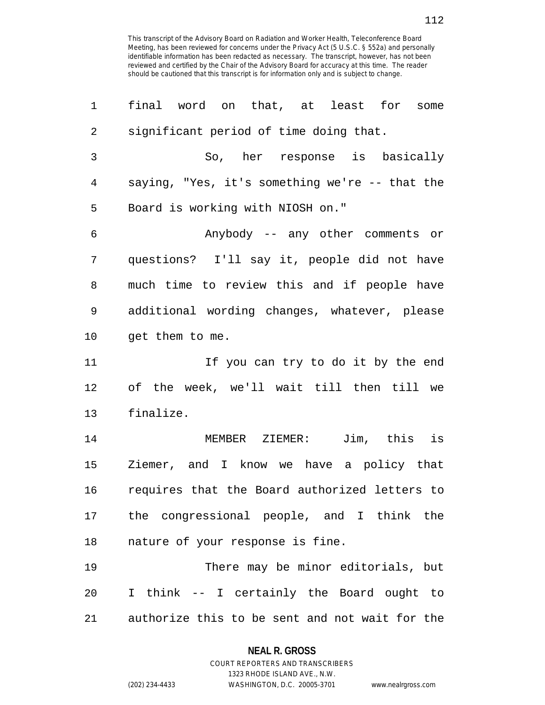1 final word on that, at least for some 2 significant period of time doing that. 3 So, her response is basically 4 saying, "Yes, it's something we're -- that the 5 Board is working with NIOSH on." 6 Anybody -- any other comments or 7 questions? I'll say it, people did not have 8 much time to review this and if people have 9 additional wording changes, whatever, please 10 get them to me. 11 If you can try to do it by the end 12 of the week, we'll wait till then till we 13 finalize. 14 MEMBER ZIEMER: Jim, this is 15 Ziemer, and I know we have a policy that 16 requires that the Board authorized letters to 17 the congressional people, and I think the 18 nature of your response is fine. 19 There may be minor editorials, but 20 I think -- I certainly the Board ought to 21 authorize this to be sent and not wait for the

#### **NEAL R. GROSS**

COURT REPORTERS AND TRANSCRIBERS 1323 RHODE ISLAND AVE., N.W. (202) 234-4433 WASHINGTON, D.C. 20005-3701 www.nealrgross.com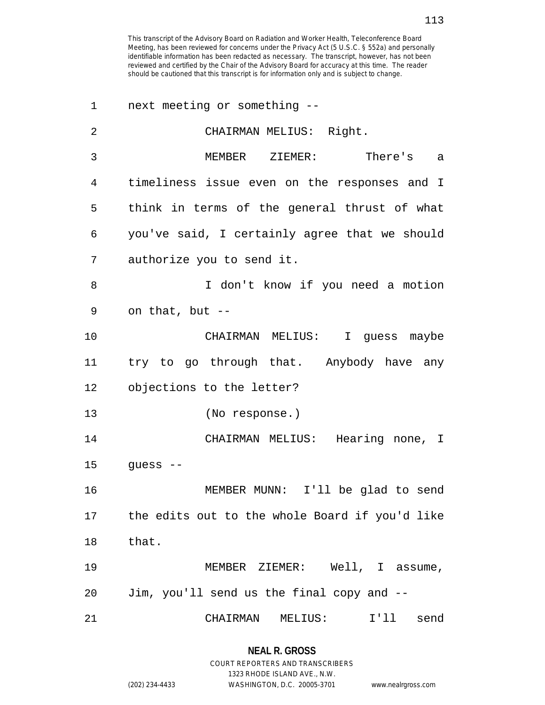| 1  | next meeting or something --                   |
|----|------------------------------------------------|
| 2  | CHAIRMAN MELIUS: Right.                        |
| 3  | MEMBER ZIEMER: There's<br>a                    |
| 4  | timeliness issue even on the responses and I   |
| 5  | think in terms of the general thrust of what   |
| 6  | you've said, I certainly agree that we should  |
| 7  | authorize you to send it.                      |
| 8  | I don't know if you need a motion              |
| 9  | on that, but --                                |
| 10 | CHAIRMAN MELIUS: I guess maybe                 |
| 11 | try to go through that. Anybody have any       |
| 12 | objections to the letter?                      |
| 13 | (No response.)                                 |
| 14 | CHAIRMAN MELIUS: Hearing none, I               |
| 15 | guess $--$                                     |
| 16 | MEMBER MUNN: I'll be glad to send              |
| 17 | the edits out to the whole Board if you'd like |
| 18 | that.                                          |
| 19 | MEMBER ZIEMER: Well, I assume,                 |
| 20 | Jim, you'll send us the final copy and --      |
| 21 | CHAIRMAN<br>MELIUS:<br>I' 11<br>send           |

1323 RHODE ISLAND AVE., N.W.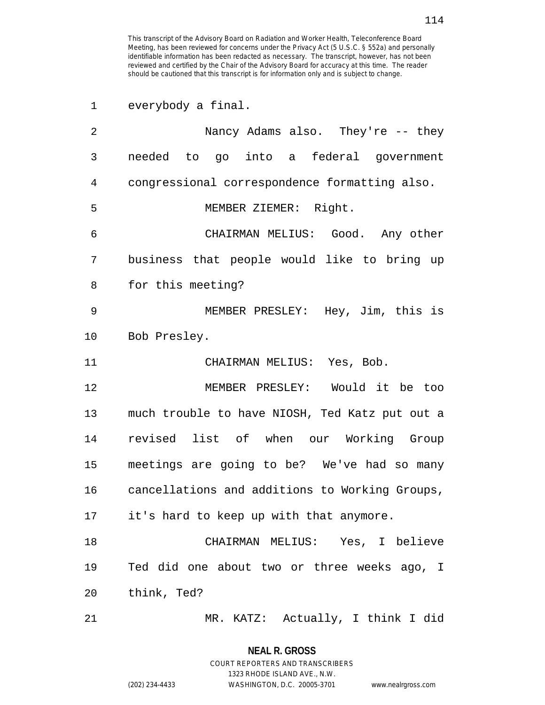1 everybody a final. 2 Nancy Adams also. They're -- they 3 needed to go into a federal government 4 congressional correspondence formatting also. 5 MEMBER ZIEMER: Right. 6 CHAIRMAN MELIUS: Good. Any other 7 business that people would like to bring up 8 for this meeting? 9 MEMBER PRESLEY: Hey, Jim, this is 10 Bob Presley. 11 CHAIRMAN MELIUS: Yes, Bob. 12 MEMBER PRESLEY: Would it be too 13 much trouble to have NIOSH, Ted Katz put out a 14 revised list of when our Working Group 15 meetings are going to be? We've had so many 16 cancellations and additions to Working Groups, 17 it's hard to keep up with that anymore. 18 CHAIRMAN MELIUS: Yes, I believe 19 Ted did one about two or three weeks ago, I 20 think, Ted? 21 MR. KATZ: Actually, I think I did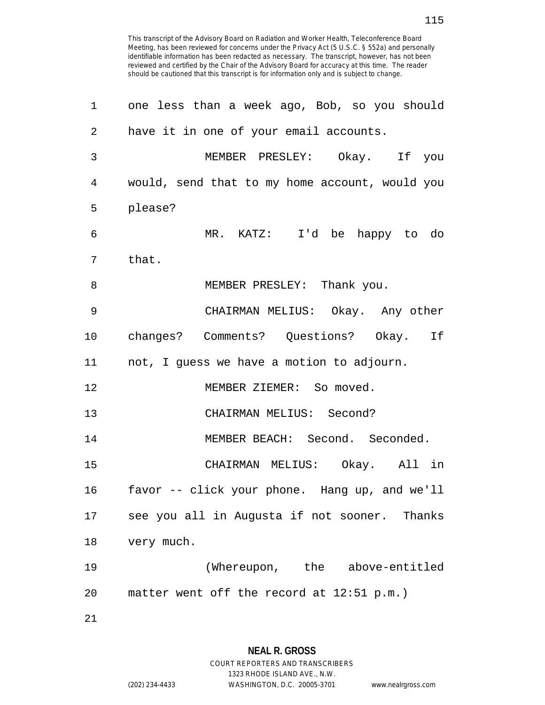| 1              | one less than a week ago, Bob, so you should   |
|----------------|------------------------------------------------|
| $\overline{2}$ | have it in one of your email accounts.         |
| 3              | MEMBER PRESLEY: Okay. If you                   |
| 4              | would, send that to my home account, would you |
| 5              | please?                                        |
| 6              | MR. KATZ: I'd be happy to do                   |
| 7              | that.                                          |
| 8              | MEMBER PRESLEY: Thank you.                     |
| 9              | CHAIRMAN MELIUS: Okay. Any other               |
| $10 \,$        | changes? Comments? Questions? Okay. If         |
| 11             | not, I guess we have a motion to adjourn.      |
| 12             | MEMBER ZIEMER: So moved.                       |
| 13             | CHAIRMAN MELIUS: Second?                       |
| 14             | MEMBER BEACH: Second. Seconded.                |
| 15             | CHAIRMAN MELIUS: Okay. All in                  |
| 16             | favor -- click your phone. Hang up, and we'll  |
| 17             | see you all in Augusta if not sooner. Thanks   |
| 18             | very much.                                     |
| 19             | (Whereupon, the above-entitled                 |
| 20             | matter went off the record at 12:51 p.m.)      |
| 21             |                                                |

1323 RHODE ISLAND AVE., N.W.

(202) 234-4433 WASHINGTON, D.C. 20005-3701 www.nealrgross.com